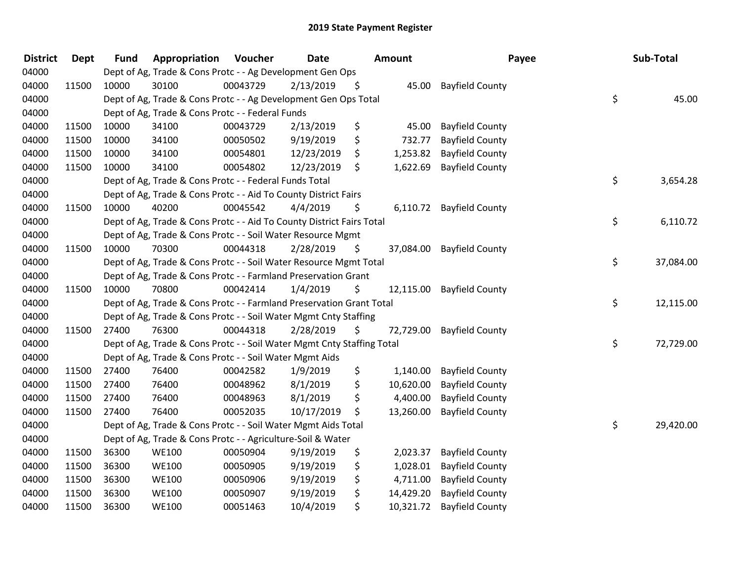| <b>District</b> | Dept  | <b>Fund</b> | Appropriation                                                          | Voucher  | Date       | Amount          | Payee                     | Sub-Total       |
|-----------------|-------|-------------|------------------------------------------------------------------------|----------|------------|-----------------|---------------------------|-----------------|
| 04000           |       |             | Dept of Ag, Trade & Cons Protc - - Ag Development Gen Ops              |          |            |                 |                           |                 |
| 04000           | 11500 | 10000       | 30100                                                                  | 00043729 | 2/13/2019  | \$<br>45.00     | <b>Bayfield County</b>    |                 |
| 04000           |       |             | Dept of Ag, Trade & Cons Protc - - Ag Development Gen Ops Total        |          |            |                 |                           | \$<br>45.00     |
| 04000           |       |             | Dept of Ag, Trade & Cons Protc - - Federal Funds                       |          |            |                 |                           |                 |
| 04000           | 11500 | 10000       | 34100                                                                  | 00043729 | 2/13/2019  | \$<br>45.00     | <b>Bayfield County</b>    |                 |
| 04000           | 11500 | 10000       | 34100                                                                  | 00050502 | 9/19/2019  | \$<br>732.77    | <b>Bayfield County</b>    |                 |
| 04000           | 11500 | 10000       | 34100                                                                  | 00054801 | 12/23/2019 | \$<br>1,253.82  | <b>Bayfield County</b>    |                 |
| 04000           | 11500 | 10000       | 34100                                                                  | 00054802 | 12/23/2019 | \$<br>1,622.69  | <b>Bayfield County</b>    |                 |
| 04000           |       |             | Dept of Ag, Trade & Cons Protc - - Federal Funds Total                 |          |            |                 |                           | \$<br>3,654.28  |
| 04000           |       |             | Dept of Ag, Trade & Cons Protc - - Aid To County District Fairs        |          |            |                 |                           |                 |
| 04000           | 11500 | 10000       | 40200                                                                  | 00045542 | 4/4/2019   | \$<br>6,110.72  | <b>Bayfield County</b>    |                 |
| 04000           |       |             | Dept of Ag, Trade & Cons Protc - - Aid To County District Fairs Total  |          |            |                 |                           | \$<br>6,110.72  |
| 04000           |       |             | Dept of Ag, Trade & Cons Protc - - Soil Water Resource Mgmt            |          |            |                 |                           |                 |
| 04000           | 11500 | 10000       | 70300                                                                  | 00044318 | 2/28/2019  | \$              | 37,084.00 Bayfield County |                 |
| 04000           |       |             | Dept of Ag, Trade & Cons Protc - - Soil Water Resource Mgmt Total      |          |            |                 |                           | \$<br>37,084.00 |
| 04000           |       |             | Dept of Ag, Trade & Cons Protc - - Farmland Preservation Grant         |          |            |                 |                           |                 |
| 04000           | 11500 | 10000       | 70800                                                                  | 00042414 | 1/4/2019   | \$<br>12,115.00 | <b>Bayfield County</b>    |                 |
| 04000           |       |             | Dept of Ag, Trade & Cons Protc - - Farmland Preservation Grant Total   |          |            |                 |                           | \$<br>12,115.00 |
| 04000           |       |             | Dept of Ag, Trade & Cons Protc - - Soil Water Mgmt Cnty Staffing       |          |            |                 |                           |                 |
| 04000           | 11500 | 27400       | 76300                                                                  | 00044318 | 2/28/2019  | \$<br>72,729.00 | <b>Bayfield County</b>    |                 |
| 04000           |       |             | Dept of Ag, Trade & Cons Protc - - Soil Water Mgmt Cnty Staffing Total |          |            |                 |                           | \$<br>72,729.00 |
| 04000           |       |             | Dept of Ag, Trade & Cons Protc - - Soil Water Mgmt Aids                |          |            |                 |                           |                 |
| 04000           | 11500 | 27400       | 76400                                                                  | 00042582 | 1/9/2019   | \$<br>1,140.00  | <b>Bayfield County</b>    |                 |
| 04000           | 11500 | 27400       | 76400                                                                  | 00048962 | 8/1/2019   | \$<br>10,620.00 | <b>Bayfield County</b>    |                 |
| 04000           | 11500 | 27400       | 76400                                                                  | 00048963 | 8/1/2019   | \$<br>4,400.00  | <b>Bayfield County</b>    |                 |
| 04000           | 11500 | 27400       | 76400                                                                  | 00052035 | 10/17/2019 | \$<br>13,260.00 | <b>Bayfield County</b>    |                 |
| 04000           |       |             | Dept of Ag, Trade & Cons Protc - - Soil Water Mgmt Aids Total          |          |            |                 |                           | \$<br>29,420.00 |
| 04000           |       |             | Dept of Ag, Trade & Cons Protc - - Agriculture-Soil & Water            |          |            |                 |                           |                 |
| 04000           | 11500 | 36300       | <b>WE100</b>                                                           | 00050904 | 9/19/2019  | \$<br>2,023.37  | <b>Bayfield County</b>    |                 |
| 04000           | 11500 | 36300       | <b>WE100</b>                                                           | 00050905 | 9/19/2019  | \$<br>1,028.01  | <b>Bayfield County</b>    |                 |
| 04000           | 11500 | 36300       | <b>WE100</b>                                                           | 00050906 | 9/19/2019  | \$<br>4,711.00  | <b>Bayfield County</b>    |                 |
| 04000           | 11500 | 36300       | <b>WE100</b>                                                           | 00050907 | 9/19/2019  | \$<br>14,429.20 | <b>Bayfield County</b>    |                 |
| 04000           | 11500 | 36300       | <b>WE100</b>                                                           | 00051463 | 10/4/2019  | \$<br>10,321.72 | <b>Bayfield County</b>    |                 |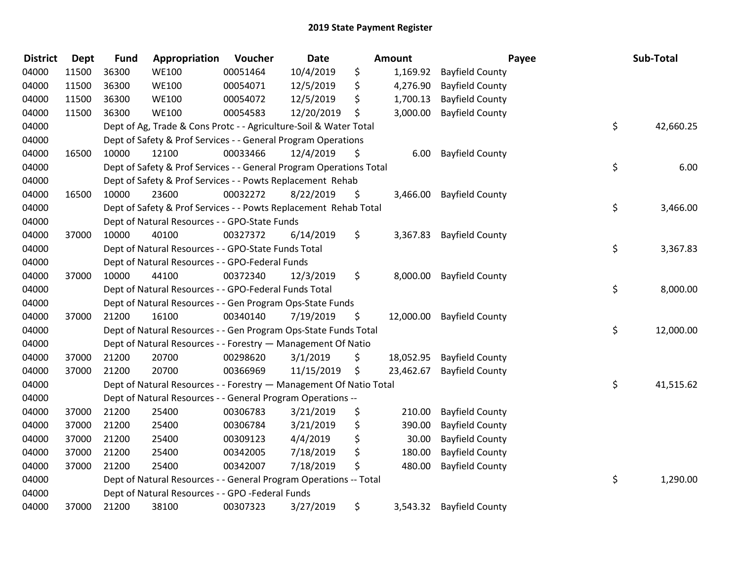| <b>District</b> | Dept  | <b>Fund</b> | Appropriation                                                       | Voucher  | Date       | <b>Amount</b>   | Payee                     | Sub-Total       |
|-----------------|-------|-------------|---------------------------------------------------------------------|----------|------------|-----------------|---------------------------|-----------------|
| 04000           | 11500 | 36300       | <b>WE100</b>                                                        | 00051464 | 10/4/2019  | \$<br>1,169.92  | <b>Bayfield County</b>    |                 |
| 04000           | 11500 | 36300       | <b>WE100</b>                                                        | 00054071 | 12/5/2019  | \$<br>4,276.90  | <b>Bayfield County</b>    |                 |
| 04000           | 11500 | 36300       | <b>WE100</b>                                                        | 00054072 | 12/5/2019  | \$<br>1,700.13  | <b>Bayfield County</b>    |                 |
| 04000           | 11500 | 36300       | <b>WE100</b>                                                        | 00054583 | 12/20/2019 | \$<br>3,000.00  | <b>Bayfield County</b>    |                 |
| 04000           |       |             | Dept of Ag, Trade & Cons Protc - - Agriculture-Soil & Water Total   |          |            |                 |                           | \$<br>42,660.25 |
| 04000           |       |             | Dept of Safety & Prof Services - - General Program Operations       |          |            |                 |                           |                 |
| 04000           | 16500 | 10000       | 12100                                                               | 00033466 | 12/4/2019  | \$<br>6.00      | <b>Bayfield County</b>    |                 |
| 04000           |       |             | Dept of Safety & Prof Services - - General Program Operations Total |          |            |                 |                           | \$<br>6.00      |
| 04000           |       |             | Dept of Safety & Prof Services - - Powts Replacement Rehab          |          |            |                 |                           |                 |
| 04000           | 16500 | 10000       | 23600                                                               | 00032272 | 8/22/2019  | \$<br>3,466.00  | <b>Bayfield County</b>    |                 |
| 04000           |       |             | Dept of Safety & Prof Services - - Powts Replacement Rehab Total    |          |            |                 |                           | \$<br>3,466.00  |
| 04000           |       |             | Dept of Natural Resources - - GPO-State Funds                       |          |            |                 |                           |                 |
| 04000           | 37000 | 10000       | 40100                                                               | 00327372 | 6/14/2019  | \$              | 3,367.83 Bayfield County  |                 |
| 04000           |       |             | Dept of Natural Resources - - GPO-State Funds Total                 |          |            |                 |                           | \$<br>3,367.83  |
| 04000           |       |             | Dept of Natural Resources - - GPO-Federal Funds                     |          |            |                 |                           |                 |
| 04000           | 37000 | 10000       | 44100                                                               | 00372340 | 12/3/2019  | \$<br>8,000.00  | <b>Bayfield County</b>    |                 |
| 04000           |       |             | Dept of Natural Resources - - GPO-Federal Funds Total               |          |            |                 |                           | \$<br>8,000.00  |
| 04000           |       |             | Dept of Natural Resources - - Gen Program Ops-State Funds           |          |            |                 |                           |                 |
| 04000           | 37000 | 21200       | 16100                                                               | 00340140 | 7/19/2019  | \$<br>12,000.00 | <b>Bayfield County</b>    |                 |
| 04000           |       |             | Dept of Natural Resources - - Gen Program Ops-State Funds Total     |          |            |                 |                           | \$<br>12,000.00 |
| 04000           |       |             | Dept of Natural Resources - - Forestry - Management Of Natio        |          |            |                 |                           |                 |
| 04000           | 37000 | 21200       | 20700                                                               | 00298620 | 3/1/2019   | \$              | 18,052.95 Bayfield County |                 |
| 04000           | 37000 | 21200       | 20700                                                               | 00366969 | 11/15/2019 | \$<br>23,462.67 | <b>Bayfield County</b>    |                 |
| 04000           |       |             | Dept of Natural Resources - - Forestry - Management Of Natio Total  |          |            |                 |                           | \$<br>41,515.62 |
| 04000           |       |             | Dept of Natural Resources - - General Program Operations --         |          |            |                 |                           |                 |
| 04000           | 37000 | 21200       | 25400                                                               | 00306783 | 3/21/2019  | \$<br>210.00    | <b>Bayfield County</b>    |                 |
| 04000           | 37000 | 21200       | 25400                                                               | 00306784 | 3/21/2019  | \$<br>390.00    | <b>Bayfield County</b>    |                 |
| 04000           | 37000 | 21200       | 25400                                                               | 00309123 | 4/4/2019   | \$<br>30.00     | <b>Bayfield County</b>    |                 |
| 04000           | 37000 | 21200       | 25400                                                               | 00342005 | 7/18/2019  | \$<br>180.00    | <b>Bayfield County</b>    |                 |
| 04000           | 37000 | 21200       | 25400                                                               | 00342007 | 7/18/2019  | \$<br>480.00    | <b>Bayfield County</b>    |                 |
| 04000           |       |             | Dept of Natural Resources - - General Program Operations -- Total   |          |            |                 |                           | \$<br>1,290.00  |
| 04000           |       |             | Dept of Natural Resources - - GPO -Federal Funds                    |          |            |                 |                           |                 |
| 04000           | 37000 | 21200       | 38100                                                               | 00307323 | 3/27/2019  | \$<br>3,543.32  | <b>Bayfield County</b>    |                 |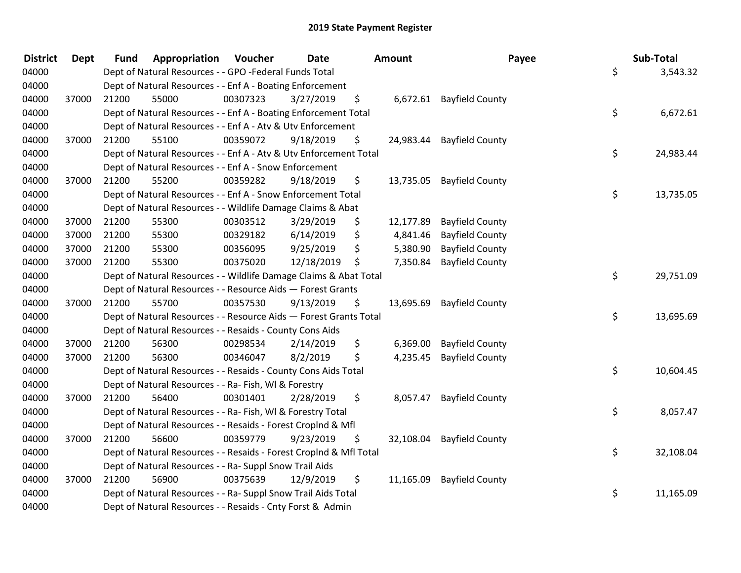| <b>District</b> | <b>Dept</b> | <b>Fund</b> | Appropriation                                                      | Voucher  | <b>Date</b> | Amount          | Payee                     | Sub-Total       |
|-----------------|-------------|-------------|--------------------------------------------------------------------|----------|-------------|-----------------|---------------------------|-----------------|
| 04000           |             |             | Dept of Natural Resources - - GPO -Federal Funds Total             |          |             |                 |                           | \$<br>3,543.32  |
| 04000           |             |             | Dept of Natural Resources - - Enf A - Boating Enforcement          |          |             |                 |                           |                 |
| 04000           | 37000       | 21200       | 55000                                                              | 00307323 | 3/27/2019   | \$              | 6,672.61 Bayfield County  |                 |
| 04000           |             |             | Dept of Natural Resources - - Enf A - Boating Enforcement Total    |          |             |                 |                           | \$<br>6,672.61  |
| 04000           |             |             | Dept of Natural Resources - - Enf A - Atv & Utv Enforcement        |          |             |                 |                           |                 |
| 04000           | 37000       | 21200       | 55100                                                              | 00359072 | 9/18/2019   | \$              | 24,983.44 Bayfield County |                 |
| 04000           |             |             | Dept of Natural Resources - - Enf A - Atv & Utv Enforcement Total  |          |             |                 |                           | \$<br>24,983.44 |
| 04000           |             |             | Dept of Natural Resources - - Enf A - Snow Enforcement             |          |             |                 |                           |                 |
| 04000           | 37000       | 21200       | 55200                                                              | 00359282 | 9/18/2019   | \$              | 13,735.05 Bayfield County |                 |
| 04000           |             |             | Dept of Natural Resources - - Enf A - Snow Enforcement Total       |          |             |                 |                           | \$<br>13,735.05 |
| 04000           |             |             | Dept of Natural Resources - - Wildlife Damage Claims & Abat        |          |             |                 |                           |                 |
| 04000           | 37000       | 21200       | 55300                                                              | 00303512 | 3/29/2019   | \$<br>12,177.89 | <b>Bayfield County</b>    |                 |
| 04000           | 37000       | 21200       | 55300                                                              | 00329182 | 6/14/2019   | \$<br>4,841.46  | <b>Bayfield County</b>    |                 |
| 04000           | 37000       | 21200       | 55300                                                              | 00356095 | 9/25/2019   | \$<br>5,380.90  | <b>Bayfield County</b>    |                 |
| 04000           | 37000       | 21200       | 55300                                                              | 00375020 | 12/18/2019  | \$<br>7,350.84  | <b>Bayfield County</b>    |                 |
| 04000           |             |             | Dept of Natural Resources - - Wildlife Damage Claims & Abat Total  |          |             |                 |                           | \$<br>29,751.09 |
| 04000           |             |             | Dept of Natural Resources - - Resource Aids - Forest Grants        |          |             |                 |                           |                 |
| 04000           | 37000       | 21200       | 55700                                                              | 00357530 | 9/13/2019   | \$              | 13,695.69 Bayfield County |                 |
| 04000           |             |             | Dept of Natural Resources - - Resource Aids - Forest Grants Total  |          |             |                 |                           | \$<br>13,695.69 |
| 04000           |             |             | Dept of Natural Resources - - Resaids - County Cons Aids           |          |             |                 |                           |                 |
| 04000           | 37000       | 21200       | 56300                                                              | 00298534 | 2/14/2019   | \$<br>6,369.00  | <b>Bayfield County</b>    |                 |
| 04000           | 37000       | 21200       | 56300                                                              | 00346047 | 8/2/2019    | \$<br>4,235.45  | <b>Bayfield County</b>    |                 |
| 04000           |             |             | Dept of Natural Resources - - Resaids - County Cons Aids Total     |          |             |                 |                           | \$<br>10,604.45 |
| 04000           |             |             | Dept of Natural Resources - - Ra- Fish, WI & Forestry              |          |             |                 |                           |                 |
| 04000           | 37000       | 21200       | 56400                                                              | 00301401 | 2/28/2019   | \$<br>8,057.47  | <b>Bayfield County</b>    |                 |
| 04000           |             |             | Dept of Natural Resources - - Ra- Fish, WI & Forestry Total        |          |             |                 |                           | \$<br>8,057.47  |
| 04000           |             |             | Dept of Natural Resources - - Resaids - Forest CropInd & Mfl       |          |             |                 |                           |                 |
| 04000           | 37000       | 21200       | 56600                                                              | 00359779 | 9/23/2019   | \$              | 32,108.04 Bayfield County |                 |
| 04000           |             |             | Dept of Natural Resources - - Resaids - Forest CropInd & Mfl Total |          |             |                 |                           | \$<br>32,108.04 |
| 04000           |             |             | Dept of Natural Resources - - Ra- Suppl Snow Trail Aids            |          |             |                 |                           |                 |
| 04000           | 37000       | 21200       | 56900                                                              | 00375639 | 12/9/2019   | \$<br>11,165.09 | <b>Bayfield County</b>    |                 |
| 04000           |             |             | Dept of Natural Resources - - Ra- Suppl Snow Trail Aids Total      |          |             |                 |                           | \$<br>11,165.09 |
| 04000           |             |             | Dept of Natural Resources - - Resaids - Cnty Forst & Admin         |          |             |                 |                           |                 |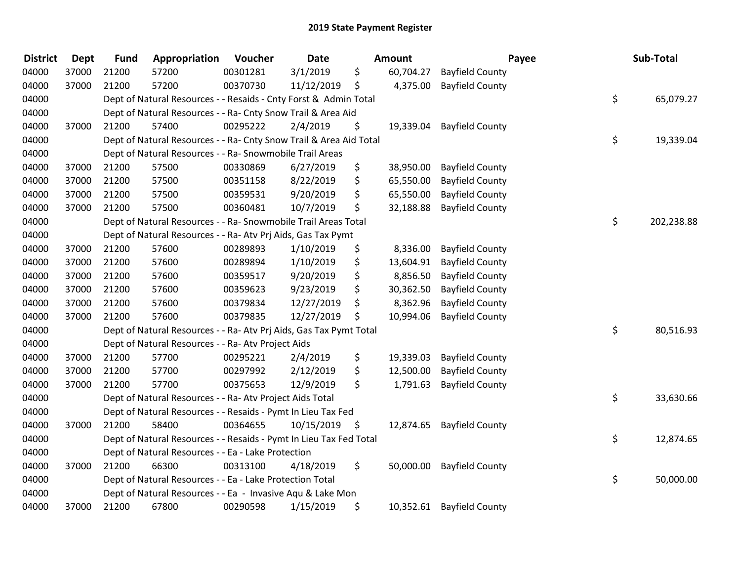| <b>District</b> | <b>Dept</b> | <b>Fund</b> | Appropriation                                                      | Voucher  | <b>Date</b> |      | <b>Amount</b> |                        | Payee | Sub-Total  |
|-----------------|-------------|-------------|--------------------------------------------------------------------|----------|-------------|------|---------------|------------------------|-------|------------|
| 04000           | 37000       | 21200       | 57200                                                              | 00301281 | 3/1/2019    | \$   | 60,704.27     | <b>Bayfield County</b> |       |            |
| 04000           | 37000       | 21200       | 57200                                                              | 00370730 | 11/12/2019  | \$   | 4,375.00      | <b>Bayfield County</b> |       |            |
| 04000           |             |             | Dept of Natural Resources - - Resaids - Cnty Forst & Admin Total   |          |             |      |               |                        | \$    | 65,079.27  |
| 04000           |             |             | Dept of Natural Resources - - Ra- Cnty Snow Trail & Area Aid       |          |             |      |               |                        |       |            |
| 04000           | 37000       | 21200       | 57400                                                              | 00295222 | 2/4/2019    | \$   | 19,339.04     | <b>Bayfield County</b> |       |            |
| 04000           |             |             | Dept of Natural Resources - - Ra- Cnty Snow Trail & Area Aid Total |          |             |      |               |                        | \$    | 19,339.04  |
| 04000           |             |             | Dept of Natural Resources - - Ra- Snowmobile Trail Areas           |          |             |      |               |                        |       |            |
| 04000           | 37000       | 21200       | 57500                                                              | 00330869 | 6/27/2019   | \$   | 38,950.00     | <b>Bayfield County</b> |       |            |
| 04000           | 37000       | 21200       | 57500                                                              | 00351158 | 8/22/2019   | \$   | 65,550.00     | <b>Bayfield County</b> |       |            |
| 04000           | 37000       | 21200       | 57500                                                              | 00359531 | 9/20/2019   | \$   | 65,550.00     | <b>Bayfield County</b> |       |            |
| 04000           | 37000       | 21200       | 57500                                                              | 00360481 | 10/7/2019   | \$   | 32,188.88     | <b>Bayfield County</b> |       |            |
| 04000           |             |             | Dept of Natural Resources - - Ra- Snowmobile Trail Areas Total     |          |             |      |               |                        | \$    | 202,238.88 |
| 04000           |             |             | Dept of Natural Resources - - Ra- Atv Prj Aids, Gas Tax Pymt       |          |             |      |               |                        |       |            |
| 04000           | 37000       | 21200       | 57600                                                              | 00289893 | 1/10/2019   | \$   | 8,336.00      | <b>Bayfield County</b> |       |            |
| 04000           | 37000       | 21200       | 57600                                                              | 00289894 | 1/10/2019   | \$   | 13,604.91     | <b>Bayfield County</b> |       |            |
| 04000           | 37000       | 21200       | 57600                                                              | 00359517 | 9/20/2019   | \$   | 8,856.50      | <b>Bayfield County</b> |       |            |
| 04000           | 37000       | 21200       | 57600                                                              | 00359623 | 9/23/2019   | \$   | 30,362.50     | <b>Bayfield County</b> |       |            |
| 04000           | 37000       | 21200       | 57600                                                              | 00379834 | 12/27/2019  | \$   | 8,362.96      | <b>Bayfield County</b> |       |            |
| 04000           | 37000       | 21200       | 57600                                                              | 00379835 | 12/27/2019  | \$   | 10,994.06     | <b>Bayfield County</b> |       |            |
| 04000           |             |             | Dept of Natural Resources - - Ra- Atv Prj Aids, Gas Tax Pymt Total |          |             |      |               |                        | \$    | 80,516.93  |
| 04000           |             |             | Dept of Natural Resources - - Ra- Atv Project Aids                 |          |             |      |               |                        |       |            |
| 04000           | 37000       | 21200       | 57700                                                              | 00295221 | 2/4/2019    | \$   | 19,339.03     | <b>Bayfield County</b> |       |            |
| 04000           | 37000       | 21200       | 57700                                                              | 00297992 | 2/12/2019   | \$   | 12,500.00     | <b>Bayfield County</b> |       |            |
| 04000           | 37000       | 21200       | 57700                                                              | 00375653 | 12/9/2019   | \$   | 1,791.63      | <b>Bayfield County</b> |       |            |
| 04000           |             |             | Dept of Natural Resources - - Ra- Atv Project Aids Total           |          |             |      |               |                        | \$    | 33,630.66  |
| 04000           |             |             | Dept of Natural Resources - - Resaids - Pymt In Lieu Tax Fed       |          |             |      |               |                        |       |            |
| 04000           | 37000       | 21200       | 58400                                                              | 00364655 | 10/15/2019  | - \$ | 12,874.65     | <b>Bayfield County</b> |       |            |
| 04000           |             |             | Dept of Natural Resources - - Resaids - Pymt In Lieu Tax Fed Total |          |             |      |               |                        | \$    | 12,874.65  |
| 04000           |             |             | Dept of Natural Resources - - Ea - Lake Protection                 |          |             |      |               |                        |       |            |
| 04000           | 37000       | 21200       | 66300                                                              | 00313100 | 4/18/2019   | \$   | 50,000.00     | <b>Bayfield County</b> |       |            |
| 04000           |             |             | Dept of Natural Resources - - Ea - Lake Protection Total           |          |             |      |               |                        | \$    | 50,000.00  |
| 04000           |             |             | Dept of Natural Resources - - Ea - Invasive Aqu & Lake Mon         |          |             |      |               |                        |       |            |
| 04000           | 37000       | 21200       | 67800                                                              | 00290598 | 1/15/2019   | \$   | 10,352.61     | <b>Bayfield County</b> |       |            |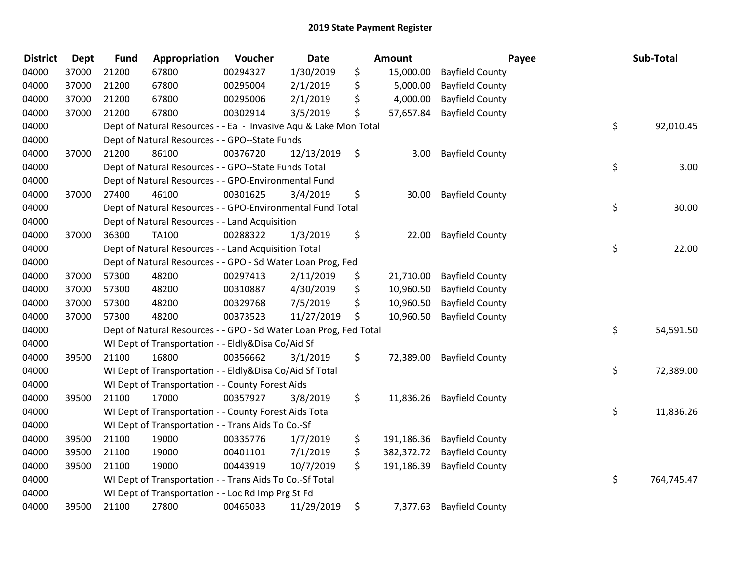| <b>District</b> | <b>Dept</b> | <b>Fund</b> | Appropriation                                                     | Voucher  | <b>Date</b> | Amount           |                           | Payee | Sub-Total  |
|-----------------|-------------|-------------|-------------------------------------------------------------------|----------|-------------|------------------|---------------------------|-------|------------|
| 04000           | 37000       | 21200       | 67800                                                             | 00294327 | 1/30/2019   | \$<br>15,000.00  | <b>Bayfield County</b>    |       |            |
| 04000           | 37000       | 21200       | 67800                                                             | 00295004 | 2/1/2019    | \$<br>5,000.00   | <b>Bayfield County</b>    |       |            |
| 04000           | 37000       | 21200       | 67800                                                             | 00295006 | 2/1/2019    | \$<br>4,000.00   | <b>Bayfield County</b>    |       |            |
| 04000           | 37000       | 21200       | 67800                                                             | 00302914 | 3/5/2019    | \$<br>57,657.84  | <b>Bayfield County</b>    |       |            |
| 04000           |             |             | Dept of Natural Resources - - Ea - Invasive Aqu & Lake Mon Total  |          |             |                  |                           | \$    | 92,010.45  |
| 04000           |             |             | Dept of Natural Resources - - GPO--State Funds                    |          |             |                  |                           |       |            |
| 04000           | 37000       | 21200       | 86100                                                             | 00376720 | 12/13/2019  | \$<br>3.00       | <b>Bayfield County</b>    |       |            |
| 04000           |             |             | Dept of Natural Resources - - GPO--State Funds Total              |          |             |                  |                           | \$    | 3.00       |
| 04000           |             |             | Dept of Natural Resources - - GPO-Environmental Fund              |          |             |                  |                           |       |            |
| 04000           | 37000       | 27400       | 46100                                                             | 00301625 | 3/4/2019    | \$<br>30.00      | <b>Bayfield County</b>    |       |            |
| 04000           |             |             | Dept of Natural Resources - - GPO-Environmental Fund Total        |          |             |                  |                           | \$    | 30.00      |
| 04000           |             |             | Dept of Natural Resources - - Land Acquisition                    |          |             |                  |                           |       |            |
| 04000           | 37000       | 36300       | TA100                                                             | 00288322 | 1/3/2019    | \$<br>22.00      | <b>Bayfield County</b>    |       |            |
| 04000           |             |             | Dept of Natural Resources - - Land Acquisition Total              |          |             |                  |                           | \$    | 22.00      |
| 04000           |             |             | Dept of Natural Resources - - GPO - Sd Water Loan Prog, Fed       |          |             |                  |                           |       |            |
| 04000           | 37000       | 57300       | 48200                                                             | 00297413 | 2/11/2019   | \$<br>21,710.00  | <b>Bayfield County</b>    |       |            |
| 04000           | 37000       | 57300       | 48200                                                             | 00310887 | 4/30/2019   | \$<br>10,960.50  | <b>Bayfield County</b>    |       |            |
| 04000           | 37000       | 57300       | 48200                                                             | 00329768 | 7/5/2019    | \$<br>10,960.50  | <b>Bayfield County</b>    |       |            |
| 04000           | 37000       | 57300       | 48200                                                             | 00373523 | 11/27/2019  | \$<br>10,960.50  | <b>Bayfield County</b>    |       |            |
| 04000           |             |             | Dept of Natural Resources - - GPO - Sd Water Loan Prog, Fed Total |          |             |                  |                           | \$    | 54,591.50  |
| 04000           |             |             | WI Dept of Transportation - - Eldly&Disa Co/Aid Sf                |          |             |                  |                           |       |            |
| 04000           | 39500       | 21100       | 16800                                                             | 00356662 | 3/1/2019    | \$               | 72,389.00 Bayfield County |       |            |
| 04000           |             |             | WI Dept of Transportation - - Eldly&Disa Co/Aid Sf Total          |          |             |                  |                           | \$    | 72,389.00  |
| 04000           |             |             | WI Dept of Transportation - - County Forest Aids                  |          |             |                  |                           |       |            |
| 04000           | 39500       | 21100       | 17000                                                             | 00357927 | 3/8/2019    | \$<br>11,836.26  | <b>Bayfield County</b>    |       |            |
| 04000           |             |             | WI Dept of Transportation - - County Forest Aids Total            |          |             |                  |                           | \$    | 11,836.26  |
| 04000           |             |             | WI Dept of Transportation - - Trans Aids To Co.-Sf                |          |             |                  |                           |       |            |
| 04000           | 39500       | 21100       | 19000                                                             | 00335776 | 1/7/2019    | \$<br>191,186.36 | <b>Bayfield County</b>    |       |            |
| 04000           | 39500       | 21100       | 19000                                                             | 00401101 | 7/1/2019    | \$<br>382,372.72 | <b>Bayfield County</b>    |       |            |
| 04000           | 39500       | 21100       | 19000                                                             | 00443919 | 10/7/2019   | \$<br>191,186.39 | <b>Bayfield County</b>    |       |            |
| 04000           |             |             | WI Dept of Transportation - - Trans Aids To Co.-Sf Total          |          |             |                  |                           | \$    | 764,745.47 |
| 04000           |             |             | WI Dept of Transportation - - Loc Rd Imp Prg St Fd                |          |             |                  |                           |       |            |
| 04000           | 39500       | 21100       | 27800                                                             | 00465033 | 11/29/2019  | \$<br>7,377.63   | <b>Bayfield County</b>    |       |            |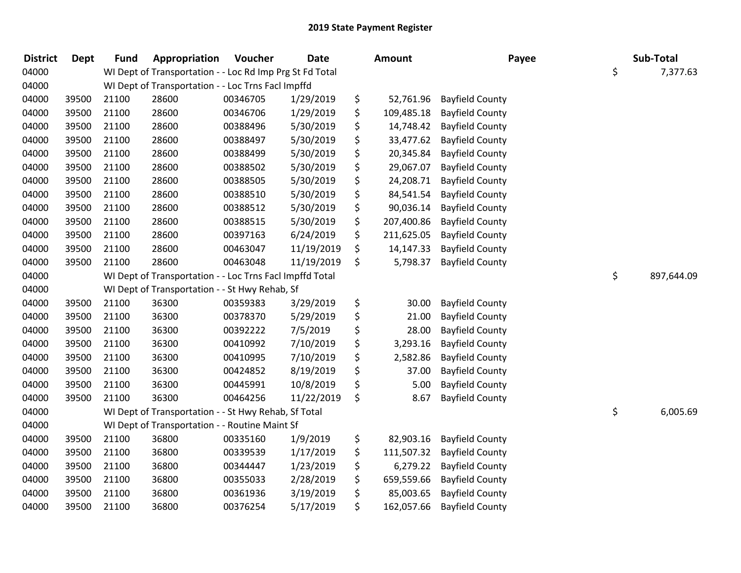| <b>District</b> | <b>Dept</b> | <b>Fund</b> | Appropriation                                            | Voucher  | <b>Date</b> | <b>Amount</b>    | Payee                  | Sub-Total        |
|-----------------|-------------|-------------|----------------------------------------------------------|----------|-------------|------------------|------------------------|------------------|
| 04000           |             |             | WI Dept of Transportation - - Loc Rd Imp Prg St Fd Total |          |             |                  |                        | \$<br>7,377.63   |
| 04000           |             |             | WI Dept of Transportation - - Loc Trns Facl Impffd       |          |             |                  |                        |                  |
| 04000           | 39500       | 21100       | 28600                                                    | 00346705 | 1/29/2019   | \$<br>52,761.96  | <b>Bayfield County</b> |                  |
| 04000           | 39500       | 21100       | 28600                                                    | 00346706 | 1/29/2019   | \$<br>109,485.18 | <b>Bayfield County</b> |                  |
| 04000           | 39500       | 21100       | 28600                                                    | 00388496 | 5/30/2019   | \$<br>14,748.42  | <b>Bayfield County</b> |                  |
| 04000           | 39500       | 21100       | 28600                                                    | 00388497 | 5/30/2019   | \$<br>33,477.62  | <b>Bayfield County</b> |                  |
| 04000           | 39500       | 21100       | 28600                                                    | 00388499 | 5/30/2019   | \$<br>20,345.84  | <b>Bayfield County</b> |                  |
| 04000           | 39500       | 21100       | 28600                                                    | 00388502 | 5/30/2019   | \$<br>29,067.07  | <b>Bayfield County</b> |                  |
| 04000           | 39500       | 21100       | 28600                                                    | 00388505 | 5/30/2019   | \$<br>24,208.71  | <b>Bayfield County</b> |                  |
| 04000           | 39500       | 21100       | 28600                                                    | 00388510 | 5/30/2019   | \$<br>84,541.54  | <b>Bayfield County</b> |                  |
| 04000           | 39500       | 21100       | 28600                                                    | 00388512 | 5/30/2019   | \$<br>90,036.14  | <b>Bayfield County</b> |                  |
| 04000           | 39500       | 21100       | 28600                                                    | 00388515 | 5/30/2019   | \$<br>207,400.86 | <b>Bayfield County</b> |                  |
| 04000           | 39500       | 21100       | 28600                                                    | 00397163 | 6/24/2019   | \$<br>211,625.05 | <b>Bayfield County</b> |                  |
| 04000           | 39500       | 21100       | 28600                                                    | 00463047 | 11/19/2019  | \$<br>14,147.33  | <b>Bayfield County</b> |                  |
| 04000           | 39500       | 21100       | 28600                                                    | 00463048 | 11/19/2019  | \$<br>5,798.37   | <b>Bayfield County</b> |                  |
| 04000           |             |             | WI Dept of Transportation - - Loc Trns Facl Impffd Total |          |             |                  |                        | \$<br>897,644.09 |
| 04000           |             |             | WI Dept of Transportation - - St Hwy Rehab, Sf           |          |             |                  |                        |                  |
| 04000           | 39500       | 21100       | 36300                                                    | 00359383 | 3/29/2019   | \$<br>30.00      | <b>Bayfield County</b> |                  |
| 04000           | 39500       | 21100       | 36300                                                    | 00378370 | 5/29/2019   | \$<br>21.00      | <b>Bayfield County</b> |                  |
| 04000           | 39500       | 21100       | 36300                                                    | 00392222 | 7/5/2019    | \$<br>28.00      | <b>Bayfield County</b> |                  |
| 04000           | 39500       | 21100       | 36300                                                    | 00410992 | 7/10/2019   | \$<br>3,293.16   | <b>Bayfield County</b> |                  |
| 04000           | 39500       | 21100       | 36300                                                    | 00410995 | 7/10/2019   | \$<br>2,582.86   | <b>Bayfield County</b> |                  |
| 04000           | 39500       | 21100       | 36300                                                    | 00424852 | 8/19/2019   | \$<br>37.00      | <b>Bayfield County</b> |                  |
| 04000           | 39500       | 21100       | 36300                                                    | 00445991 | 10/8/2019   | \$<br>5.00       | <b>Bayfield County</b> |                  |
| 04000           | 39500       | 21100       | 36300                                                    | 00464256 | 11/22/2019  | \$<br>8.67       | <b>Bayfield County</b> |                  |
| 04000           |             |             | WI Dept of Transportation - - St Hwy Rehab, Sf Total     |          |             |                  |                        | \$<br>6,005.69   |
| 04000           |             |             | WI Dept of Transportation - - Routine Maint Sf           |          |             |                  |                        |                  |
| 04000           | 39500       | 21100       | 36800                                                    | 00335160 | 1/9/2019    | \$<br>82,903.16  | <b>Bayfield County</b> |                  |
| 04000           | 39500       | 21100       | 36800                                                    | 00339539 | 1/17/2019   | \$<br>111,507.32 | <b>Bayfield County</b> |                  |
| 04000           | 39500       | 21100       | 36800                                                    | 00344447 | 1/23/2019   | \$<br>6,279.22   | <b>Bayfield County</b> |                  |
| 04000           | 39500       | 21100       | 36800                                                    | 00355033 | 2/28/2019   | \$<br>659,559.66 | <b>Bayfield County</b> |                  |
| 04000           | 39500       | 21100       | 36800                                                    | 00361936 | 3/19/2019   | \$<br>85,003.65  | <b>Bayfield County</b> |                  |
| 04000           | 39500       | 21100       | 36800                                                    | 00376254 | 5/17/2019   | \$<br>162,057.66 | <b>Bayfield County</b> |                  |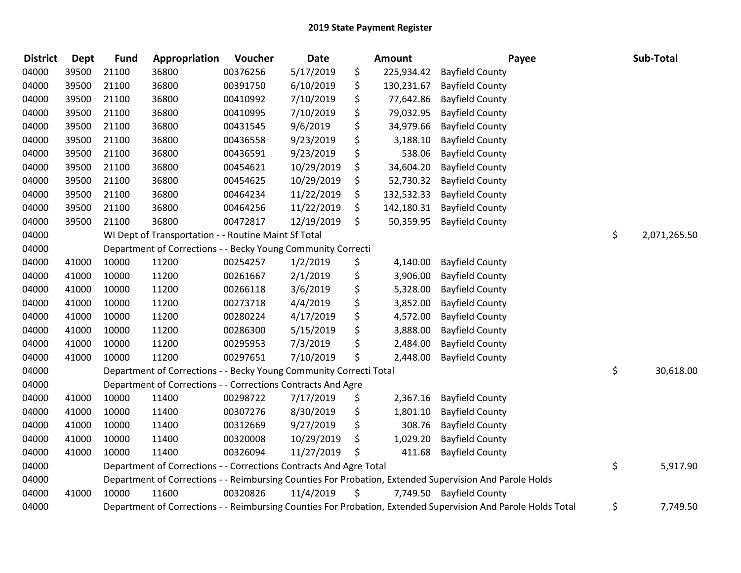| <b>District</b> | <b>Dept</b> | <b>Fund</b> | Appropriation                                                      | Voucher  | Date       | Amount           | Payee                                                                                                         | Sub-Total          |
|-----------------|-------------|-------------|--------------------------------------------------------------------|----------|------------|------------------|---------------------------------------------------------------------------------------------------------------|--------------------|
| 04000           | 39500       | 21100       | 36800                                                              | 00376256 | 5/17/2019  | \$<br>225,934.42 | <b>Bayfield County</b>                                                                                        |                    |
| 04000           | 39500       | 21100       | 36800                                                              | 00391750 | 6/10/2019  | \$<br>130,231.67 | <b>Bayfield County</b>                                                                                        |                    |
| 04000           | 39500       | 21100       | 36800                                                              | 00410992 | 7/10/2019  | \$<br>77,642.86  | <b>Bayfield County</b>                                                                                        |                    |
| 04000           | 39500       | 21100       | 36800                                                              | 00410995 | 7/10/2019  | \$<br>79,032.95  | <b>Bayfield County</b>                                                                                        |                    |
| 04000           | 39500       | 21100       | 36800                                                              | 00431545 | 9/6/2019   | \$<br>34,979.66  | <b>Bayfield County</b>                                                                                        |                    |
| 04000           | 39500       | 21100       | 36800                                                              | 00436558 | 9/23/2019  | \$<br>3,188.10   | <b>Bayfield County</b>                                                                                        |                    |
| 04000           | 39500       | 21100       | 36800                                                              | 00436591 | 9/23/2019  | \$<br>538.06     | <b>Bayfield County</b>                                                                                        |                    |
| 04000           | 39500       | 21100       | 36800                                                              | 00454621 | 10/29/2019 | \$<br>34,604.20  | <b>Bayfield County</b>                                                                                        |                    |
| 04000           | 39500       | 21100       | 36800                                                              | 00454625 | 10/29/2019 | \$<br>52,730.32  | <b>Bayfield County</b>                                                                                        |                    |
| 04000           | 39500       | 21100       | 36800                                                              | 00464234 | 11/22/2019 | \$<br>132,532.33 | <b>Bayfield County</b>                                                                                        |                    |
| 04000           | 39500       | 21100       | 36800                                                              | 00464256 | 11/22/2019 | \$<br>142,180.31 | <b>Bayfield County</b>                                                                                        |                    |
| 04000           | 39500       | 21100       | 36800                                                              | 00472817 | 12/19/2019 | \$<br>50,359.95  | <b>Bayfield County</b>                                                                                        |                    |
| 04000           |             |             | WI Dept of Transportation - - Routine Maint Sf Total               |          |            |                  |                                                                                                               | \$<br>2,071,265.50 |
| 04000           |             |             | Department of Corrections - - Becky Young Community Correcti       |          |            |                  |                                                                                                               |                    |
| 04000           | 41000       | 10000       | 11200                                                              | 00254257 | 1/2/2019   | \$<br>4,140.00   | <b>Bayfield County</b>                                                                                        |                    |
| 04000           | 41000       | 10000       | 11200                                                              | 00261667 | 2/1/2019   | \$<br>3,906.00   | <b>Bayfield County</b>                                                                                        |                    |
| 04000           | 41000       | 10000       | 11200                                                              | 00266118 | 3/6/2019   | \$<br>5,328.00   | <b>Bayfield County</b>                                                                                        |                    |
| 04000           | 41000       | 10000       | 11200                                                              | 00273718 | 4/4/2019   | \$<br>3,852.00   | <b>Bayfield County</b>                                                                                        |                    |
| 04000           | 41000       | 10000       | 11200                                                              | 00280224 | 4/17/2019  | \$<br>4,572.00   | <b>Bayfield County</b>                                                                                        |                    |
| 04000           | 41000       | 10000       | 11200                                                              | 00286300 | 5/15/2019  | \$<br>3,888.00   | <b>Bayfield County</b>                                                                                        |                    |
| 04000           | 41000       | 10000       | 11200                                                              | 00295953 | 7/3/2019   | \$<br>2,484.00   | <b>Bayfield County</b>                                                                                        |                    |
| 04000           | 41000       | 10000       | 11200                                                              | 00297651 | 7/10/2019  | \$<br>2,448.00   | <b>Bayfield County</b>                                                                                        |                    |
| 04000           |             |             | Department of Corrections - - Becky Young Community Correcti Total |          |            |                  |                                                                                                               | \$<br>30,618.00    |
| 04000           |             |             | Department of Corrections - - Corrections Contracts And Agre       |          |            |                  |                                                                                                               |                    |
| 04000           | 41000       | 10000       | 11400                                                              | 00298722 | 7/17/2019  | \$<br>2,367.16   | <b>Bayfield County</b>                                                                                        |                    |
| 04000           | 41000       | 10000       | 11400                                                              | 00307276 | 8/30/2019  | \$<br>1,801.10   | <b>Bayfield County</b>                                                                                        |                    |
| 04000           | 41000       | 10000       | 11400                                                              | 00312669 | 9/27/2019  | \$<br>308.76     | <b>Bayfield County</b>                                                                                        |                    |
| 04000           | 41000       | 10000       | 11400                                                              | 00320008 | 10/29/2019 | \$<br>1,029.20   | <b>Bayfield County</b>                                                                                        |                    |
| 04000           | 41000       | 10000       | 11400                                                              | 00326094 | 11/27/2019 | \$<br>411.68     | <b>Bayfield County</b>                                                                                        |                    |
| 04000           |             |             | Department of Corrections - - Corrections Contracts And Agre Total |          |            |                  |                                                                                                               | \$<br>5,917.90     |
| 04000           |             |             |                                                                    |          |            |                  | Department of Corrections - - Reimbursing Counties For Probation, Extended Supervision And Parole Holds       |                    |
| 04000           | 41000       | 10000       | 11600                                                              | 00320826 | 11/4/2019  | \$               | 7,749.50 Bayfield County                                                                                      |                    |
| 04000           |             |             |                                                                    |          |            |                  | Department of Corrections - - Reimbursing Counties For Probation, Extended Supervision And Parole Holds Total | \$<br>7,749.50     |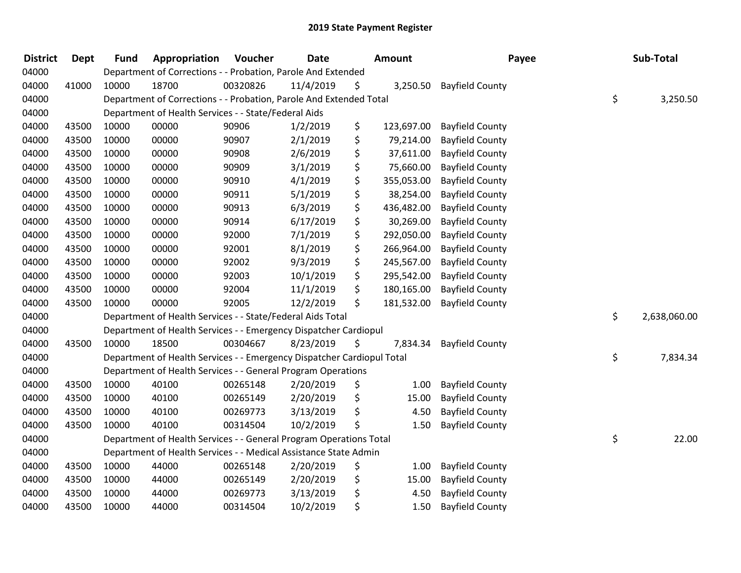| <b>District</b> | <b>Dept</b> | <b>Fund</b> | Appropriation                                                          | Voucher  | Date      | <b>Amount</b>    | Payee                  | Sub-Total          |
|-----------------|-------------|-------------|------------------------------------------------------------------------|----------|-----------|------------------|------------------------|--------------------|
| 04000           |             |             | Department of Corrections - - Probation, Parole And Extended           |          |           |                  |                        |                    |
| 04000           | 41000       | 10000       | 18700                                                                  | 00320826 | 11/4/2019 | \$<br>3,250.50   | <b>Bayfield County</b> |                    |
| 04000           |             |             | Department of Corrections - - Probation, Parole And Extended Total     |          |           |                  |                        | \$<br>3,250.50     |
| 04000           |             |             | Department of Health Services - - State/Federal Aids                   |          |           |                  |                        |                    |
| 04000           | 43500       | 10000       | 00000                                                                  | 90906    | 1/2/2019  | \$<br>123,697.00 | <b>Bayfield County</b> |                    |
| 04000           | 43500       | 10000       | 00000                                                                  | 90907    | 2/1/2019  | \$<br>79,214.00  | <b>Bayfield County</b> |                    |
| 04000           | 43500       | 10000       | 00000                                                                  | 90908    | 2/6/2019  | \$<br>37,611.00  | <b>Bayfield County</b> |                    |
| 04000           | 43500       | 10000       | 00000                                                                  | 90909    | 3/1/2019  | \$<br>75,660.00  | <b>Bayfield County</b> |                    |
| 04000           | 43500       | 10000       | 00000                                                                  | 90910    | 4/1/2019  | \$<br>355,053.00 | <b>Bayfield County</b> |                    |
| 04000           | 43500       | 10000       | 00000                                                                  | 90911    | 5/1/2019  | \$<br>38,254.00  | <b>Bayfield County</b> |                    |
| 04000           | 43500       | 10000       | 00000                                                                  | 90913    | 6/3/2019  | \$<br>436,482.00 | <b>Bayfield County</b> |                    |
| 04000           | 43500       | 10000       | 00000                                                                  | 90914    | 6/17/2019 | \$<br>30,269.00  | <b>Bayfield County</b> |                    |
| 04000           | 43500       | 10000       | 00000                                                                  | 92000    | 7/1/2019  | \$<br>292,050.00 | <b>Bayfield County</b> |                    |
| 04000           | 43500       | 10000       | 00000                                                                  | 92001    | 8/1/2019  | \$<br>266,964.00 | <b>Bayfield County</b> |                    |
| 04000           | 43500       | 10000       | 00000                                                                  | 92002    | 9/3/2019  | \$<br>245,567.00 | <b>Bayfield County</b> |                    |
| 04000           | 43500       | 10000       | 00000                                                                  | 92003    | 10/1/2019 | \$<br>295,542.00 | <b>Bayfield County</b> |                    |
| 04000           | 43500       | 10000       | 00000                                                                  | 92004    | 11/1/2019 | \$<br>180,165.00 | <b>Bayfield County</b> |                    |
| 04000           | 43500       | 10000       | 00000                                                                  | 92005    | 12/2/2019 | \$<br>181,532.00 | <b>Bayfield County</b> |                    |
| 04000           |             |             | Department of Health Services - - State/Federal Aids Total             |          |           |                  |                        | \$<br>2,638,060.00 |
| 04000           |             |             | Department of Health Services - - Emergency Dispatcher Cardiopul       |          |           |                  |                        |                    |
| 04000           | 43500       | 10000       | 18500                                                                  | 00304667 | 8/23/2019 | \$<br>7,834.34   | <b>Bayfield County</b> |                    |
| 04000           |             |             | Department of Health Services - - Emergency Dispatcher Cardiopul Total |          |           |                  |                        | \$<br>7,834.34     |
| 04000           |             |             | Department of Health Services - - General Program Operations           |          |           |                  |                        |                    |
| 04000           | 43500       | 10000       | 40100                                                                  | 00265148 | 2/20/2019 | \$<br>1.00       | <b>Bayfield County</b> |                    |
| 04000           | 43500       | 10000       | 40100                                                                  | 00265149 | 2/20/2019 | \$<br>15.00      | <b>Bayfield County</b> |                    |
| 04000           | 43500       | 10000       | 40100                                                                  | 00269773 | 3/13/2019 | \$<br>4.50       | <b>Bayfield County</b> |                    |
| 04000           | 43500       | 10000       | 40100                                                                  | 00314504 | 10/2/2019 | \$<br>1.50       | <b>Bayfield County</b> |                    |
| 04000           |             |             | Department of Health Services - - General Program Operations Total     |          |           |                  |                        | \$<br>22.00        |
| 04000           |             |             | Department of Health Services - - Medical Assistance State Admin       |          |           |                  |                        |                    |
| 04000           | 43500       | 10000       | 44000                                                                  | 00265148 | 2/20/2019 | \$<br>1.00       | <b>Bayfield County</b> |                    |
| 04000           | 43500       | 10000       | 44000                                                                  | 00265149 | 2/20/2019 | \$<br>15.00      | <b>Bayfield County</b> |                    |
| 04000           | 43500       | 10000       | 44000                                                                  | 00269773 | 3/13/2019 | \$<br>4.50       | <b>Bayfield County</b> |                    |
| 04000           | 43500       | 10000       | 44000                                                                  | 00314504 | 10/2/2019 | \$<br>1.50       | <b>Bayfield County</b> |                    |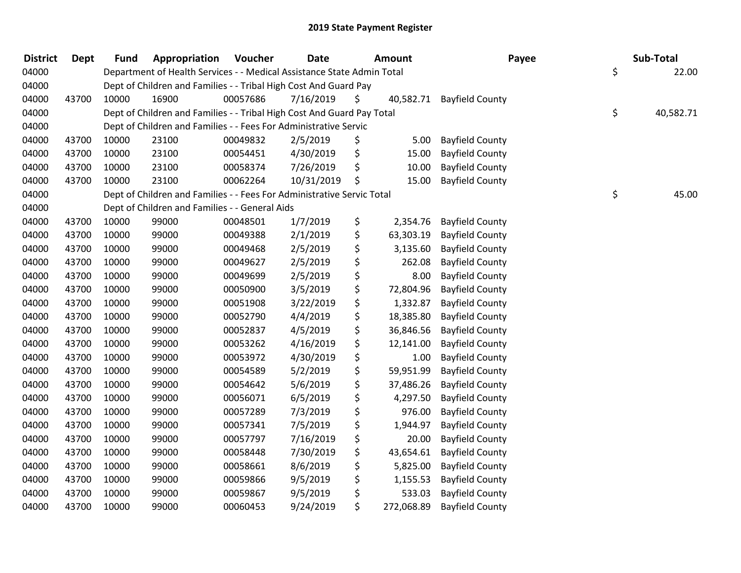| <b>District</b> | <b>Dept</b> | <b>Fund</b> | Appropriation                                                          | Voucher  | <b>Date</b> | <b>Amount</b>    | Payee                     | Sub-Total       |
|-----------------|-------------|-------------|------------------------------------------------------------------------|----------|-------------|------------------|---------------------------|-----------------|
| 04000           |             |             | Department of Health Services - - Medical Assistance State Admin Total |          |             |                  |                           | \$<br>22.00     |
| 04000           |             |             | Dept of Children and Families - - Tribal High Cost And Guard Pay       |          |             |                  |                           |                 |
| 04000           | 43700       | 10000       | 16900                                                                  | 00057686 | 7/16/2019   | \$               | 40,582.71 Bayfield County |                 |
| 04000           |             |             | Dept of Children and Families - - Tribal High Cost And Guard Pay Total |          |             |                  |                           | \$<br>40,582.71 |
| 04000           |             |             | Dept of Children and Families - - Fees For Administrative Servic       |          |             |                  |                           |                 |
| 04000           | 43700       | 10000       | 23100                                                                  | 00049832 | 2/5/2019    | \$<br>5.00       | <b>Bayfield County</b>    |                 |
| 04000           | 43700       | 10000       | 23100                                                                  | 00054451 | 4/30/2019   | \$<br>15.00      | <b>Bayfield County</b>    |                 |
| 04000           | 43700       | 10000       | 23100                                                                  | 00058374 | 7/26/2019   | \$<br>10.00      | <b>Bayfield County</b>    |                 |
| 04000           | 43700       | 10000       | 23100                                                                  | 00062264 | 10/31/2019  | \$<br>15.00      | <b>Bayfield County</b>    |                 |
| 04000           |             |             | Dept of Children and Families - - Fees For Administrative Servic Total |          |             |                  |                           | \$<br>45.00     |
| 04000           |             |             | Dept of Children and Families - - General Aids                         |          |             |                  |                           |                 |
| 04000           | 43700       | 10000       | 99000                                                                  | 00048501 | 1/7/2019    | \$<br>2,354.76   | <b>Bayfield County</b>    |                 |
| 04000           | 43700       | 10000       | 99000                                                                  | 00049388 | 2/1/2019    | \$<br>63,303.19  | <b>Bayfield County</b>    |                 |
| 04000           | 43700       | 10000       | 99000                                                                  | 00049468 | 2/5/2019    | \$<br>3,135.60   | <b>Bayfield County</b>    |                 |
| 04000           | 43700       | 10000       | 99000                                                                  | 00049627 | 2/5/2019    | \$<br>262.08     | <b>Bayfield County</b>    |                 |
| 04000           | 43700       | 10000       | 99000                                                                  | 00049699 | 2/5/2019    | \$<br>8.00       | <b>Bayfield County</b>    |                 |
| 04000           | 43700       | 10000       | 99000                                                                  | 00050900 | 3/5/2019    | \$<br>72,804.96  | <b>Bayfield County</b>    |                 |
| 04000           | 43700       | 10000       | 99000                                                                  | 00051908 | 3/22/2019   | \$<br>1,332.87   | <b>Bayfield County</b>    |                 |
| 04000           | 43700       | 10000       | 99000                                                                  | 00052790 | 4/4/2019    | \$<br>18,385.80  | <b>Bayfield County</b>    |                 |
| 04000           | 43700       | 10000       | 99000                                                                  | 00052837 | 4/5/2019    | \$<br>36,846.56  | <b>Bayfield County</b>    |                 |
| 04000           | 43700       | 10000       | 99000                                                                  | 00053262 | 4/16/2019   | \$<br>12,141.00  | <b>Bayfield County</b>    |                 |
| 04000           | 43700       | 10000       | 99000                                                                  | 00053972 | 4/30/2019   | \$<br>1.00       | <b>Bayfield County</b>    |                 |
| 04000           | 43700       | 10000       | 99000                                                                  | 00054589 | 5/2/2019    | \$<br>59,951.99  | <b>Bayfield County</b>    |                 |
| 04000           | 43700       | 10000       | 99000                                                                  | 00054642 | 5/6/2019    | \$<br>37,486.26  | <b>Bayfield County</b>    |                 |
| 04000           | 43700       | 10000       | 99000                                                                  | 00056071 | 6/5/2019    | \$<br>4,297.50   | <b>Bayfield County</b>    |                 |
| 04000           | 43700       | 10000       | 99000                                                                  | 00057289 | 7/3/2019    | \$<br>976.00     | <b>Bayfield County</b>    |                 |
| 04000           | 43700       | 10000       | 99000                                                                  | 00057341 | 7/5/2019    | \$<br>1,944.97   | <b>Bayfield County</b>    |                 |
| 04000           | 43700       | 10000       | 99000                                                                  | 00057797 | 7/16/2019   | \$<br>20.00      | <b>Bayfield County</b>    |                 |
| 04000           | 43700       | 10000       | 99000                                                                  | 00058448 | 7/30/2019   | \$<br>43,654.61  | <b>Bayfield County</b>    |                 |
| 04000           | 43700       | 10000       | 99000                                                                  | 00058661 | 8/6/2019    | \$<br>5,825.00   | <b>Bayfield County</b>    |                 |
| 04000           | 43700       | 10000       | 99000                                                                  | 00059866 | 9/5/2019    | \$<br>1,155.53   | <b>Bayfield County</b>    |                 |
| 04000           | 43700       | 10000       | 99000                                                                  | 00059867 | 9/5/2019    | \$<br>533.03     | <b>Bayfield County</b>    |                 |
| 04000           | 43700       | 10000       | 99000                                                                  | 00060453 | 9/24/2019   | \$<br>272,068.89 | <b>Bayfield County</b>    |                 |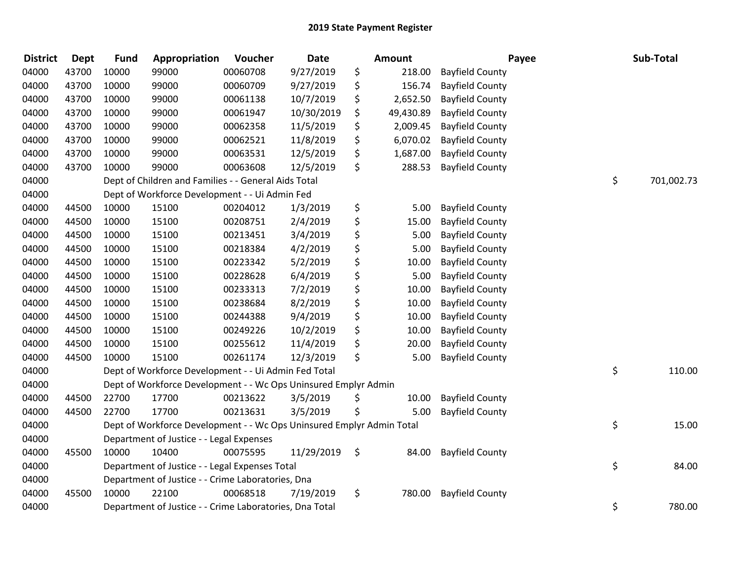| <b>District</b> | <b>Dept</b> | <b>Fund</b> | Appropriation                                                         | Voucher  | <b>Date</b> |    | <b>Amount</b> |                        | Payee | Sub-Total  |
|-----------------|-------------|-------------|-----------------------------------------------------------------------|----------|-------------|----|---------------|------------------------|-------|------------|
| 04000           | 43700       | 10000       | 99000                                                                 | 00060708 | 9/27/2019   | \$ | 218.00        | <b>Bayfield County</b> |       |            |
| 04000           | 43700       | 10000       | 99000                                                                 | 00060709 | 9/27/2019   | \$ | 156.74        | <b>Bayfield County</b> |       |            |
| 04000           | 43700       | 10000       | 99000                                                                 | 00061138 | 10/7/2019   | \$ | 2,652.50      | <b>Bayfield County</b> |       |            |
| 04000           | 43700       | 10000       | 99000                                                                 | 00061947 | 10/30/2019  | \$ | 49,430.89     | <b>Bayfield County</b> |       |            |
| 04000           | 43700       | 10000       | 99000                                                                 | 00062358 | 11/5/2019   | \$ | 2,009.45      | <b>Bayfield County</b> |       |            |
| 04000           | 43700       | 10000       | 99000                                                                 | 00062521 | 11/8/2019   | \$ | 6,070.02      | <b>Bayfield County</b> |       |            |
| 04000           | 43700       | 10000       | 99000                                                                 | 00063531 | 12/5/2019   | \$ | 1,687.00      | <b>Bayfield County</b> |       |            |
| 04000           | 43700       | 10000       | 99000                                                                 | 00063608 | 12/5/2019   | \$ | 288.53        | <b>Bayfield County</b> |       |            |
| 04000           |             |             | Dept of Children and Families - - General Aids Total                  |          |             |    |               |                        | \$    | 701,002.73 |
| 04000           |             |             | Dept of Workforce Development - - Ui Admin Fed                        |          |             |    |               |                        |       |            |
| 04000           | 44500       | 10000       | 15100                                                                 | 00204012 | 1/3/2019    | \$ | 5.00          | <b>Bayfield County</b> |       |            |
| 04000           | 44500       | 10000       | 15100                                                                 | 00208751 | 2/4/2019    | \$ | 15.00         | <b>Bayfield County</b> |       |            |
| 04000           | 44500       | 10000       | 15100                                                                 | 00213451 | 3/4/2019    | \$ | 5.00          | <b>Bayfield County</b> |       |            |
| 04000           | 44500       | 10000       | 15100                                                                 | 00218384 | 4/2/2019    | \$ | 5.00          | <b>Bayfield County</b> |       |            |
| 04000           | 44500       | 10000       | 15100                                                                 | 00223342 | 5/2/2019    | \$ | 10.00         | <b>Bayfield County</b> |       |            |
| 04000           | 44500       | 10000       | 15100                                                                 | 00228628 | 6/4/2019    | \$ | 5.00          | <b>Bayfield County</b> |       |            |
| 04000           | 44500       | 10000       | 15100                                                                 | 00233313 | 7/2/2019    | \$ | 10.00         | <b>Bayfield County</b> |       |            |
| 04000           | 44500       | 10000       | 15100                                                                 | 00238684 | 8/2/2019    | \$ | 10.00         | <b>Bayfield County</b> |       |            |
| 04000           | 44500       | 10000       | 15100                                                                 | 00244388 | 9/4/2019    | \$ | 10.00         | <b>Bayfield County</b> |       |            |
| 04000           | 44500       | 10000       | 15100                                                                 | 00249226 | 10/2/2019   | \$ | 10.00         | <b>Bayfield County</b> |       |            |
| 04000           | 44500       | 10000       | 15100                                                                 | 00255612 | 11/4/2019   | \$ | 20.00         | <b>Bayfield County</b> |       |            |
| 04000           | 44500       | 10000       | 15100                                                                 | 00261174 | 12/3/2019   | \$ | 5.00          | <b>Bayfield County</b> |       |            |
| 04000           |             |             | Dept of Workforce Development - - Ui Admin Fed Total                  |          |             |    |               |                        | \$    | 110.00     |
| 04000           |             |             | Dept of Workforce Development - - Wc Ops Uninsured Emplyr Admin       |          |             |    |               |                        |       |            |
| 04000           | 44500       | 22700       | 17700                                                                 | 00213622 | 3/5/2019    | \$ | 10.00         | <b>Bayfield County</b> |       |            |
| 04000           | 44500       | 22700       | 17700                                                                 | 00213631 | 3/5/2019    | Ś  | 5.00          | <b>Bayfield County</b> |       |            |
| 04000           |             |             | Dept of Workforce Development - - Wc Ops Uninsured Emplyr Admin Total |          |             |    |               |                        | \$    | 15.00      |
| 04000           |             |             | Department of Justice - - Legal Expenses                              |          |             |    |               |                        |       |            |
| 04000           | 45500       | 10000       | 10400                                                                 | 00075595 | 11/29/2019  | \$ | 84.00         | <b>Bayfield County</b> |       |            |
| 04000           |             |             | Department of Justice - - Legal Expenses Total                        |          |             |    |               |                        | \$    | 84.00      |
| 04000           |             |             | Department of Justice - - Crime Laboratories, Dna                     |          |             |    |               |                        |       |            |
| 04000           | 45500       | 10000       | 22100                                                                 | 00068518 | 7/19/2019   | \$ | 780.00        | <b>Bayfield County</b> |       |            |
| 04000           |             |             | Department of Justice - - Crime Laboratories, Dna Total               |          |             |    |               |                        | \$    | 780.00     |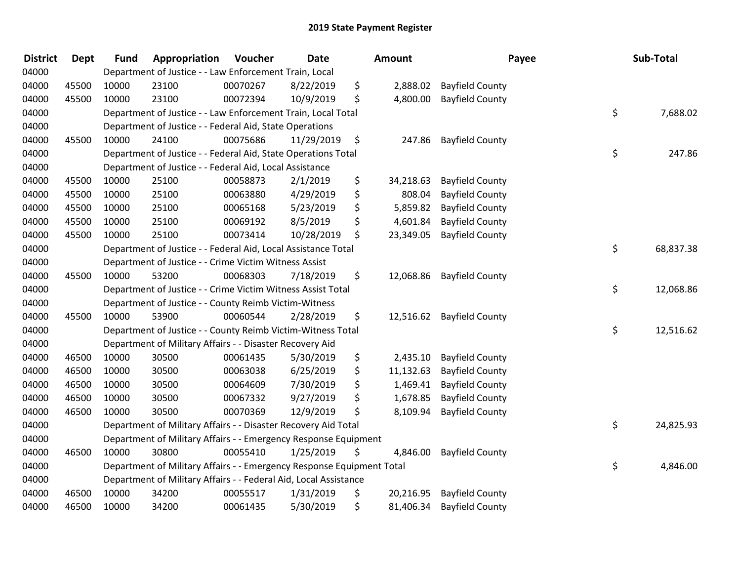| <b>District</b> | <b>Dept</b> | <b>Fund</b> | Appropriation                                                         | Voucher  | <b>Date</b> | Amount          | Payee                  | Sub-Total       |
|-----------------|-------------|-------------|-----------------------------------------------------------------------|----------|-------------|-----------------|------------------------|-----------------|
| 04000           |             |             | Department of Justice - - Law Enforcement Train, Local                |          |             |                 |                        |                 |
| 04000           | 45500       | 10000       | 23100                                                                 | 00070267 | 8/22/2019   | \$<br>2,888.02  | <b>Bayfield County</b> |                 |
| 04000           | 45500       | 10000       | 23100                                                                 | 00072394 | 10/9/2019   | \$<br>4,800.00  | <b>Bayfield County</b> |                 |
| 04000           |             |             | Department of Justice - - Law Enforcement Train, Local Total          |          |             |                 |                        | \$<br>7,688.02  |
| 04000           |             |             | Department of Justice - - Federal Aid, State Operations               |          |             |                 |                        |                 |
| 04000           | 45500       | 10000       | 24100                                                                 | 00075686 | 11/29/2019  | \$<br>247.86    | <b>Bayfield County</b> |                 |
| 04000           |             |             | Department of Justice - - Federal Aid, State Operations Total         |          |             |                 |                        | \$<br>247.86    |
| 04000           |             |             | Department of Justice - - Federal Aid, Local Assistance               |          |             |                 |                        |                 |
| 04000           | 45500       | 10000       | 25100                                                                 | 00058873 | 2/1/2019    | \$<br>34,218.63 | <b>Bayfield County</b> |                 |
| 04000           | 45500       | 10000       | 25100                                                                 | 00063880 | 4/29/2019   | \$<br>808.04    | <b>Bayfield County</b> |                 |
| 04000           | 45500       | 10000       | 25100                                                                 | 00065168 | 5/23/2019   | \$<br>5,859.82  | <b>Bayfield County</b> |                 |
| 04000           | 45500       | 10000       | 25100                                                                 | 00069192 | 8/5/2019    | \$<br>4,601.84  | <b>Bayfield County</b> |                 |
| 04000           | 45500       | 10000       | 25100                                                                 | 00073414 | 10/28/2019  | \$<br>23,349.05 | <b>Bayfield County</b> |                 |
| 04000           |             |             | Department of Justice - - Federal Aid, Local Assistance Total         |          |             |                 |                        | \$<br>68,837.38 |
| 04000           |             |             | Department of Justice - - Crime Victim Witness Assist                 |          |             |                 |                        |                 |
| 04000           | 45500       | 10000       | 53200                                                                 | 00068303 | 7/18/2019   | \$<br>12,068.86 | <b>Bayfield County</b> |                 |
| 04000           |             |             | Department of Justice - - Crime Victim Witness Assist Total           |          |             |                 |                        | \$<br>12,068.86 |
| 04000           |             |             | Department of Justice - - County Reimb Victim-Witness                 |          |             |                 |                        |                 |
| 04000           | 45500       | 10000       | 53900                                                                 | 00060544 | 2/28/2019   | \$<br>12,516.62 | <b>Bayfield County</b> |                 |
| 04000           |             |             | Department of Justice - - County Reimb Victim-Witness Total           |          |             |                 |                        | \$<br>12,516.62 |
| 04000           |             |             | Department of Military Affairs - - Disaster Recovery Aid              |          |             |                 |                        |                 |
| 04000           | 46500       | 10000       | 30500                                                                 | 00061435 | 5/30/2019   | \$<br>2,435.10  | <b>Bayfield County</b> |                 |
| 04000           | 46500       | 10000       | 30500                                                                 | 00063038 | 6/25/2019   | \$<br>11,132.63 | <b>Bayfield County</b> |                 |
| 04000           | 46500       | 10000       | 30500                                                                 | 00064609 | 7/30/2019   | \$<br>1,469.41  | <b>Bayfield County</b> |                 |
| 04000           | 46500       | 10000       | 30500                                                                 | 00067332 | 9/27/2019   | \$<br>1,678.85  | <b>Bayfield County</b> |                 |
| 04000           | 46500       | 10000       | 30500                                                                 | 00070369 | 12/9/2019   | \$<br>8,109.94  | <b>Bayfield County</b> |                 |
| 04000           |             |             | Department of Military Affairs - - Disaster Recovery Aid Total        |          |             |                 |                        | \$<br>24,825.93 |
| 04000           |             |             | Department of Military Affairs - - Emergency Response Equipment       |          |             |                 |                        |                 |
| 04000           | 46500       | 10000       | 30800                                                                 | 00055410 | 1/25/2019   | \$<br>4,846.00  | <b>Bayfield County</b> |                 |
| 04000           |             |             | Department of Military Affairs - - Emergency Response Equipment Total |          |             |                 |                        | \$<br>4,846.00  |
| 04000           |             |             | Department of Military Affairs - - Federal Aid, Local Assistance      |          |             |                 |                        |                 |
| 04000           | 46500       | 10000       | 34200                                                                 | 00055517 | 1/31/2019   | \$<br>20,216.95 | <b>Bayfield County</b> |                 |
| 04000           | 46500       | 10000       | 34200                                                                 | 00061435 | 5/30/2019   | \$<br>81,406.34 | <b>Bayfield County</b> |                 |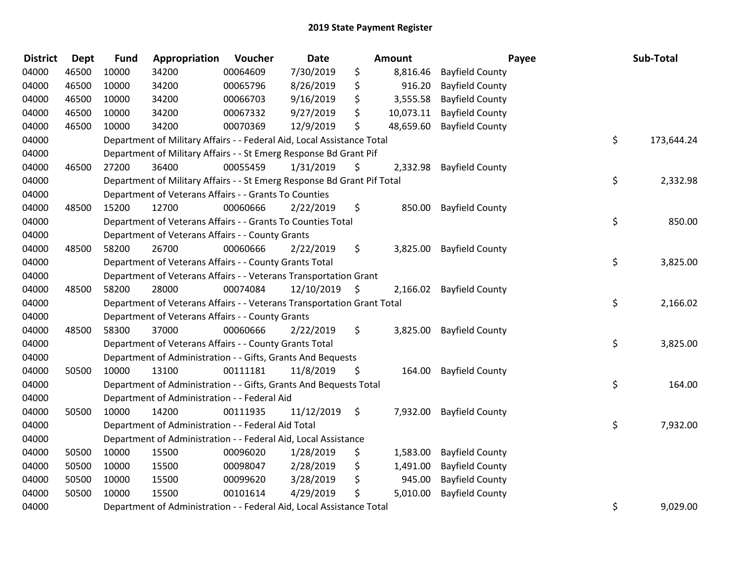| <b>District</b> | <b>Dept</b> | <b>Fund</b> | Appropriation                                                           | Voucher  | Date       | <b>Amount</b>   | Payee                  | Sub-Total        |
|-----------------|-------------|-------------|-------------------------------------------------------------------------|----------|------------|-----------------|------------------------|------------------|
| 04000           | 46500       | 10000       | 34200                                                                   | 00064609 | 7/30/2019  | \$<br>8,816.46  | <b>Bayfield County</b> |                  |
| 04000           | 46500       | 10000       | 34200                                                                   | 00065796 | 8/26/2019  | \$<br>916.20    | <b>Bayfield County</b> |                  |
| 04000           | 46500       | 10000       | 34200                                                                   | 00066703 | 9/16/2019  | \$<br>3,555.58  | <b>Bayfield County</b> |                  |
| 04000           | 46500       | 10000       | 34200                                                                   | 00067332 | 9/27/2019  | \$<br>10,073.11 | <b>Bayfield County</b> |                  |
| 04000           | 46500       | 10000       | 34200                                                                   | 00070369 | 12/9/2019  | \$<br>48,659.60 | <b>Bayfield County</b> |                  |
| 04000           |             |             | Department of Military Affairs - - Federal Aid, Local Assistance Total  |          |            |                 |                        | \$<br>173,644.24 |
| 04000           |             |             | Department of Military Affairs - - St Emerg Response Bd Grant Pif       |          |            |                 |                        |                  |
| 04000           | 46500       | 27200       | 36400                                                                   | 00055459 | 1/31/2019  | \$<br>2,332.98  | <b>Bayfield County</b> |                  |
| 04000           |             |             | Department of Military Affairs - - St Emerg Response Bd Grant Pif Total |          |            |                 |                        | \$<br>2,332.98   |
| 04000           |             |             | Department of Veterans Affairs - - Grants To Counties                   |          |            |                 |                        |                  |
| 04000           | 48500       | 15200       | 12700                                                                   | 00060666 | 2/22/2019  | \$<br>850.00    | <b>Bayfield County</b> |                  |
| 04000           |             |             | Department of Veterans Affairs - - Grants To Counties Total             |          |            |                 |                        | \$<br>850.00     |
| 04000           |             |             | Department of Veterans Affairs - - County Grants                        |          |            |                 |                        |                  |
| 04000           | 48500       | 58200       | 26700                                                                   | 00060666 | 2/22/2019  | \$<br>3,825.00  | <b>Bayfield County</b> |                  |
| 04000           |             |             | Department of Veterans Affairs - - County Grants Total                  |          |            |                 |                        | \$<br>3,825.00   |
| 04000           |             |             | Department of Veterans Affairs - - Veterans Transportation Grant        |          |            |                 |                        |                  |
| 04000           | 48500       | 58200       | 28000                                                                   | 00074084 | 12/10/2019 | \$<br>2,166.02  | <b>Bayfield County</b> |                  |
| 04000           |             |             | Department of Veterans Affairs - - Veterans Transportation Grant Total  |          |            |                 |                        | \$<br>2,166.02   |
| 04000           |             |             | Department of Veterans Affairs - - County Grants                        |          |            |                 |                        |                  |
| 04000           | 48500       | 58300       | 37000                                                                   | 00060666 | 2/22/2019  | \$<br>3,825.00  | <b>Bayfield County</b> |                  |
| 04000           |             |             | Department of Veterans Affairs - - County Grants Total                  |          |            |                 |                        | \$<br>3,825.00   |
| 04000           |             |             | Department of Administration - - Gifts, Grants And Bequests             |          |            |                 |                        |                  |
| 04000           | 50500       | 10000       | 13100                                                                   | 00111181 | 11/8/2019  | \$<br>164.00    | <b>Bayfield County</b> |                  |
| 04000           |             |             | Department of Administration - - Gifts, Grants And Bequests Total       |          |            |                 |                        | \$<br>164.00     |
| 04000           |             |             | Department of Administration - - Federal Aid                            |          |            |                 |                        |                  |
| 04000           | 50500       | 10000       | 14200                                                                   | 00111935 | 11/12/2019 | \$<br>7,932.00  | <b>Bayfield County</b> |                  |
| 04000           |             |             | Department of Administration - - Federal Aid Total                      |          |            |                 |                        | \$<br>7,932.00   |
| 04000           |             |             | Department of Administration - - Federal Aid, Local Assistance          |          |            |                 |                        |                  |
| 04000           | 50500       | 10000       | 15500                                                                   | 00096020 | 1/28/2019  | \$<br>1,583.00  | <b>Bayfield County</b> |                  |
| 04000           | 50500       | 10000       | 15500                                                                   | 00098047 | 2/28/2019  | \$<br>1,491.00  | <b>Bayfield County</b> |                  |
| 04000           | 50500       | 10000       | 15500                                                                   | 00099620 | 3/28/2019  | \$<br>945.00    | <b>Bayfield County</b> |                  |
| 04000           | 50500       | 10000       | 15500                                                                   | 00101614 | 4/29/2019  | \$<br>5,010.00  | <b>Bayfield County</b> |                  |
| 04000           |             |             | Department of Administration - - Federal Aid, Local Assistance Total    |          |            |                 |                        | \$<br>9,029.00   |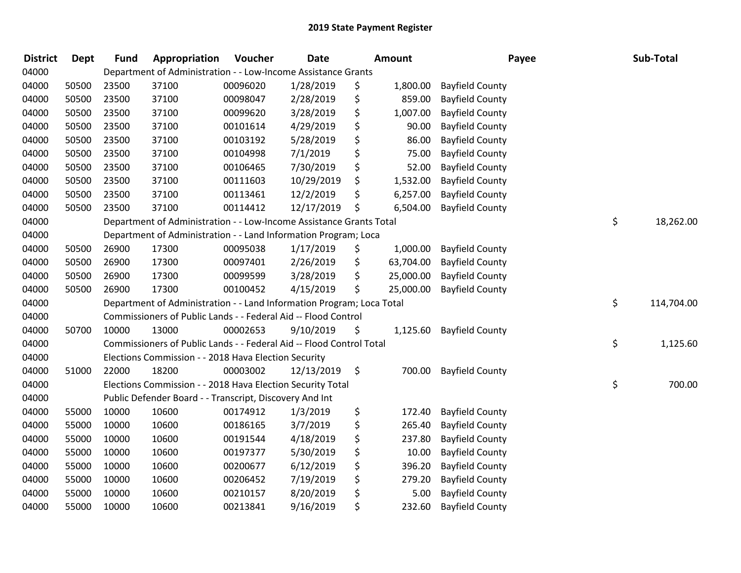| <b>District</b> | Dept  | <b>Fund</b> | Appropriation                                                         | Voucher  | Date       | Amount          | Payee                  | Sub-Total        |
|-----------------|-------|-------------|-----------------------------------------------------------------------|----------|------------|-----------------|------------------------|------------------|
| 04000           |       |             | Department of Administration - - Low-Income Assistance Grants         |          |            |                 |                        |                  |
| 04000           | 50500 | 23500       | 37100                                                                 | 00096020 | 1/28/2019  | \$<br>1,800.00  | <b>Bayfield County</b> |                  |
| 04000           | 50500 | 23500       | 37100                                                                 | 00098047 | 2/28/2019  | \$<br>859.00    | <b>Bayfield County</b> |                  |
| 04000           | 50500 | 23500       | 37100                                                                 | 00099620 | 3/28/2019  | \$<br>1,007.00  | <b>Bayfield County</b> |                  |
| 04000           | 50500 | 23500       | 37100                                                                 | 00101614 | 4/29/2019  | \$<br>90.00     | <b>Bayfield County</b> |                  |
| 04000           | 50500 | 23500       | 37100                                                                 | 00103192 | 5/28/2019  | \$<br>86.00     | <b>Bayfield County</b> |                  |
| 04000           | 50500 | 23500       | 37100                                                                 | 00104998 | 7/1/2019   | \$<br>75.00     | <b>Bayfield County</b> |                  |
| 04000           | 50500 | 23500       | 37100                                                                 | 00106465 | 7/30/2019  | \$<br>52.00     | <b>Bayfield County</b> |                  |
| 04000           | 50500 | 23500       | 37100                                                                 | 00111603 | 10/29/2019 | \$<br>1,532.00  | <b>Bayfield County</b> |                  |
| 04000           | 50500 | 23500       | 37100                                                                 | 00113461 | 12/2/2019  | \$<br>6,257.00  | <b>Bayfield County</b> |                  |
| 04000           | 50500 | 23500       | 37100                                                                 | 00114412 | 12/17/2019 | \$<br>6,504.00  | <b>Bayfield County</b> |                  |
| 04000           |       |             | Department of Administration - - Low-Income Assistance Grants Total   |          |            |                 |                        | \$<br>18,262.00  |
| 04000           |       |             | Department of Administration - - Land Information Program; Loca       |          |            |                 |                        |                  |
| 04000           | 50500 | 26900       | 17300                                                                 | 00095038 | 1/17/2019  | \$<br>1,000.00  | <b>Bayfield County</b> |                  |
| 04000           | 50500 | 26900       | 17300                                                                 | 00097401 | 2/26/2019  | \$<br>63,704.00 | <b>Bayfield County</b> |                  |
| 04000           | 50500 | 26900       | 17300                                                                 | 00099599 | 3/28/2019  | \$<br>25,000.00 | <b>Bayfield County</b> |                  |
| 04000           | 50500 | 26900       | 17300                                                                 | 00100452 | 4/15/2019  | \$<br>25,000.00 | <b>Bayfield County</b> |                  |
| 04000           |       |             | Department of Administration - - Land Information Program; Loca Total |          |            |                 |                        | \$<br>114,704.00 |
| 04000           |       |             | Commissioners of Public Lands - - Federal Aid -- Flood Control        |          |            |                 |                        |                  |
| 04000           | 50700 | 10000       | 13000                                                                 | 00002653 | 9/10/2019  | \$<br>1,125.60  | <b>Bayfield County</b> |                  |
| 04000           |       |             | Commissioners of Public Lands - - Federal Aid -- Flood Control Total  |          |            |                 |                        | \$<br>1,125.60   |
| 04000           |       |             | Elections Commission - - 2018 Hava Election Security                  |          |            |                 |                        |                  |
| 04000           | 51000 | 22000       | 18200                                                                 | 00003002 | 12/13/2019 | \$<br>700.00    | <b>Bayfield County</b> |                  |
| 04000           |       |             | Elections Commission - - 2018 Hava Election Security Total            |          |            |                 |                        | \$<br>700.00     |
| 04000           |       |             | Public Defender Board - - Transcript, Discovery And Int               |          |            |                 |                        |                  |
| 04000           | 55000 | 10000       | 10600                                                                 | 00174912 | 1/3/2019   | \$<br>172.40    | <b>Bayfield County</b> |                  |
| 04000           | 55000 | 10000       | 10600                                                                 | 00186165 | 3/7/2019   | \$<br>265.40    | <b>Bayfield County</b> |                  |
| 04000           | 55000 | 10000       | 10600                                                                 | 00191544 | 4/18/2019  | \$<br>237.80    | <b>Bayfield County</b> |                  |
| 04000           | 55000 | 10000       | 10600                                                                 | 00197377 | 5/30/2019  | \$<br>10.00     | <b>Bayfield County</b> |                  |
| 04000           | 55000 | 10000       | 10600                                                                 | 00200677 | 6/12/2019  | \$<br>396.20    | <b>Bayfield County</b> |                  |
| 04000           | 55000 | 10000       | 10600                                                                 | 00206452 | 7/19/2019  | \$<br>279.20    | <b>Bayfield County</b> |                  |
| 04000           | 55000 | 10000       | 10600                                                                 | 00210157 | 8/20/2019  | \$<br>5.00      | <b>Bayfield County</b> |                  |
| 04000           | 55000 | 10000       | 10600                                                                 | 00213841 | 9/16/2019  | \$<br>232.60    | <b>Bayfield County</b> |                  |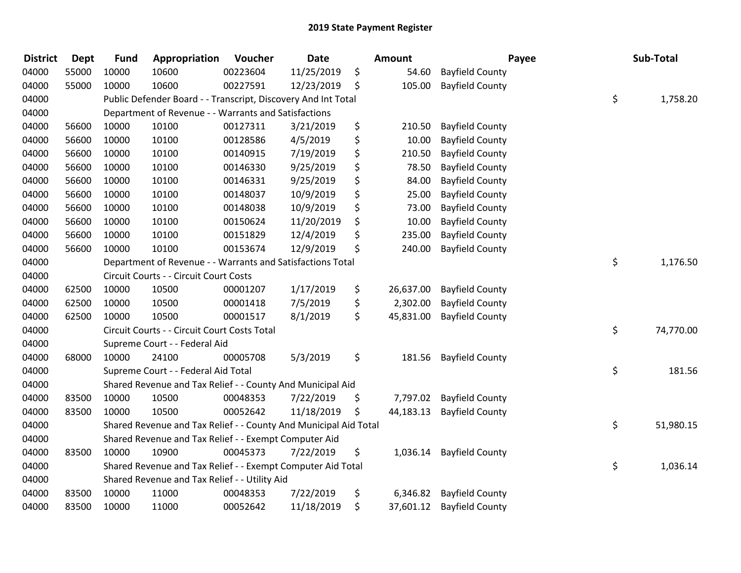| <b>District</b> | <b>Dept</b> | <b>Fund</b> | Appropriation                                                    | Voucher  | <b>Date</b> | <b>Amount</b>   | Payee                  | Sub-Total       |
|-----------------|-------------|-------------|------------------------------------------------------------------|----------|-------------|-----------------|------------------------|-----------------|
| 04000           | 55000       | 10000       | 10600                                                            | 00223604 | 11/25/2019  | \$<br>54.60     | <b>Bayfield County</b> |                 |
| 04000           | 55000       | 10000       | 10600                                                            | 00227591 | 12/23/2019  | \$<br>105.00    | <b>Bayfield County</b> |                 |
| 04000           |             |             | Public Defender Board - - Transcript, Discovery And Int Total    |          |             |                 |                        | \$<br>1,758.20  |
| 04000           |             |             | Department of Revenue - - Warrants and Satisfactions             |          |             |                 |                        |                 |
| 04000           | 56600       | 10000       | 10100                                                            | 00127311 | 3/21/2019   | \$<br>210.50    | <b>Bayfield County</b> |                 |
| 04000           | 56600       | 10000       | 10100                                                            | 00128586 | 4/5/2019    | \$<br>10.00     | <b>Bayfield County</b> |                 |
| 04000           | 56600       | 10000       | 10100                                                            | 00140915 | 7/19/2019   | \$<br>210.50    | <b>Bayfield County</b> |                 |
| 04000           | 56600       | 10000       | 10100                                                            | 00146330 | 9/25/2019   | \$<br>78.50     | <b>Bayfield County</b> |                 |
| 04000           | 56600       | 10000       | 10100                                                            | 00146331 | 9/25/2019   | \$<br>84.00     | <b>Bayfield County</b> |                 |
| 04000           | 56600       | 10000       | 10100                                                            | 00148037 | 10/9/2019   | \$<br>25.00     | <b>Bayfield County</b> |                 |
| 04000           | 56600       | 10000       | 10100                                                            | 00148038 | 10/9/2019   | \$<br>73.00     | <b>Bayfield County</b> |                 |
| 04000           | 56600       | 10000       | 10100                                                            | 00150624 | 11/20/2019  | \$<br>10.00     | <b>Bayfield County</b> |                 |
| 04000           | 56600       | 10000       | 10100                                                            | 00151829 | 12/4/2019   | \$<br>235.00    | <b>Bayfield County</b> |                 |
| 04000           | 56600       | 10000       | 10100                                                            | 00153674 | 12/9/2019   | \$<br>240.00    | <b>Bayfield County</b> |                 |
| 04000           |             |             | Department of Revenue - - Warrants and Satisfactions Total       |          |             |                 |                        | \$<br>1,176.50  |
| 04000           |             |             | Circuit Courts - - Circuit Court Costs                           |          |             |                 |                        |                 |
| 04000           | 62500       | 10000       | 10500                                                            | 00001207 | 1/17/2019   | \$<br>26,637.00 | <b>Bayfield County</b> |                 |
| 04000           | 62500       | 10000       | 10500                                                            | 00001418 | 7/5/2019    | \$<br>2,302.00  | <b>Bayfield County</b> |                 |
| 04000           | 62500       | 10000       | 10500                                                            | 00001517 | 8/1/2019    | \$<br>45,831.00 | <b>Bayfield County</b> |                 |
| 04000           |             |             | Circuit Courts - - Circuit Court Costs Total                     |          |             |                 |                        | \$<br>74,770.00 |
| 04000           |             |             | Supreme Court - - Federal Aid                                    |          |             |                 |                        |                 |
| 04000           | 68000       | 10000       | 24100                                                            | 00005708 | 5/3/2019    | \$<br>181.56    | <b>Bayfield County</b> |                 |
| 04000           |             |             | Supreme Court - - Federal Aid Total                              |          |             |                 |                        | \$<br>181.56    |
| 04000           |             |             | Shared Revenue and Tax Relief - - County And Municipal Aid       |          |             |                 |                        |                 |
| 04000           | 83500       | 10000       | 10500                                                            | 00048353 | 7/22/2019   | \$<br>7,797.02  | <b>Bayfield County</b> |                 |
| 04000           | 83500       | 10000       | 10500                                                            | 00052642 | 11/18/2019  | \$<br>44,183.13 | <b>Bayfield County</b> |                 |
| 04000           |             |             | Shared Revenue and Tax Relief - - County And Municipal Aid Total |          |             |                 |                        | \$<br>51,980.15 |
| 04000           |             |             | Shared Revenue and Tax Relief - - Exempt Computer Aid            |          |             |                 |                        |                 |
| 04000           | 83500       | 10000       | 10900                                                            | 00045373 | 7/22/2019   | \$<br>1,036.14  | <b>Bayfield County</b> |                 |
| 04000           |             |             | Shared Revenue and Tax Relief - - Exempt Computer Aid Total      |          |             |                 |                        | \$<br>1,036.14  |
| 04000           |             |             | Shared Revenue and Tax Relief - - Utility Aid                    |          |             |                 |                        |                 |
| 04000           | 83500       | 10000       | 11000                                                            | 00048353 | 7/22/2019   | \$<br>6,346.82  | <b>Bayfield County</b> |                 |
| 04000           | 83500       | 10000       | 11000                                                            | 00052642 | 11/18/2019  | \$<br>37,601.12 | <b>Bayfield County</b> |                 |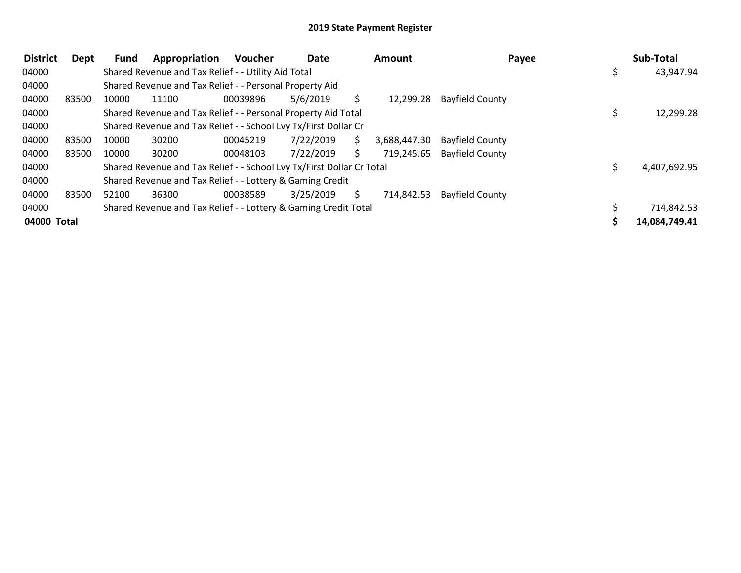| <b>District</b> | <b>Dept</b> | <b>Fund</b> | Appropriation                                                         | <b>Voucher</b> | Date      |    | <b>Amount</b> | Payee                  | Sub-Total     |
|-----------------|-------------|-------------|-----------------------------------------------------------------------|----------------|-----------|----|---------------|------------------------|---------------|
| 04000           |             |             | Shared Revenue and Tax Relief - - Utility Aid Total                   |                |           |    |               |                        | 43,947.94     |
| 04000           |             |             | Shared Revenue and Tax Relief - - Personal Property Aid               |                |           |    |               |                        |               |
| 04000           | 83500       | 10000       | 11100                                                                 | 00039896       | 5/6/2019  | S. | 12,299.28     | <b>Bayfield County</b> |               |
| 04000           |             |             | Shared Revenue and Tax Relief - - Personal Property Aid Total         |                |           |    |               |                        | 12,299.28     |
| 04000           |             |             | Shared Revenue and Tax Relief - - School Lvy Tx/First Dollar Cr       |                |           |    |               |                        |               |
| 04000           | 83500       | 10000       | 30200                                                                 | 00045219       | 7/22/2019 | S. | 3,688,447.30  | <b>Bayfield County</b> |               |
| 04000           | 83500       | 10000       | 30200                                                                 | 00048103       | 7/22/2019 | S. | 719,245.65    | <b>Bayfield County</b> |               |
| 04000           |             |             | Shared Revenue and Tax Relief - - School Lvy Tx/First Dollar Cr Total |                |           |    |               |                        | 4,407,692.95  |
| 04000           |             |             | Shared Revenue and Tax Relief - - Lottery & Gaming Credit             |                |           |    |               |                        |               |
| 04000           | 83500       | 52100       | 36300                                                                 | 00038589       | 3/25/2019 | S. | 714,842.53    | <b>Bayfield County</b> |               |
| 04000           |             |             | Shared Revenue and Tax Relief - - Lottery & Gaming Credit Total       |                |           |    |               |                        | 714,842.53    |
| 04000 Total     |             |             |                                                                       |                |           |    |               |                        | 14,084,749.41 |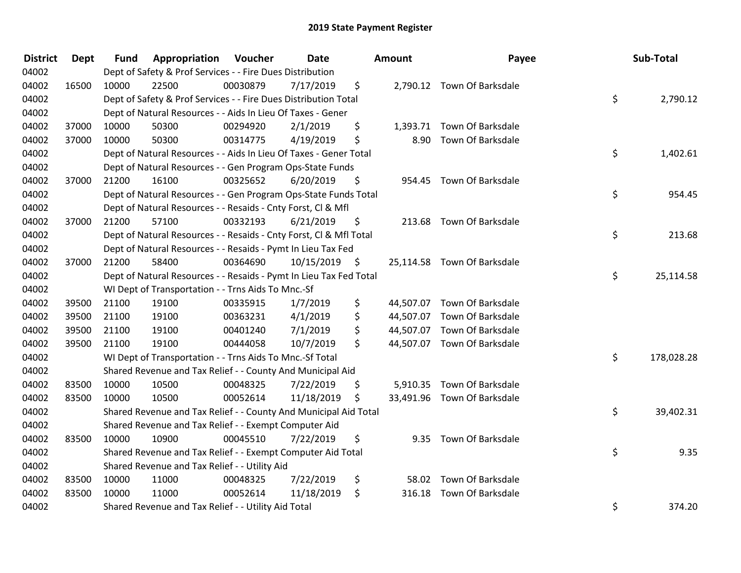| <b>District</b> | <b>Dept</b> | <b>Fund</b> | Appropriation                                                      | Voucher  | <b>Date</b> | <b>Amount</b> | Payee                       | Sub-Total        |
|-----------------|-------------|-------------|--------------------------------------------------------------------|----------|-------------|---------------|-----------------------------|------------------|
| 04002           |             |             | Dept of Safety & Prof Services - - Fire Dues Distribution          |          |             |               |                             |                  |
| 04002           | 16500       | 10000       | 22500                                                              | 00030879 | 7/17/2019   | \$            | 2,790.12 Town Of Barksdale  |                  |
| 04002           |             |             | Dept of Safety & Prof Services - - Fire Dues Distribution Total    |          |             |               |                             | \$<br>2,790.12   |
| 04002           |             |             | Dept of Natural Resources - - Aids In Lieu Of Taxes - Gener        |          |             |               |                             |                  |
| 04002           | 37000       | 10000       | 50300                                                              | 00294920 | 2/1/2019    | \$            | 1,393.71 Town Of Barksdale  |                  |
| 04002           | 37000       | 10000       | 50300                                                              | 00314775 | 4/19/2019   | \$            | 8.90 Town Of Barksdale      |                  |
| 04002           |             |             | Dept of Natural Resources - - Aids In Lieu Of Taxes - Gener Total  |          |             |               |                             | \$<br>1,402.61   |
| 04002           |             |             | Dept of Natural Resources - - Gen Program Ops-State Funds          |          |             |               |                             |                  |
| 04002           | 37000       | 21200       | 16100                                                              | 00325652 | 6/20/2019   | \$            | 954.45 Town Of Barksdale    |                  |
| 04002           |             |             | Dept of Natural Resources - - Gen Program Ops-State Funds Total    |          |             |               |                             | \$<br>954.45     |
| 04002           |             |             | Dept of Natural Resources - - Resaids - Cnty Forst, Cl & Mfl       |          |             |               |                             |                  |
| 04002           | 37000       | 21200       | 57100                                                              | 00332193 | 6/21/2019   | \$            | 213.68 Town Of Barksdale    |                  |
| 04002           |             |             | Dept of Natural Resources - - Resaids - Cnty Forst, CI & Mfl Total |          |             |               |                             | \$<br>213.68     |
| 04002           |             |             | Dept of Natural Resources - - Resaids - Pymt In Lieu Tax Fed       |          |             |               |                             |                  |
| 04002           | 37000       | 21200       | 58400                                                              | 00364690 | 10/15/2019  | \$            | 25,114.58 Town Of Barksdale |                  |
| 04002           |             |             | Dept of Natural Resources - - Resaids - Pymt In Lieu Tax Fed Total |          |             |               |                             | \$<br>25,114.58  |
| 04002           |             |             | WI Dept of Transportation - - Trns Aids To Mnc.-Sf                 |          |             |               |                             |                  |
| 04002           | 39500       | 21100       | 19100                                                              | 00335915 | 1/7/2019    | \$            | 44,507.07 Town Of Barksdale |                  |
| 04002           | 39500       | 21100       | 19100                                                              | 00363231 | 4/1/2019    | \$            | 44,507.07 Town Of Barksdale |                  |
| 04002           | 39500       | 21100       | 19100                                                              | 00401240 | 7/1/2019    | \$            | 44,507.07 Town Of Barksdale |                  |
| 04002           | 39500       | 21100       | 19100                                                              | 00444058 | 10/7/2019   | \$            | 44,507.07 Town Of Barksdale |                  |
| 04002           |             |             | WI Dept of Transportation - - Trns Aids To Mnc.-Sf Total           |          |             |               |                             | \$<br>178,028.28 |
| 04002           |             |             | Shared Revenue and Tax Relief - - County And Municipal Aid         |          |             |               |                             |                  |
| 04002           | 83500       | 10000       | 10500                                                              | 00048325 | 7/22/2019   | \$            | 5,910.35 Town Of Barksdale  |                  |
| 04002           | 83500       | 10000       | 10500                                                              | 00052614 | 11/18/2019  | \$            | 33,491.96 Town Of Barksdale |                  |
| 04002           |             |             | Shared Revenue and Tax Relief - - County And Municipal Aid Total   |          |             |               |                             | \$<br>39,402.31  |
| 04002           |             |             | Shared Revenue and Tax Relief - - Exempt Computer Aid              |          |             |               |                             |                  |
| 04002           | 83500       | 10000       | 10900                                                              | 00045510 | 7/22/2019   | \$            | 9.35 Town Of Barksdale      |                  |
| 04002           |             |             | Shared Revenue and Tax Relief - - Exempt Computer Aid Total        |          |             |               |                             | \$<br>9.35       |
| 04002           |             |             | Shared Revenue and Tax Relief - - Utility Aid                      |          |             |               |                             |                  |
| 04002           | 83500       | 10000       | 11000                                                              | 00048325 | 7/22/2019   | \$            | 58.02 Town Of Barksdale     |                  |
| 04002           | 83500       | 10000       | 11000                                                              | 00052614 | 11/18/2019  | \$<br>316.18  | <b>Town Of Barksdale</b>    |                  |
| 04002           |             |             | Shared Revenue and Tax Relief - - Utility Aid Total                |          |             |               |                             | \$<br>374.20     |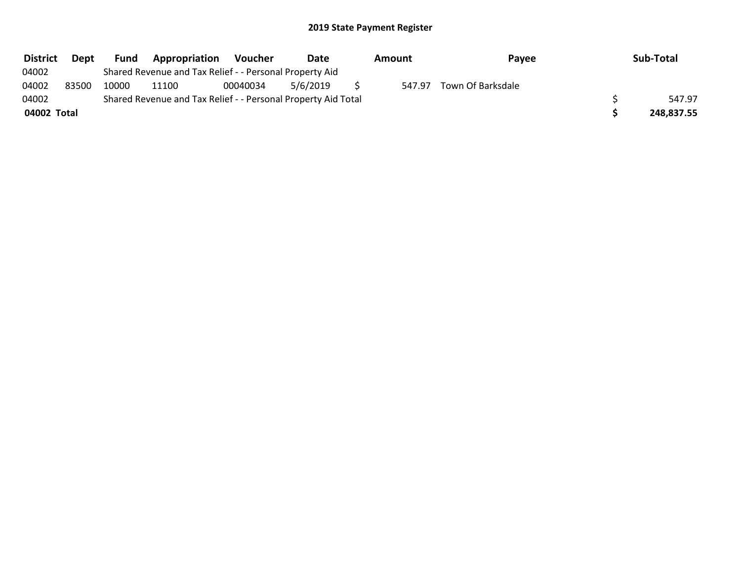| <b>District</b> | Dept  | Fund  | Appropriation                                                 | <b>Voucher</b> | Date     | Amount | Payee             | Sub-Total  |
|-----------------|-------|-------|---------------------------------------------------------------|----------------|----------|--------|-------------------|------------|
| 04002           |       |       | Shared Revenue and Tax Relief - - Personal Property Aid       |                |          |        |                   |            |
| 04002           | 83500 | 10000 | 11100                                                         | 00040034       | 5/6/2019 | 547.97 | Town Of Barksdale |            |
| 04002           |       |       | Shared Revenue and Tax Relief - - Personal Property Aid Total |                |          |        |                   | 547.97     |
| 04002 Total     |       |       |                                                               |                |          |        |                   | 248,837.55 |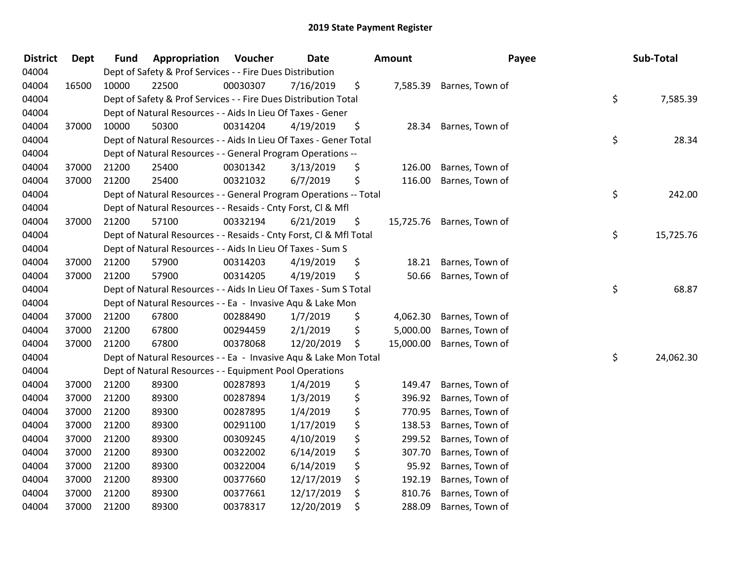| <b>District</b> | <b>Dept</b> | <b>Fund</b> | Appropriation                                                      | Voucher  | Date       | Amount          | Payee                     | Sub-Total       |
|-----------------|-------------|-------------|--------------------------------------------------------------------|----------|------------|-----------------|---------------------------|-----------------|
| 04004           |             |             | Dept of Safety & Prof Services - - Fire Dues Distribution          |          |            |                 |                           |                 |
| 04004           | 16500       | 10000       | 22500                                                              | 00030307 | 7/16/2019  | \$<br>7,585.39  | Barnes, Town of           |                 |
| 04004           |             |             | Dept of Safety & Prof Services - - Fire Dues Distribution Total    |          |            |                 |                           | \$<br>7,585.39  |
| 04004           |             |             | Dept of Natural Resources - - Aids In Lieu Of Taxes - Gener        |          |            |                 |                           |                 |
| 04004           | 37000       | 10000       | 50300                                                              | 00314204 | 4/19/2019  | \$<br>28.34     | Barnes, Town of           |                 |
| 04004           |             |             | Dept of Natural Resources - - Aids In Lieu Of Taxes - Gener Total  |          |            |                 |                           | \$<br>28.34     |
| 04004           |             |             | Dept of Natural Resources - - General Program Operations --        |          |            |                 |                           |                 |
| 04004           | 37000       | 21200       | 25400                                                              | 00301342 | 3/13/2019  | \$<br>126.00    | Barnes, Town of           |                 |
| 04004           | 37000       | 21200       | 25400                                                              | 00321032 | 6/7/2019   | \$<br>116.00    | Barnes, Town of           |                 |
| 04004           |             |             | Dept of Natural Resources - - General Program Operations -- Total  |          |            |                 |                           | \$<br>242.00    |
| 04004           |             |             | Dept of Natural Resources - - Resaids - Cnty Forst, Cl & Mfl       |          |            |                 |                           |                 |
| 04004           | 37000       | 21200       | 57100                                                              | 00332194 | 6/21/2019  | \$              | 15,725.76 Barnes, Town of |                 |
| 04004           |             |             | Dept of Natural Resources - - Resaids - Cnty Forst, Cl & Mfl Total |          |            |                 |                           | \$<br>15,725.76 |
| 04004           |             |             | Dept of Natural Resources - - Aids In Lieu Of Taxes - Sum S        |          |            |                 |                           |                 |
| 04004           | 37000       | 21200       | 57900                                                              | 00314203 | 4/19/2019  | \$<br>18.21     | Barnes, Town of           |                 |
| 04004           | 37000       | 21200       | 57900                                                              | 00314205 | 4/19/2019  | \$<br>50.66     | Barnes, Town of           |                 |
| 04004           |             |             | Dept of Natural Resources - - Aids In Lieu Of Taxes - Sum S Total  |          |            |                 |                           | \$<br>68.87     |
| 04004           |             |             | Dept of Natural Resources - - Ea - Invasive Aqu & Lake Mon         |          |            |                 |                           |                 |
| 04004           | 37000       | 21200       | 67800                                                              | 00288490 | 1/7/2019   | \$<br>4,062.30  | Barnes, Town of           |                 |
| 04004           | 37000       | 21200       | 67800                                                              | 00294459 | 2/1/2019   | \$<br>5,000.00  | Barnes, Town of           |                 |
| 04004           | 37000       | 21200       | 67800                                                              | 00378068 | 12/20/2019 | \$<br>15,000.00 | Barnes, Town of           |                 |
| 04004           |             |             | Dept of Natural Resources - - Ea - Invasive Aqu & Lake Mon Total   |          |            |                 |                           | \$<br>24,062.30 |
| 04004           |             |             | Dept of Natural Resources - - Equipment Pool Operations            |          |            |                 |                           |                 |
| 04004           | 37000       | 21200       | 89300                                                              | 00287893 | 1/4/2019   | \$<br>149.47    | Barnes, Town of           |                 |
| 04004           | 37000       | 21200       | 89300                                                              | 00287894 | 1/3/2019   | \$<br>396.92    | Barnes, Town of           |                 |
| 04004           | 37000       | 21200       | 89300                                                              | 00287895 | 1/4/2019   | \$<br>770.95    | Barnes, Town of           |                 |
| 04004           | 37000       | 21200       | 89300                                                              | 00291100 | 1/17/2019  | \$<br>138.53    | Barnes, Town of           |                 |
| 04004           | 37000       | 21200       | 89300                                                              | 00309245 | 4/10/2019  | \$<br>299.52    | Barnes, Town of           |                 |
| 04004           | 37000       | 21200       | 89300                                                              | 00322002 | 6/14/2019  | \$<br>307.70    | Barnes, Town of           |                 |
| 04004           | 37000       | 21200       | 89300                                                              | 00322004 | 6/14/2019  | \$<br>95.92     | Barnes, Town of           |                 |
| 04004           | 37000       | 21200       | 89300                                                              | 00377660 | 12/17/2019 | \$<br>192.19    | Barnes, Town of           |                 |
| 04004           | 37000       | 21200       | 89300                                                              | 00377661 | 12/17/2019 | \$<br>810.76    | Barnes, Town of           |                 |
| 04004           | 37000       | 21200       | 89300                                                              | 00378317 | 12/20/2019 | \$<br>288.09    | Barnes, Town of           |                 |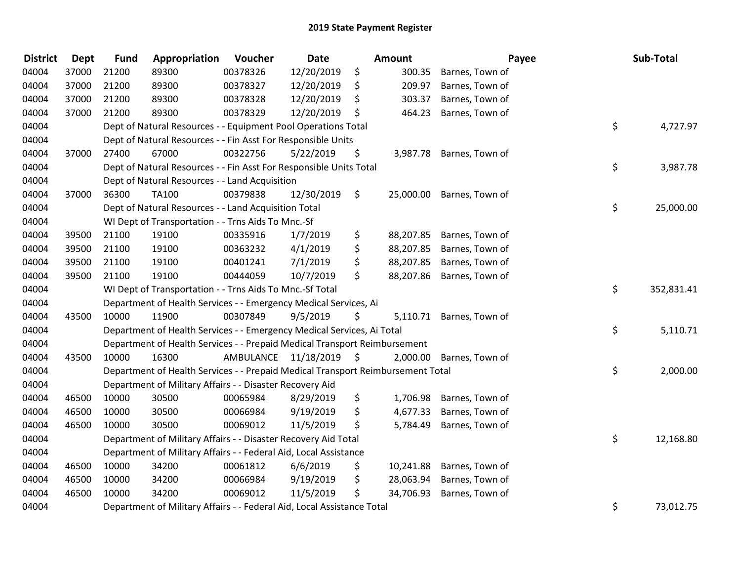| <b>District</b> | Dept  | <b>Fund</b> | Appropriation                                                                   | Voucher   | <b>Date</b> |      | <b>Amount</b> |                          | Payee | Sub-Total  |
|-----------------|-------|-------------|---------------------------------------------------------------------------------|-----------|-------------|------|---------------|--------------------------|-------|------------|
| 04004           | 37000 | 21200       | 89300                                                                           | 00378326  | 12/20/2019  | \$   | 300.35        | Barnes, Town of          |       |            |
| 04004           | 37000 | 21200       | 89300                                                                           | 00378327  | 12/20/2019  | \$   | 209.97        | Barnes, Town of          |       |            |
| 04004           | 37000 | 21200       | 89300                                                                           | 00378328  | 12/20/2019  | \$   | 303.37        | Barnes, Town of          |       |            |
| 04004           | 37000 | 21200       | 89300                                                                           | 00378329  | 12/20/2019  | \$   | 464.23        | Barnes, Town of          |       |            |
| 04004           |       |             | Dept of Natural Resources - - Equipment Pool Operations Total                   |           |             |      |               |                          | \$    | 4,727.97   |
| 04004           |       |             | Dept of Natural Resources - - Fin Asst For Responsible Units                    |           |             |      |               |                          |       |            |
| 04004           | 37000 | 27400       | 67000                                                                           | 00322756  | 5/22/2019   | \$   |               | 3,987.78 Barnes, Town of |       |            |
| 04004           |       |             | Dept of Natural Resources - - Fin Asst For Responsible Units Total              |           |             |      |               |                          | \$    | 3,987.78   |
| 04004           |       |             | Dept of Natural Resources - - Land Acquisition                                  |           |             |      |               |                          |       |            |
| 04004           | 37000 | 36300       | <b>TA100</b>                                                                    | 00379838  | 12/30/2019  | \$   | 25,000.00     | Barnes, Town of          |       |            |
| 04004           |       |             | Dept of Natural Resources - - Land Acquisition Total                            |           |             |      |               |                          | \$    | 25,000.00  |
| 04004           |       |             | WI Dept of Transportation - - Trns Aids To Mnc.-Sf                              |           |             |      |               |                          |       |            |
| 04004           | 39500 | 21100       | 19100                                                                           | 00335916  | 1/7/2019    | \$   | 88,207.85     | Barnes, Town of          |       |            |
| 04004           | 39500 | 21100       | 19100                                                                           | 00363232  | 4/1/2019    | \$   | 88,207.85     | Barnes, Town of          |       |            |
| 04004           | 39500 | 21100       | 19100                                                                           | 00401241  | 7/1/2019    | \$   | 88,207.85     | Barnes, Town of          |       |            |
| 04004           | 39500 | 21100       | 19100                                                                           | 00444059  | 10/7/2019   | \$   | 88,207.86     | Barnes, Town of          |       |            |
| 04004           |       |             | WI Dept of Transportation - - Trns Aids To Mnc.-Sf Total                        |           |             |      |               |                          | \$    | 352,831.41 |
| 04004           |       |             | Department of Health Services - - Emergency Medical Services, Ai                |           |             |      |               |                          |       |            |
| 04004           | 43500 | 10000       | 11900                                                                           | 00307849  | 9/5/2019    | \$   |               | 5,110.71 Barnes, Town of |       |            |
| 04004           |       |             | Department of Health Services - - Emergency Medical Services, Ai Total          |           |             |      |               |                          | \$    | 5,110.71   |
| 04004           |       |             | Department of Health Services - - Prepaid Medical Transport Reimbursement       |           |             |      |               |                          |       |            |
| 04004           | 43500 | 10000       | 16300                                                                           | AMBULANCE | 11/18/2019  | - \$ | 2,000.00      | Barnes, Town of          |       |            |
| 04004           |       |             | Department of Health Services - - Prepaid Medical Transport Reimbursement Total |           |             |      |               |                          | \$    | 2,000.00   |
| 04004           |       |             | Department of Military Affairs - - Disaster Recovery Aid                        |           |             |      |               |                          |       |            |
| 04004           | 46500 | 10000       | 30500                                                                           | 00065984  | 8/29/2019   | \$   | 1,706.98      | Barnes, Town of          |       |            |
| 04004           | 46500 | 10000       | 30500                                                                           | 00066984  | 9/19/2019   | \$   | 4,677.33      | Barnes, Town of          |       |            |
| 04004           | 46500 | 10000       | 30500                                                                           | 00069012  | 11/5/2019   | \$   | 5,784.49      | Barnes, Town of          |       |            |
| 04004           |       |             | Department of Military Affairs - - Disaster Recovery Aid Total                  |           |             |      |               |                          | \$    | 12,168.80  |
| 04004           |       |             | Department of Military Affairs - - Federal Aid, Local Assistance                |           |             |      |               |                          |       |            |
| 04004           | 46500 | 10000       | 34200                                                                           | 00061812  | 6/6/2019    | \$   | 10,241.88     | Barnes, Town of          |       |            |
| 04004           | 46500 | 10000       | 34200                                                                           | 00066984  | 9/19/2019   | \$   | 28,063.94     | Barnes, Town of          |       |            |
| 04004           | 46500 | 10000       | 34200                                                                           | 00069012  | 11/5/2019   | \$   | 34,706.93     | Barnes, Town of          |       |            |
| 04004           |       |             | Department of Military Affairs - - Federal Aid, Local Assistance Total          |           |             |      |               |                          | \$    | 73,012.75  |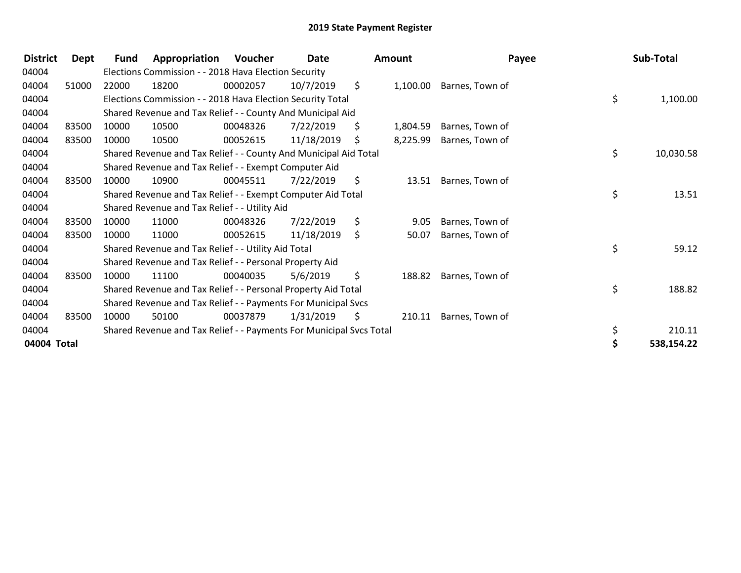| <b>District</b> | Dept  | <b>Fund</b> | Appropriation                                                       | Voucher  | Date       |     | <b>Amount</b> | Payee           | Sub-Total       |
|-----------------|-------|-------------|---------------------------------------------------------------------|----------|------------|-----|---------------|-----------------|-----------------|
| 04004           |       |             | Elections Commission - - 2018 Hava Election Security                |          |            |     |               |                 |                 |
| 04004           | 51000 | 22000       | 18200                                                               | 00002057 | 10/7/2019  | \$. | 1,100.00      | Barnes, Town of |                 |
| 04004           |       |             | Elections Commission - - 2018 Hava Election Security Total          |          |            |     |               |                 | \$<br>1,100.00  |
| 04004           |       |             | Shared Revenue and Tax Relief - - County And Municipal Aid          |          |            |     |               |                 |                 |
| 04004           | 83500 | 10000       | 10500                                                               | 00048326 | 7/22/2019  | \$  | 1,804.59      | Barnes, Town of |                 |
| 04004           | 83500 | 10000       | 10500                                                               | 00052615 | 11/18/2019 | S.  | 8,225.99      | Barnes, Town of |                 |
| 04004           |       |             | Shared Revenue and Tax Relief - - County And Municipal Aid Total    |          |            |     |               |                 | \$<br>10,030.58 |
| 04004           |       |             | Shared Revenue and Tax Relief - - Exempt Computer Aid               |          |            |     |               |                 |                 |
| 04004           | 83500 | 10000       | 10900                                                               | 00045511 | 7/22/2019  | \$  | 13.51         | Barnes, Town of |                 |
| 04004           |       |             | Shared Revenue and Tax Relief - - Exempt Computer Aid Total         |          |            |     |               |                 | \$<br>13.51     |
| 04004           |       |             | Shared Revenue and Tax Relief - - Utility Aid                       |          |            |     |               |                 |                 |
| 04004           | 83500 | 10000       | 11000                                                               | 00048326 | 7/22/2019  | \$  | 9.05          | Barnes, Town of |                 |
| 04004           | 83500 | 10000       | 11000                                                               | 00052615 | 11/18/2019 | \$  | 50.07         | Barnes, Town of |                 |
| 04004           |       |             | Shared Revenue and Tax Relief - - Utility Aid Total                 |          |            |     |               |                 | \$<br>59.12     |
| 04004           |       |             | Shared Revenue and Tax Relief - - Personal Property Aid             |          |            |     |               |                 |                 |
| 04004           | 83500 | 10000       | 11100                                                               | 00040035 | 5/6/2019   | \$  | 188.82        | Barnes, Town of |                 |
| 04004           |       |             | Shared Revenue and Tax Relief - - Personal Property Aid Total       |          |            |     |               |                 | \$<br>188.82    |
| 04004           |       |             | Shared Revenue and Tax Relief - - Payments For Municipal Svcs       |          |            |     |               |                 |                 |
| 04004           | 83500 | 10000       | 50100                                                               | 00037879 | 1/31/2019  | S.  | 210.11        | Barnes, Town of |                 |
| 04004           |       |             | Shared Revenue and Tax Relief - - Payments For Municipal Svcs Total |          |            |     |               |                 | \$<br>210.11    |
| 04004 Total     |       |             |                                                                     |          |            |     |               |                 | 538,154.22      |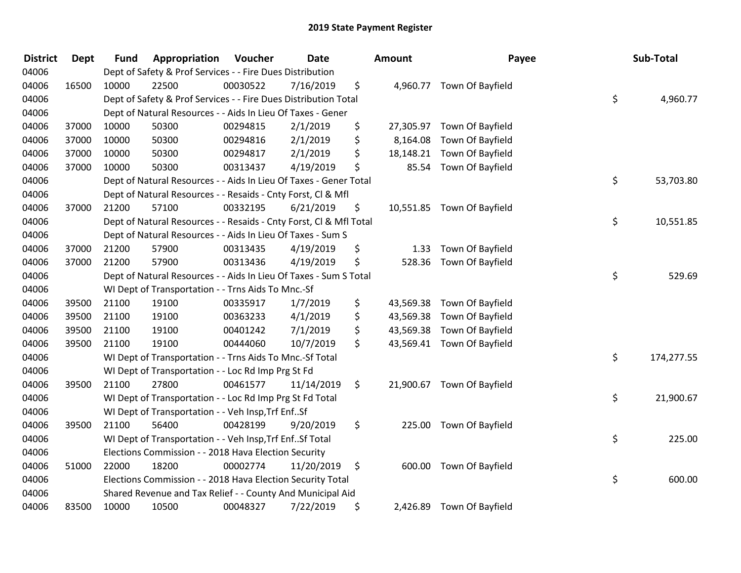| <b>District</b> | <b>Dept</b> | <b>Fund</b> | Appropriation                                                      | Voucher  | <b>Date</b> | Amount          | Payee                      | Sub-Total        |
|-----------------|-------------|-------------|--------------------------------------------------------------------|----------|-------------|-----------------|----------------------------|------------------|
| 04006           |             |             | Dept of Safety & Prof Services - - Fire Dues Distribution          |          |             |                 |                            |                  |
| 04006           | 16500       | 10000       | 22500                                                              | 00030522 | 7/16/2019   | \$              | 4,960.77 Town Of Bayfield  |                  |
| 04006           |             |             | Dept of Safety & Prof Services - - Fire Dues Distribution Total    |          |             |                 |                            | \$<br>4,960.77   |
| 04006           |             |             | Dept of Natural Resources - - Aids In Lieu Of Taxes - Gener        |          |             |                 |                            |                  |
| 04006           | 37000       | 10000       | 50300                                                              | 00294815 | 2/1/2019    | \$<br>27,305.97 | Town Of Bayfield           |                  |
| 04006           | 37000       | 10000       | 50300                                                              | 00294816 | 2/1/2019    | \$<br>8,164.08  | Town Of Bayfield           |                  |
| 04006           | 37000       | 10000       | 50300                                                              | 00294817 | 2/1/2019    | \$<br>18,148.21 | Town Of Bayfield           |                  |
| 04006           | 37000       | 10000       | 50300                                                              | 00313437 | 4/19/2019   | \$<br>85.54     | Town Of Bayfield           |                  |
| 04006           |             |             | Dept of Natural Resources - - Aids In Lieu Of Taxes - Gener Total  |          |             |                 |                            | \$<br>53,703.80  |
| 04006           |             |             | Dept of Natural Resources - - Resaids - Cnty Forst, CI & Mfl       |          |             |                 |                            |                  |
| 04006           | 37000       | 21200       | 57100                                                              | 00332195 | 6/21/2019   | \$              | 10,551.85 Town Of Bayfield |                  |
| 04006           |             |             | Dept of Natural Resources - - Resaids - Cnty Forst, CI & Mfl Total |          |             |                 |                            | \$<br>10,551.85  |
| 04006           |             |             | Dept of Natural Resources - - Aids In Lieu Of Taxes - Sum S        |          |             |                 |                            |                  |
| 04006           | 37000       | 21200       | 57900                                                              | 00313435 | 4/19/2019   | \$<br>1.33      | Town Of Bayfield           |                  |
| 04006           | 37000       | 21200       | 57900                                                              | 00313436 | 4/19/2019   | \$<br>528.36    | Town Of Bayfield           |                  |
| 04006           |             |             | Dept of Natural Resources - - Aids In Lieu Of Taxes - Sum S Total  |          |             |                 |                            | \$<br>529.69     |
| 04006           |             |             | WI Dept of Transportation - - Trns Aids To Mnc.-Sf                 |          |             |                 |                            |                  |
| 04006           | 39500       | 21100       | 19100                                                              | 00335917 | 1/7/2019    | \$<br>43,569.38 | Town Of Bayfield           |                  |
| 04006           | 39500       | 21100       | 19100                                                              | 00363233 | 4/1/2019    | \$<br>43,569.38 | Town Of Bayfield           |                  |
| 04006           | 39500       | 21100       | 19100                                                              | 00401242 | 7/1/2019    | \$<br>43,569.38 | Town Of Bayfield           |                  |
| 04006           | 39500       | 21100       | 19100                                                              | 00444060 | 10/7/2019   | \$              | 43,569.41 Town Of Bayfield |                  |
| 04006           |             |             | WI Dept of Transportation - - Trns Aids To Mnc.-Sf Total           |          |             |                 |                            | \$<br>174,277.55 |
| 04006           |             |             | WI Dept of Transportation - - Loc Rd Imp Prg St Fd                 |          |             |                 |                            |                  |
| 04006           | 39500       | 21100       | 27800                                                              | 00461577 | 11/14/2019  | \$              | 21,900.67 Town Of Bayfield |                  |
| 04006           |             |             | WI Dept of Transportation - - Loc Rd Imp Prg St Fd Total           |          |             |                 |                            | \$<br>21,900.67  |
| 04006           |             |             | WI Dept of Transportation - - Veh Insp, Trf EnfSf                  |          |             |                 |                            |                  |
| 04006           | 39500       | 21100       | 56400                                                              | 00428199 | 9/20/2019   | \$              | 225.00 Town Of Bayfield    |                  |
| 04006           |             |             | WI Dept of Transportation - - Veh Insp, Trf Enf Sf Total           |          |             |                 |                            | \$<br>225.00     |
| 04006           |             |             | Elections Commission - - 2018 Hava Election Security               |          |             |                 |                            |                  |
| 04006           | 51000       | 22000       | 18200                                                              | 00002774 | 11/20/2019  | \$              | 600.00 Town Of Bayfield    |                  |
| 04006           |             |             | Elections Commission - - 2018 Hava Election Security Total         |          |             |                 |                            | \$<br>600.00     |
| 04006           |             |             | Shared Revenue and Tax Relief - - County And Municipal Aid         |          |             |                 |                            |                  |
| 04006           | 83500       | 10000       | 10500                                                              | 00048327 | 7/22/2019   | \$              | 2,426.89 Town Of Bayfield  |                  |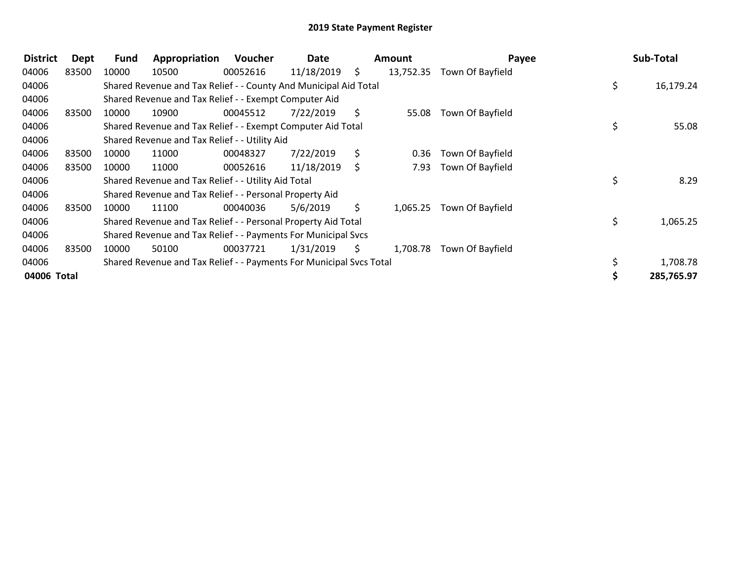| <b>District</b> | Dept  | <b>Fund</b> | Appropriation                                                       | <b>Voucher</b> | Date       |    | Amount    | Payee            | Sub-Total       |
|-----------------|-------|-------------|---------------------------------------------------------------------|----------------|------------|----|-----------|------------------|-----------------|
| 04006           | 83500 | 10000       | 10500                                                               | 00052616       | 11/18/2019 | S. | 13,752.35 | Town Of Bayfield |                 |
| 04006           |       |             | Shared Revenue and Tax Relief - - County And Municipal Aid Total    |                |            |    |           |                  | \$<br>16,179.24 |
| 04006           |       |             | Shared Revenue and Tax Relief - - Exempt Computer Aid               |                |            |    |           |                  |                 |
| 04006           | 83500 | 10000       | 10900                                                               | 00045512       | 7/22/2019  | S. | 55.08     | Town Of Bayfield |                 |
| 04006           |       |             | Shared Revenue and Tax Relief - - Exempt Computer Aid Total         |                |            |    |           |                  | \$<br>55.08     |
| 04006           |       |             | Shared Revenue and Tax Relief - - Utility Aid                       |                |            |    |           |                  |                 |
| 04006           | 83500 | 10000       | 11000                                                               | 00048327       | 7/22/2019  | S. | 0.36      | Town Of Bayfield |                 |
| 04006           | 83500 | 10000       | 11000                                                               | 00052616       | 11/18/2019 | -S | 7.93      | Town Of Bayfield |                 |
| 04006           |       |             | Shared Revenue and Tax Relief - - Utility Aid Total                 |                |            |    |           |                  | \$<br>8.29      |
| 04006           |       |             | Shared Revenue and Tax Relief - - Personal Property Aid             |                |            |    |           |                  |                 |
| 04006           | 83500 | 10000       | 11100                                                               | 00040036       | 5/6/2019   | S. | 1,065.25  | Town Of Bayfield |                 |
| 04006           |       |             | Shared Revenue and Tax Relief - - Personal Property Aid Total       |                |            |    |           |                  | \$<br>1,065.25  |
| 04006           |       |             | Shared Revenue and Tax Relief - - Payments For Municipal Svcs       |                |            |    |           |                  |                 |
| 04006           | 83500 | 10000       | 50100                                                               | 00037721       | 1/31/2019  | S. | 1,708.78  | Town Of Bayfield |                 |
| 04006           |       |             | Shared Revenue and Tax Relief - - Payments For Municipal Svcs Total |                |            |    |           |                  | 1,708.78        |
| 04006 Total     |       |             |                                                                     |                |            |    |           |                  | 285,765.97      |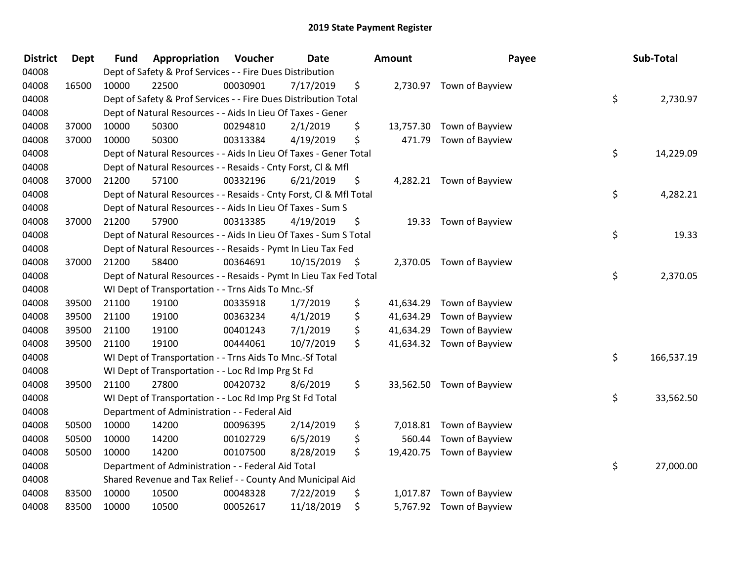| <b>District</b> | <b>Dept</b> | <b>Fund</b> | Appropriation                                                      | Voucher  | <b>Date</b> | <b>Amount</b>   | Payee                     | Sub-Total        |
|-----------------|-------------|-------------|--------------------------------------------------------------------|----------|-------------|-----------------|---------------------------|------------------|
| 04008           |             |             | Dept of Safety & Prof Services - - Fire Dues Distribution          |          |             |                 |                           |                  |
| 04008           | 16500       | 10000       | 22500                                                              | 00030901 | 7/17/2019   | \$              | 2,730.97 Town of Bayview  |                  |
| 04008           |             |             | Dept of Safety & Prof Services - - Fire Dues Distribution Total    |          |             |                 |                           | \$<br>2,730.97   |
| 04008           |             |             | Dept of Natural Resources - - Aids In Lieu Of Taxes - Gener        |          |             |                 |                           |                  |
| 04008           | 37000       | 10000       | 50300                                                              | 00294810 | 2/1/2019    | \$              | 13,757.30 Town of Bayview |                  |
| 04008           | 37000       | 10000       | 50300                                                              | 00313384 | 4/19/2019   | \$              | 471.79 Town of Bayview    |                  |
| 04008           |             |             | Dept of Natural Resources - - Aids In Lieu Of Taxes - Gener Total  |          |             |                 |                           | \$<br>14,229.09  |
| 04008           |             |             | Dept of Natural Resources - - Resaids - Cnty Forst, Cl & Mfl       |          |             |                 |                           |                  |
| 04008           | 37000       | 21200       | 57100                                                              | 00332196 | 6/21/2019   | \$              | 4,282.21 Town of Bayview  |                  |
| 04008           |             |             | Dept of Natural Resources - - Resaids - Cnty Forst, CI & Mfl Total |          |             |                 |                           | \$<br>4,282.21   |
| 04008           |             |             | Dept of Natural Resources - - Aids In Lieu Of Taxes - Sum S        |          |             |                 |                           |                  |
| 04008           | 37000       | 21200       | 57900                                                              | 00313385 | 4/19/2019   | \$              | 19.33 Town of Bayview     |                  |
| 04008           |             |             | Dept of Natural Resources - - Aids In Lieu Of Taxes - Sum S Total  |          |             |                 |                           | \$<br>19.33      |
| 04008           |             |             | Dept of Natural Resources - - Resaids - Pymt In Lieu Tax Fed       |          |             |                 |                           |                  |
| 04008           | 37000       | 21200       | 58400                                                              | 00364691 | 10/15/2019  | \$<br>2,370.05  | Town of Bayview           |                  |
| 04008           |             |             | Dept of Natural Resources - - Resaids - Pymt In Lieu Tax Fed Total |          |             |                 |                           | \$<br>2,370.05   |
| 04008           |             |             | WI Dept of Transportation - - Trns Aids To Mnc.-Sf                 |          |             |                 |                           |                  |
| 04008           | 39500       | 21100       | 19100                                                              | 00335918 | 1/7/2019    | \$<br>41,634.29 | Town of Bayview           |                  |
| 04008           | 39500       | 21100       | 19100                                                              | 00363234 | 4/1/2019    | \$<br>41,634.29 | Town of Bayview           |                  |
| 04008           | 39500       | 21100       | 19100                                                              | 00401243 | 7/1/2019    | \$<br>41,634.29 | Town of Bayview           |                  |
| 04008           | 39500       | 21100       | 19100                                                              | 00444061 | 10/7/2019   | \$              | 41,634.32 Town of Bayview |                  |
| 04008           |             |             | WI Dept of Transportation - - Trns Aids To Mnc.-Sf Total           |          |             |                 |                           | \$<br>166,537.19 |
| 04008           |             |             | WI Dept of Transportation - - Loc Rd Imp Prg St Fd                 |          |             |                 |                           |                  |
| 04008           | 39500       | 21100       | 27800                                                              | 00420732 | 8/6/2019    | \$              | 33,562.50 Town of Bayview |                  |
| 04008           |             |             | WI Dept of Transportation - - Loc Rd Imp Prg St Fd Total           |          |             |                 |                           | \$<br>33,562.50  |
| 04008           |             |             | Department of Administration - - Federal Aid                       |          |             |                 |                           |                  |
| 04008           | 50500       | 10000       | 14200                                                              | 00096395 | 2/14/2019   | \$              | 7,018.81 Town of Bayview  |                  |
| 04008           | 50500       | 10000       | 14200                                                              | 00102729 | 6/5/2019    | \$<br>560.44    | Town of Bayview           |                  |
| 04008           | 50500       | 10000       | 14200                                                              | 00107500 | 8/28/2019   | \$              | 19,420.75 Town of Bayview |                  |
| 04008           |             |             | Department of Administration - - Federal Aid Total                 |          |             |                 |                           | \$<br>27,000.00  |
| 04008           |             |             | Shared Revenue and Tax Relief - - County And Municipal Aid         |          |             |                 |                           |                  |
| 04008           | 83500       | 10000       | 10500                                                              | 00048328 | 7/22/2019   | \$<br>1,017.87  | Town of Bayview           |                  |
| 04008           | 83500       | 10000       | 10500                                                              | 00052617 | 11/18/2019  | \$              | 5,767.92 Town of Bayview  |                  |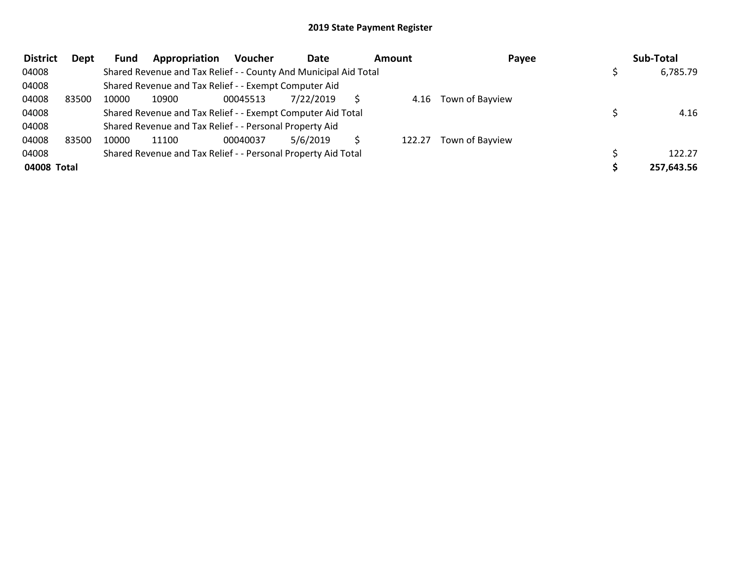| <b>District</b> | Dept  | <b>Fund</b> | Appropriation                                                    | <b>Voucher</b> | Date      | <b>Amount</b> |        | Payee                | Sub-Total  |
|-----------------|-------|-------------|------------------------------------------------------------------|----------------|-----------|---------------|--------|----------------------|------------|
| 04008           |       |             | Shared Revenue and Tax Relief - - County And Municipal Aid Total |                |           |               |        |                      | 6,785.79   |
| 04008           |       |             | Shared Revenue and Tax Relief - - Exempt Computer Aid            |                |           |               |        |                      |            |
| 04008           | 83500 | 10000       | 10900                                                            | 00045513       | 7/22/2019 |               |        | 4.16 Town of Bayview |            |
| 04008           |       |             | Shared Revenue and Tax Relief - - Exempt Computer Aid Total      |                |           |               |        |                      | 4.16       |
| 04008           |       |             | Shared Revenue and Tax Relief - - Personal Property Aid          |                |           |               |        |                      |            |
| 04008           | 83500 | 10000       | 11100                                                            | 00040037       | 5/6/2019  |               | 122.27 | Town of Bayview      |            |
| 04008           |       |             | Shared Revenue and Tax Relief - - Personal Property Aid Total    |                |           |               |        |                      | 122.27     |
| 04008 Total     |       |             |                                                                  |                |           |               |        |                      | 257,643.56 |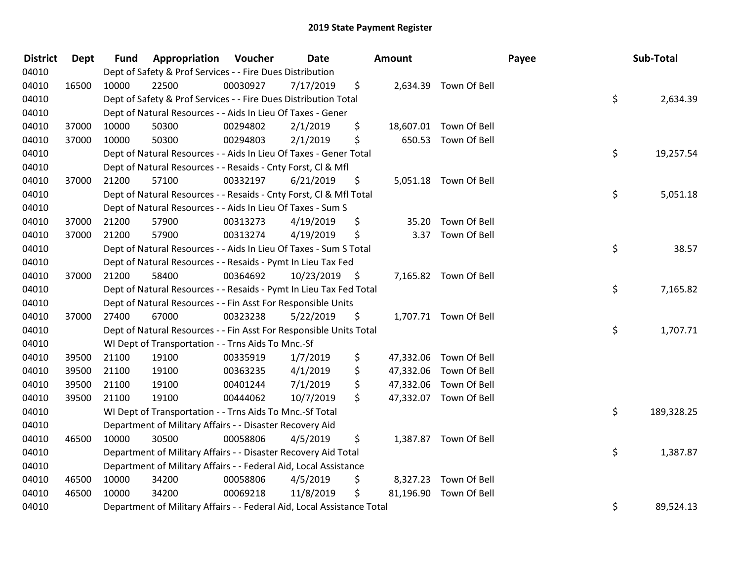| <b>District</b> | <b>Dept</b> | <b>Fund</b> | Appropriation                                                          | Voucher  | Date       |      | <b>Amount</b> |                        | Payee | Sub-Total        |
|-----------------|-------------|-------------|------------------------------------------------------------------------|----------|------------|------|---------------|------------------------|-------|------------------|
| 04010           |             |             | Dept of Safety & Prof Services - - Fire Dues Distribution              |          |            |      |               |                        |       |                  |
| 04010           | 16500       | 10000       | 22500                                                                  | 00030927 | 7/17/2019  | \$   |               | 2,634.39 Town Of Bell  |       |                  |
| 04010           |             |             | Dept of Safety & Prof Services - - Fire Dues Distribution Total        |          |            |      |               |                        |       | \$<br>2,634.39   |
| 04010           |             |             | Dept of Natural Resources - - Aids In Lieu Of Taxes - Gener            |          |            |      |               |                        |       |                  |
| 04010           | 37000       | 10000       | 50300                                                                  | 00294802 | 2/1/2019   | \$   |               | 18,607.01 Town Of Bell |       |                  |
| 04010           | 37000       | 10000       | 50300                                                                  | 00294803 | 2/1/2019   | \$   |               | 650.53 Town Of Bell    |       |                  |
| 04010           |             |             | Dept of Natural Resources - - Aids In Lieu Of Taxes - Gener Total      |          |            |      |               |                        |       | \$<br>19,257.54  |
| 04010           |             |             | Dept of Natural Resources - - Resaids - Cnty Forst, Cl & Mfl           |          |            |      |               |                        |       |                  |
| 04010           | 37000       | 21200       | 57100                                                                  | 00332197 | 6/21/2019  | \$   |               | 5,051.18 Town Of Bell  |       |                  |
| 04010           |             |             | Dept of Natural Resources - - Resaids - Cnty Forst, Cl & Mfl Total     |          |            |      |               |                        |       | \$<br>5,051.18   |
| 04010           |             |             | Dept of Natural Resources - - Aids In Lieu Of Taxes - Sum S            |          |            |      |               |                        |       |                  |
| 04010           | 37000       | 21200       | 57900                                                                  | 00313273 | 4/19/2019  | \$   |               | 35.20 Town Of Bell     |       |                  |
| 04010           | 37000       | 21200       | 57900                                                                  | 00313274 | 4/19/2019  | \$   |               | 3.37 Town Of Bell      |       |                  |
| 04010           |             |             | Dept of Natural Resources - - Aids In Lieu Of Taxes - Sum S Total      |          |            |      |               |                        |       | \$<br>38.57      |
| 04010           |             |             | Dept of Natural Resources - - Resaids - Pymt In Lieu Tax Fed           |          |            |      |               |                        |       |                  |
| 04010           | 37000       | 21200       | 58400                                                                  | 00364692 | 10/23/2019 | - \$ |               | 7,165.82 Town Of Bell  |       |                  |
| 04010           |             |             | Dept of Natural Resources - - Resaids - Pymt In Lieu Tax Fed Total     |          |            |      |               |                        |       | \$<br>7,165.82   |
| 04010           |             |             | Dept of Natural Resources - - Fin Asst For Responsible Units           |          |            |      |               |                        |       |                  |
| 04010           | 37000       | 27400       | 67000                                                                  | 00323238 | 5/22/2019  | \$   |               | 1,707.71 Town Of Bell  |       |                  |
| 04010           |             |             | Dept of Natural Resources - - Fin Asst For Responsible Units Total     |          |            |      |               |                        |       | \$<br>1,707.71   |
| 04010           |             |             | WI Dept of Transportation - - Trns Aids To Mnc.-Sf                     |          |            |      |               |                        |       |                  |
| 04010           | 39500       | 21100       | 19100                                                                  | 00335919 | 1/7/2019   | \$   |               | 47,332.06 Town Of Bell |       |                  |
| 04010           | 39500       | 21100       | 19100                                                                  | 00363235 | 4/1/2019   | \$   |               | 47,332.06 Town Of Bell |       |                  |
| 04010           | 39500       | 21100       | 19100                                                                  | 00401244 | 7/1/2019   | \$   |               | 47,332.06 Town Of Bell |       |                  |
| 04010           | 39500       | 21100       | 19100                                                                  | 00444062 | 10/7/2019  | \$   |               | 47,332.07 Town Of Bell |       |                  |
| 04010           |             |             | WI Dept of Transportation - - Trns Aids To Mnc.-Sf Total               |          |            |      |               |                        |       | \$<br>189,328.25 |
| 04010           |             |             | Department of Military Affairs - - Disaster Recovery Aid               |          |            |      |               |                        |       |                  |
| 04010           | 46500       | 10000       | 30500                                                                  | 00058806 | 4/5/2019   | \$   |               | 1,387.87 Town Of Bell  |       |                  |
| 04010           |             |             | Department of Military Affairs - - Disaster Recovery Aid Total         |          |            |      |               |                        |       | \$<br>1,387.87   |
| 04010           |             |             | Department of Military Affairs - - Federal Aid, Local Assistance       |          |            |      |               |                        |       |                  |
| 04010           | 46500       | 10000       | 34200                                                                  | 00058806 | 4/5/2019   | \$   | 8,327.23      | Town Of Bell           |       |                  |
| 04010           | 46500       | 10000       | 34200                                                                  | 00069218 | 11/8/2019  | \$   |               | 81,196.90 Town Of Bell |       |                  |
| 04010           |             |             | Department of Military Affairs - - Federal Aid, Local Assistance Total |          |            |      |               |                        |       | \$<br>89,524.13  |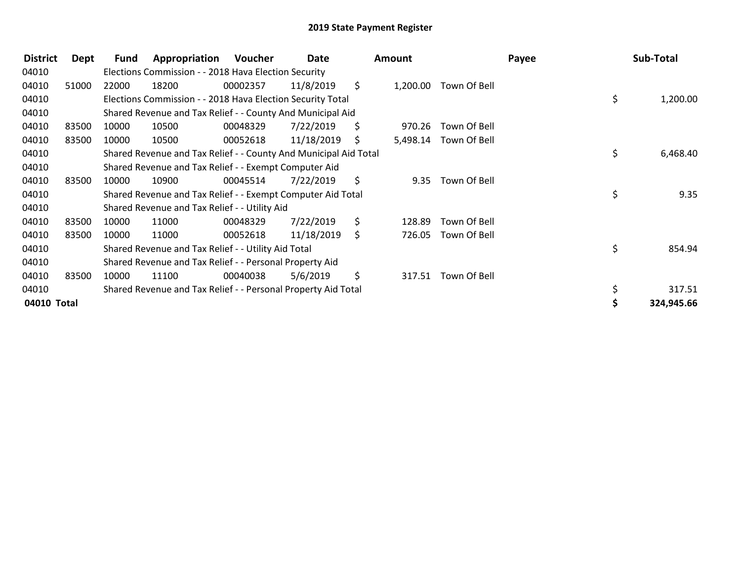| <b>District</b> | Dept  | <b>Fund</b> | Appropriation                                                    | Voucher  | Date       |     | <b>Amount</b> |              | Payee | Sub-Total  |
|-----------------|-------|-------------|------------------------------------------------------------------|----------|------------|-----|---------------|--------------|-------|------------|
| 04010           |       |             | Elections Commission - - 2018 Hava Election Security             |          |            |     |               |              |       |            |
| 04010           | 51000 | 22000       | 18200                                                            | 00002357 | 11/8/2019  | \$. | 1,200.00      | Town Of Bell |       |            |
| 04010           |       |             | Elections Commission - - 2018 Hava Election Security Total       |          |            |     |               |              | \$    | 1,200.00   |
| 04010           |       |             | Shared Revenue and Tax Relief - - County And Municipal Aid       |          |            |     |               |              |       |            |
| 04010           | 83500 | 10000       | 10500                                                            | 00048329 | 7/22/2019  | \$  | 970.26        | Town Of Bell |       |            |
| 04010           | 83500 | 10000       | 10500                                                            | 00052618 | 11/18/2019 | S.  | 5,498.14      | Town Of Bell |       |            |
| 04010           |       |             | Shared Revenue and Tax Relief - - County And Municipal Aid Total |          |            |     |               |              | \$    | 6,468.40   |
| 04010           |       |             | Shared Revenue and Tax Relief - - Exempt Computer Aid            |          |            |     |               |              |       |            |
| 04010           | 83500 | 10000       | 10900                                                            | 00045514 | 7/22/2019  | \$  | 9.35          | Town Of Bell |       |            |
| 04010           |       |             | Shared Revenue and Tax Relief - - Exempt Computer Aid Total      |          |            |     |               |              | \$    | 9.35       |
| 04010           |       |             | Shared Revenue and Tax Relief - - Utility Aid                    |          |            |     |               |              |       |            |
| 04010           | 83500 | 10000       | 11000                                                            | 00048329 | 7/22/2019  | \$  | 128.89        | Town Of Bell |       |            |
| 04010           | 83500 | 10000       | 11000                                                            | 00052618 | 11/18/2019 | Ŝ.  | 726.05        | Town Of Bell |       |            |
| 04010           |       |             | Shared Revenue and Tax Relief - - Utility Aid Total              |          |            |     |               |              | \$    | 854.94     |
| 04010           |       |             | Shared Revenue and Tax Relief - - Personal Property Aid          |          |            |     |               |              |       |            |
| 04010           | 83500 | 10000       | 11100                                                            | 00040038 | 5/6/2019   | \$  | 317.51        | Town Of Bell |       |            |
| 04010           |       |             | Shared Revenue and Tax Relief - - Personal Property Aid Total    |          |            |     |               |              | \$    | 317.51     |
| 04010 Total     |       |             |                                                                  |          |            |     |               |              |       | 324,945.66 |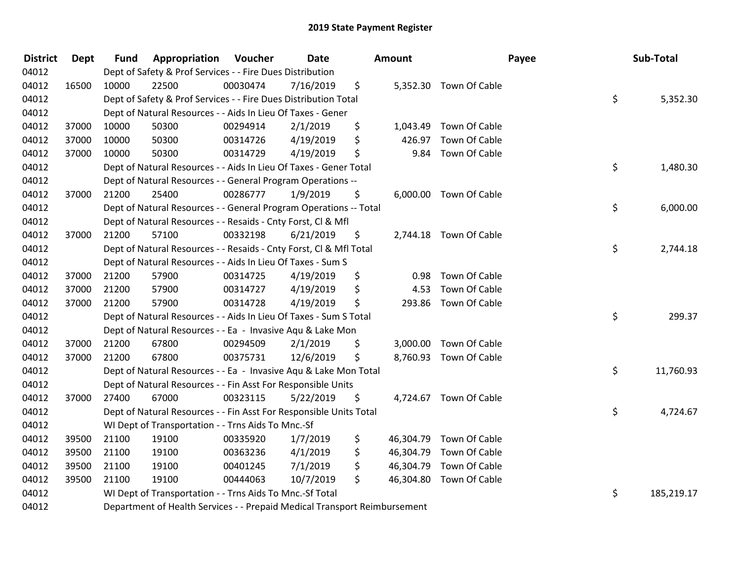| <b>District</b> | Dept  | <b>Fund</b> | <b>Appropriation Voucher</b>                                              |          | Date      | <b>Amount</b>   |                        | Payee | Sub-Total  |
|-----------------|-------|-------------|---------------------------------------------------------------------------|----------|-----------|-----------------|------------------------|-------|------------|
| 04012           |       |             | Dept of Safety & Prof Services - - Fire Dues Distribution                 |          |           |                 |                        |       |            |
| 04012           | 16500 | 10000       | 22500                                                                     | 00030474 | 7/16/2019 | \$              | 5,352.30 Town Of Cable |       |            |
| 04012           |       |             | Dept of Safety & Prof Services - - Fire Dues Distribution Total           |          |           |                 |                        | \$    | 5,352.30   |
| 04012           |       |             | Dept of Natural Resources - - Aids In Lieu Of Taxes - Gener               |          |           |                 |                        |       |            |
| 04012           | 37000 | 10000       | 50300                                                                     | 00294914 | 2/1/2019  | \$<br>1,043.49  | Town Of Cable          |       |            |
| 04012           | 37000 | 10000       | 50300                                                                     | 00314726 | 4/19/2019 | \$<br>426.97    | Town Of Cable          |       |            |
| 04012           | 37000 | 10000       | 50300                                                                     | 00314729 | 4/19/2019 | \$<br>9.84      | Town Of Cable          |       |            |
| 04012           |       |             | Dept of Natural Resources - - Aids In Lieu Of Taxes - Gener Total         |          |           |                 |                        | \$    | 1,480.30   |
| 04012           |       |             | Dept of Natural Resources - - General Program Operations --               |          |           |                 |                        |       |            |
| 04012           | 37000 | 21200       | 25400                                                                     | 00286777 | 1/9/2019  | \$              | 6,000.00 Town Of Cable |       |            |
| 04012           |       |             | Dept of Natural Resources - - General Program Operations -- Total         |          |           |                 |                        | \$    | 6,000.00   |
| 04012           |       |             | Dept of Natural Resources - - Resaids - Cnty Forst, Cl & Mfl              |          |           |                 |                        |       |            |
| 04012           | 37000 | 21200       | 57100                                                                     | 00332198 | 6/21/2019 | \$              | 2,744.18 Town Of Cable |       |            |
| 04012           |       |             | Dept of Natural Resources - - Resaids - Cnty Forst, Cl & Mfl Total        |          |           |                 |                        | \$    | 2,744.18   |
| 04012           |       |             | Dept of Natural Resources - - Aids In Lieu Of Taxes - Sum S               |          |           |                 |                        |       |            |
| 04012           | 37000 | 21200       | 57900                                                                     | 00314725 | 4/19/2019 | \$<br>0.98      | Town Of Cable          |       |            |
| 04012           | 37000 | 21200       | 57900                                                                     | 00314727 | 4/19/2019 | \$<br>4.53      | Town Of Cable          |       |            |
| 04012           | 37000 | 21200       | 57900                                                                     | 00314728 | 4/19/2019 | \$<br>293.86    | Town Of Cable          |       |            |
| 04012           |       |             | Dept of Natural Resources - - Aids In Lieu Of Taxes - Sum S Total         |          |           |                 |                        | \$    | 299.37     |
| 04012           |       |             | Dept of Natural Resources - - Ea - Invasive Aqu & Lake Mon                |          |           |                 |                        |       |            |
| 04012           | 37000 | 21200       | 67800                                                                     | 00294509 | 2/1/2019  | \$<br>3,000.00  | Town Of Cable          |       |            |
| 04012           | 37000 | 21200       | 67800                                                                     | 00375731 | 12/6/2019 | \$              | 8,760.93 Town Of Cable |       |            |
| 04012           |       |             | Dept of Natural Resources - - Ea - Invasive Aqu & Lake Mon Total          |          |           |                 |                        | \$    | 11,760.93  |
| 04012           |       |             | Dept of Natural Resources - - Fin Asst For Responsible Units              |          |           |                 |                        |       |            |
| 04012           | 37000 | 27400       | 67000                                                                     | 00323115 | 5/22/2019 | \$              | 4,724.67 Town Of Cable |       |            |
| 04012           |       |             | Dept of Natural Resources - - Fin Asst For Responsible Units Total        |          |           |                 |                        | \$    | 4,724.67   |
| 04012           |       |             | WI Dept of Transportation - - Trns Aids To Mnc.-Sf                        |          |           |                 |                        |       |            |
| 04012           | 39500 | 21100       | 19100                                                                     | 00335920 | 1/7/2019  | \$<br>46,304.79 | Town Of Cable          |       |            |
| 04012           | 39500 | 21100       | 19100                                                                     | 00363236 | 4/1/2019  | \$<br>46,304.79 | Town Of Cable          |       |            |
| 04012           | 39500 | 21100       | 19100                                                                     | 00401245 | 7/1/2019  | \$<br>46,304.79 | Town Of Cable          |       |            |
| 04012           | 39500 | 21100       | 19100                                                                     | 00444063 | 10/7/2019 | \$<br>46,304.80 | Town Of Cable          |       |            |
| 04012           |       |             | WI Dept of Transportation - - Trns Aids To Mnc.-Sf Total                  |          |           |                 |                        | \$    | 185,219.17 |
| 04012           |       |             | Department of Health Services - - Prepaid Medical Transport Reimbursement |          |           |                 |                        |       |            |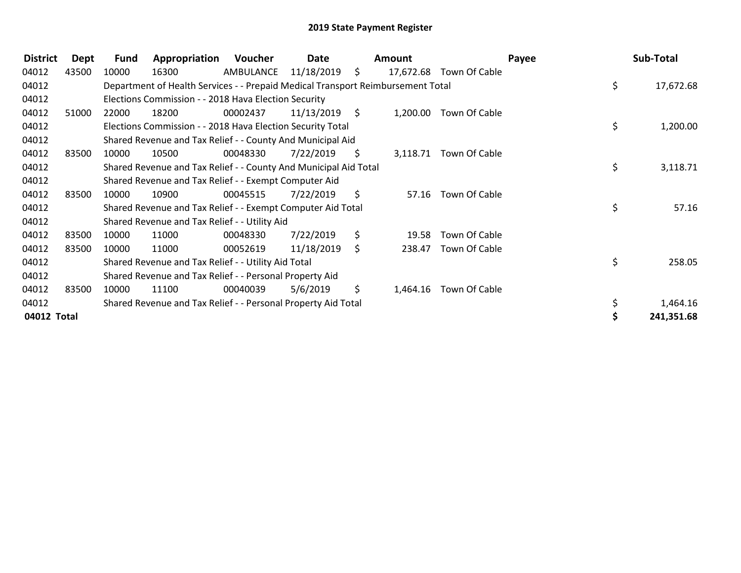| <b>District</b> | Dept  | <b>Fund</b> | Appropriation                                                                   | Voucher   | Date       |      | <b>Amount</b> |                         | Payee | Sub-Total  |
|-----------------|-------|-------------|---------------------------------------------------------------------------------|-----------|------------|------|---------------|-------------------------|-------|------------|
| 04012           | 43500 | 10000       | 16300                                                                           | AMBULANCE | 11/18/2019 | \$   |               | 17,672.68 Town Of Cable |       |            |
| 04012           |       |             | Department of Health Services - - Prepaid Medical Transport Reimbursement Total |           |            |      |               |                         | \$    | 17,672.68  |
| 04012           |       |             | Elections Commission - - 2018 Hava Election Security                            |           |            |      |               |                         |       |            |
| 04012           | 51000 | 22000       | 18200                                                                           | 00002437  | 11/13/2019 | - \$ | 1,200.00      | Town Of Cable           |       |            |
| 04012           |       |             | Elections Commission - - 2018 Hava Election Security Total                      |           |            |      |               |                         | \$    | 1,200.00   |
| 04012           |       |             | Shared Revenue and Tax Relief - - County And Municipal Aid                      |           |            |      |               |                         |       |            |
| 04012           | 83500 | 10000       | 10500                                                                           | 00048330  | 7/22/2019  | S    | 3,118.71      | Town Of Cable           |       |            |
| 04012           |       |             | Shared Revenue and Tax Relief - - County And Municipal Aid Total                |           |            |      |               |                         | \$    | 3,118.71   |
| 04012           |       |             | Shared Revenue and Tax Relief - - Exempt Computer Aid                           |           |            |      |               |                         |       |            |
| 04012           | 83500 | 10000       | 10900                                                                           | 00045515  | 7/22/2019  | \$   | 57.16         | Town Of Cable           |       |            |
| 04012           |       |             | Shared Revenue and Tax Relief - - Exempt Computer Aid Total                     |           |            |      |               |                         | \$    | 57.16      |
| 04012           |       |             | Shared Revenue and Tax Relief - - Utility Aid                                   |           |            |      |               |                         |       |            |
| 04012           | 83500 | 10000       | 11000                                                                           | 00048330  | 7/22/2019  | \$   | 19.58         | Town Of Cable           |       |            |
| 04012           | 83500 | 10000       | 11000                                                                           | 00052619  | 11/18/2019 | \$   | 238.47        | Town Of Cable           |       |            |
| 04012           |       |             | Shared Revenue and Tax Relief - - Utility Aid Total                             |           |            |      |               |                         | \$    | 258.05     |
| 04012           |       |             | Shared Revenue and Tax Relief - - Personal Property Aid                         |           |            |      |               |                         |       |            |
| 04012           | 83500 | 10000       | 11100                                                                           | 00040039  | 5/6/2019   | \$   | 1,464.16      | Town Of Cable           |       |            |
| 04012           |       |             | Shared Revenue and Tax Relief - - Personal Property Aid Total                   |           |            |      |               |                         |       | 1,464.16   |
| 04012 Total     |       |             |                                                                                 |           |            |      |               |                         |       | 241,351.68 |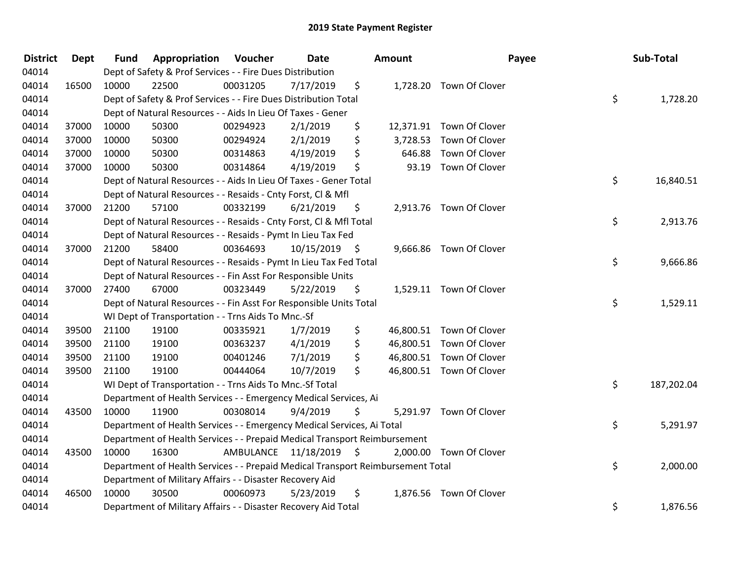| <b>District</b> | <b>Dept</b> | <b>Fund</b> | <b>Appropriation Voucher</b>                                                    |                         | Date       |      | Amount   | Payee                    | Sub-Total        |
|-----------------|-------------|-------------|---------------------------------------------------------------------------------|-------------------------|------------|------|----------|--------------------------|------------------|
| 04014           |             |             | Dept of Safety & Prof Services - - Fire Dues Distribution                       |                         |            |      |          |                          |                  |
| 04014           | 16500       | 10000       | 22500                                                                           | 00031205                | 7/17/2019  | \$   |          | 1,728.20 Town Of Clover  |                  |
| 04014           |             |             | Dept of Safety & Prof Services - - Fire Dues Distribution Total                 |                         |            |      |          |                          | \$<br>1,728.20   |
| 04014           |             |             | Dept of Natural Resources - - Aids In Lieu Of Taxes - Gener                     |                         |            |      |          |                          |                  |
| 04014           | 37000       | 10000       | 50300                                                                           | 00294923                | 2/1/2019   | \$   |          | 12,371.91 Town Of Clover |                  |
| 04014           | 37000       | 10000       | 50300                                                                           | 00294924                | 2/1/2019   | \$   | 3,728.53 | Town Of Clover           |                  |
| 04014           | 37000       | 10000       | 50300                                                                           | 00314863                | 4/19/2019  | \$   | 646.88   | Town Of Clover           |                  |
| 04014           | 37000       | 10000       | 50300                                                                           | 00314864                | 4/19/2019  | \$   | 93.19    | Town Of Clover           |                  |
| 04014           |             |             | Dept of Natural Resources - - Aids In Lieu Of Taxes - Gener Total               |                         |            |      |          |                          | \$<br>16,840.51  |
| 04014           |             |             | Dept of Natural Resources - - Resaids - Cnty Forst, Cl & Mfl                    |                         |            |      |          |                          |                  |
| 04014           | 37000       | 21200       | 57100                                                                           | 00332199                | 6/21/2019  | \$   |          | 2,913.76 Town Of Clover  |                  |
| 04014           |             |             | Dept of Natural Resources - - Resaids - Cnty Forst, Cl & Mfl Total              |                         |            |      |          |                          | \$<br>2,913.76   |
| 04014           |             |             | Dept of Natural Resources - - Resaids - Pymt In Lieu Tax Fed                    |                         |            |      |          |                          |                  |
| 04014           | 37000       | 21200       | 58400                                                                           | 00364693                | 10/15/2019 | - \$ |          | 9,666.86 Town Of Clover  |                  |
| 04014           |             |             | Dept of Natural Resources - - Resaids - Pymt In Lieu Tax Fed Total              |                         |            |      |          |                          | \$<br>9,666.86   |
| 04014           |             |             | Dept of Natural Resources - - Fin Asst For Responsible Units                    |                         |            |      |          |                          |                  |
| 04014           | 37000       | 27400       | 67000                                                                           | 00323449                | 5/22/2019  | \$   |          | 1,529.11 Town Of Clover  |                  |
| 04014           |             |             | Dept of Natural Resources - - Fin Asst For Responsible Units Total              |                         |            |      |          |                          | \$<br>1,529.11   |
| 04014           |             |             | WI Dept of Transportation - - Trns Aids To Mnc.-Sf                              |                         |            |      |          |                          |                  |
| 04014           | 39500       | 21100       | 19100                                                                           | 00335921                | 1/7/2019   | \$   |          | 46,800.51 Town Of Clover |                  |
| 04014           | 39500       | 21100       | 19100                                                                           | 00363237                | 4/1/2019   | \$   |          | 46,800.51 Town Of Clover |                  |
| 04014           | 39500       | 21100       | 19100                                                                           | 00401246                | 7/1/2019   | \$   |          | 46,800.51 Town Of Clover |                  |
| 04014           | 39500       | 21100       | 19100                                                                           | 00444064                | 10/7/2019  | \$   |          | 46,800.51 Town Of Clover |                  |
| 04014           |             |             | WI Dept of Transportation - - Trns Aids To Mnc.-Sf Total                        |                         |            |      |          |                          | \$<br>187,202.04 |
| 04014           |             |             | Department of Health Services - - Emergency Medical Services, Ai                |                         |            |      |          |                          |                  |
| 04014           | 43500       | 10000       | 11900                                                                           | 00308014                | 9/4/2019   | \$   |          | 5,291.97 Town Of Clover  |                  |
| 04014           |             |             | Department of Health Services - - Emergency Medical Services, Ai Total          |                         |            |      |          |                          | \$<br>5,291.97   |
| 04014           |             |             | Department of Health Services - - Prepaid Medical Transport Reimbursement       |                         |            |      |          |                          |                  |
| 04014           | 43500       | 10000       | 16300                                                                           | AMBULANCE 11/18/2019 \$ |            |      |          | 2,000.00 Town Of Clover  |                  |
| 04014           |             |             | Department of Health Services - - Prepaid Medical Transport Reimbursement Total |                         |            |      |          |                          | \$<br>2,000.00   |
| 04014           |             |             | Department of Military Affairs - - Disaster Recovery Aid                        |                         |            |      |          |                          |                  |
| 04014           | 46500       | 10000       | 30500                                                                           | 00060973                | 5/23/2019  | \$   |          | 1,876.56 Town Of Clover  |                  |
| 04014           |             |             | Department of Military Affairs - - Disaster Recovery Aid Total                  |                         |            |      |          |                          | \$<br>1,876.56   |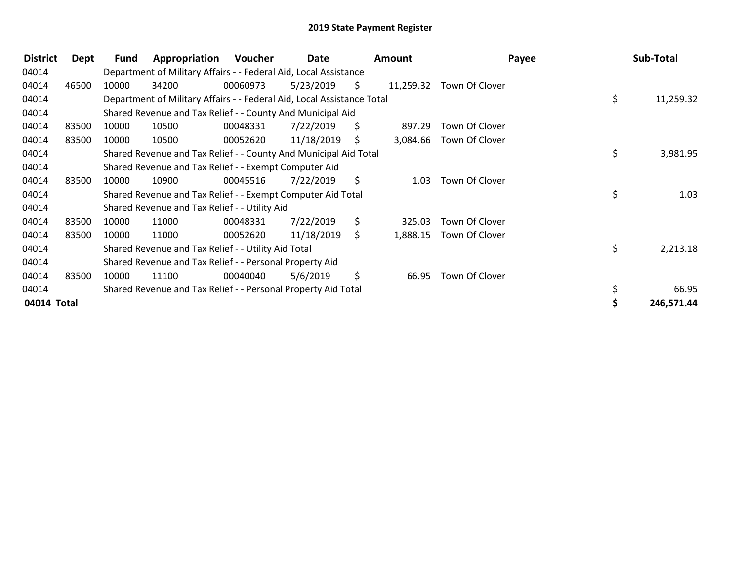| <b>District</b> | Dept  | Fund  | Appropriation                                                          | Voucher  | Date       |     | <b>Amount</b> | Payee          | Sub-Total       |
|-----------------|-------|-------|------------------------------------------------------------------------|----------|------------|-----|---------------|----------------|-----------------|
| 04014           |       |       | Department of Military Affairs - - Federal Aid, Local Assistance       |          |            |     |               |                |                 |
| 04014           | 46500 | 10000 | 34200                                                                  | 00060973 | 5/23/2019  | \$. | 11,259.32     | Town Of Clover |                 |
| 04014           |       |       | Department of Military Affairs - - Federal Aid, Local Assistance Total |          |            |     |               |                | \$<br>11,259.32 |
| 04014           |       |       | Shared Revenue and Tax Relief - - County And Municipal Aid             |          |            |     |               |                |                 |
| 04014           | 83500 | 10000 | 10500                                                                  | 00048331 | 7/22/2019  | S.  | 897.29        | Town Of Clover |                 |
| 04014           | 83500 | 10000 | 10500                                                                  | 00052620 | 11/18/2019 | \$  | 3,084.66      | Town Of Clover |                 |
| 04014           |       |       | Shared Revenue and Tax Relief - - County And Municipal Aid Total       |          |            |     |               |                | \$<br>3,981.95  |
| 04014           |       |       | Shared Revenue and Tax Relief - - Exempt Computer Aid                  |          |            |     |               |                |                 |
| 04014           | 83500 | 10000 | 10900                                                                  | 00045516 | 7/22/2019  | S.  | 1.03          | Town Of Clover |                 |
| 04014           |       |       | Shared Revenue and Tax Relief - - Exempt Computer Aid Total            |          |            |     |               |                | \$<br>1.03      |
| 04014           |       |       | Shared Revenue and Tax Relief - - Utility Aid                          |          |            |     |               |                |                 |
| 04014           | 83500 | 10000 | 11000                                                                  | 00048331 | 7/22/2019  | \$  | 325.03        | Town Of Clover |                 |
| 04014           | 83500 | 10000 | 11000                                                                  | 00052620 | 11/18/2019 | \$  | 1,888.15      | Town Of Clover |                 |
| 04014           |       |       | Shared Revenue and Tax Relief - - Utility Aid Total                    |          |            |     |               |                | \$<br>2,213.18  |
| 04014           |       |       | Shared Revenue and Tax Relief - - Personal Property Aid                |          |            |     |               |                |                 |
| 04014           | 83500 | 10000 | 11100                                                                  | 00040040 | 5/6/2019   | \$  | 66.95         | Town Of Clover |                 |
| 04014           |       |       | Shared Revenue and Tax Relief - - Personal Property Aid Total          |          |            |     |               |                | 66.95           |
| 04014 Total     |       |       |                                                                        |          |            |     |               |                | 246,571.44      |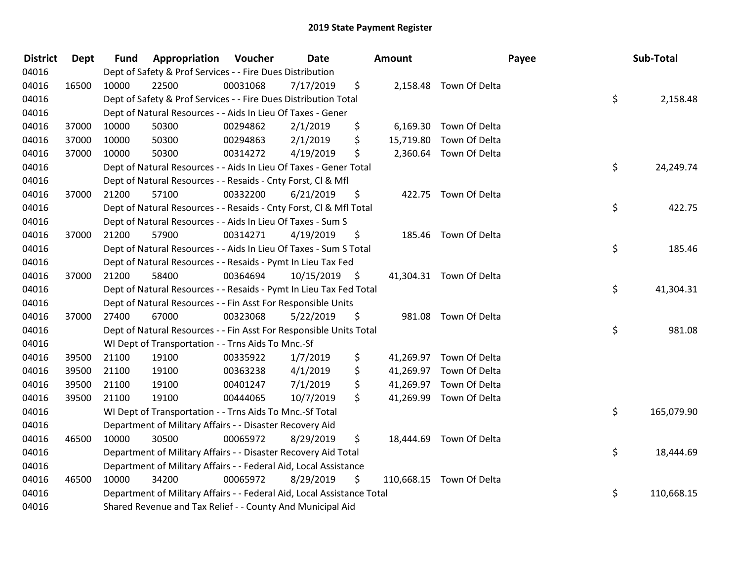| <b>District</b> | <b>Dept</b> | <b>Fund</b> | <b>Appropriation Voucher</b>                                           |          | <b>Date</b>     | <b>Amount</b> |                          | Payee | Sub-Total  |
|-----------------|-------------|-------------|------------------------------------------------------------------------|----------|-----------------|---------------|--------------------------|-------|------------|
| 04016           |             |             | Dept of Safety & Prof Services - - Fire Dues Distribution              |          |                 |               |                          |       |            |
| 04016           | 16500       | 10000       | 22500                                                                  | 00031068 | 7/17/2019       | \$            | 2,158.48 Town Of Delta   |       |            |
| 04016           |             |             | Dept of Safety & Prof Services - - Fire Dues Distribution Total        |          |                 |               |                          | \$    | 2,158.48   |
| 04016           |             |             | Dept of Natural Resources - - Aids In Lieu Of Taxes - Gener            |          |                 |               |                          |       |            |
| 04016           | 37000       | 10000       | 50300                                                                  | 00294862 | 2/1/2019        | \$            | 6,169.30 Town Of Delta   |       |            |
| 04016           | 37000       | 10000       | 50300                                                                  | 00294863 | 2/1/2019        | \$            | 15,719.80 Town Of Delta  |       |            |
| 04016           | 37000       | 10000       | 50300                                                                  | 00314272 | 4/19/2019       | \$            | 2,360.64 Town Of Delta   |       |            |
| 04016           |             |             | Dept of Natural Resources - - Aids In Lieu Of Taxes - Gener Total      |          |                 |               |                          | \$    | 24,249.74  |
| 04016           |             |             | Dept of Natural Resources - - Resaids - Cnty Forst, Cl & Mfl           |          |                 |               |                          |       |            |
| 04016           | 37000       | 21200       | 57100                                                                  | 00332200 | 6/21/2019       | \$            | 422.75 Town Of Delta     |       |            |
| 04016           |             |             | Dept of Natural Resources - - Resaids - Cnty Forst, CI & Mfl Total     |          |                 |               |                          | \$    | 422.75     |
| 04016           |             |             | Dept of Natural Resources - - Aids In Lieu Of Taxes - Sum S            |          |                 |               |                          |       |            |
| 04016           | 37000       | 21200       | 57900                                                                  | 00314271 | 4/19/2019       | \$            | 185.46 Town Of Delta     |       |            |
| 04016           |             |             | Dept of Natural Resources - - Aids In Lieu Of Taxes - Sum S Total      |          |                 |               |                          | \$    | 185.46     |
| 04016           |             |             | Dept of Natural Resources - - Resaids - Pymt In Lieu Tax Fed           |          |                 |               |                          |       |            |
| 04016           | 37000       | 21200       | 58400                                                                  | 00364694 | $10/15/2019$ \$ |               | 41,304.31 Town Of Delta  |       |            |
| 04016           |             |             | Dept of Natural Resources - - Resaids - Pymt In Lieu Tax Fed Total     |          |                 |               |                          | \$    | 41,304.31  |
| 04016           |             |             | Dept of Natural Resources - - Fin Asst For Responsible Units           |          |                 |               |                          |       |            |
| 04016           | 37000       | 27400       | 67000                                                                  | 00323068 | 5/22/2019       | \$            | 981.08 Town Of Delta     |       |            |
| 04016           |             |             | Dept of Natural Resources - - Fin Asst For Responsible Units Total     |          |                 |               |                          | \$    | 981.08     |
| 04016           |             |             | WI Dept of Transportation - - Trns Aids To Mnc.-Sf                     |          |                 |               |                          |       |            |
| 04016           | 39500       | 21100       | 19100                                                                  | 00335922 | 1/7/2019        | \$            | 41,269.97 Town Of Delta  |       |            |
| 04016           | 39500       | 21100       | 19100                                                                  | 00363238 | 4/1/2019        | \$            | 41,269.97 Town Of Delta  |       |            |
| 04016           | 39500       | 21100       | 19100                                                                  | 00401247 | 7/1/2019        | \$            | 41,269.97 Town Of Delta  |       |            |
| 04016           | 39500       | 21100       | 19100                                                                  | 00444065 | 10/7/2019       | \$            | 41,269.99 Town Of Delta  |       |            |
| 04016           |             |             | WI Dept of Transportation - - Trns Aids To Mnc.-Sf Total               |          |                 |               |                          | \$    | 165,079.90 |
| 04016           |             |             | Department of Military Affairs - - Disaster Recovery Aid               |          |                 |               |                          |       |            |
| 04016           | 46500       | 10000       | 30500                                                                  | 00065972 | 8/29/2019       | \$            | 18,444.69 Town Of Delta  |       |            |
| 04016           |             |             | Department of Military Affairs - - Disaster Recovery Aid Total         |          |                 |               |                          | \$    | 18,444.69  |
| 04016           |             |             | Department of Military Affairs - - Federal Aid, Local Assistance       |          |                 |               |                          |       |            |
| 04016           | 46500       | 10000       | 34200                                                                  | 00065972 | 8/29/2019       | \$            | 110,668.15 Town Of Delta |       |            |
| 04016           |             |             | Department of Military Affairs - - Federal Aid, Local Assistance Total |          |                 |               |                          | \$    | 110,668.15 |
| 04016           |             |             | Shared Revenue and Tax Relief - - County And Municipal Aid             |          |                 |               |                          |       |            |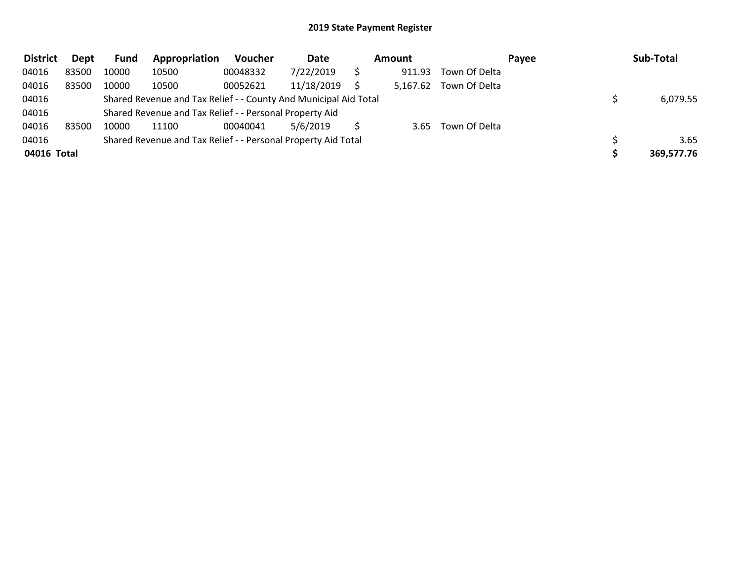| <b>District</b> | Dept  | Fund  | Appropriation                                                    | <b>Voucher</b> | <b>Date</b> | Amount   |               | Payee | Sub-Total  |
|-----------------|-------|-------|------------------------------------------------------------------|----------------|-------------|----------|---------------|-------|------------|
| 04016           | 83500 | 10000 | 10500                                                            | 00048332       | 7/22/2019   | 911.93   | Town Of Delta |       |            |
| 04016           | 83500 | 10000 | 10500                                                            | 00052621       | 11/18/2019  | 5,167.62 | Town Of Delta |       |            |
| 04016           |       |       | Shared Revenue and Tax Relief - - County And Municipal Aid Total |                |             |          |               |       | 6,079.55   |
| 04016           |       |       | Shared Revenue and Tax Relief - - Personal Property Aid          |                |             |          |               |       |            |
| 04016           | 83500 | 10000 | 11100                                                            | 00040041       | 5/6/2019    | 3.65     | Town Of Delta |       |            |
| 04016           |       |       | Shared Revenue and Tax Relief - - Personal Property Aid Total    |                |             |          |               |       | 3.65       |
| 04016 Total     |       |       |                                                                  |                |             |          |               |       | 369,577.76 |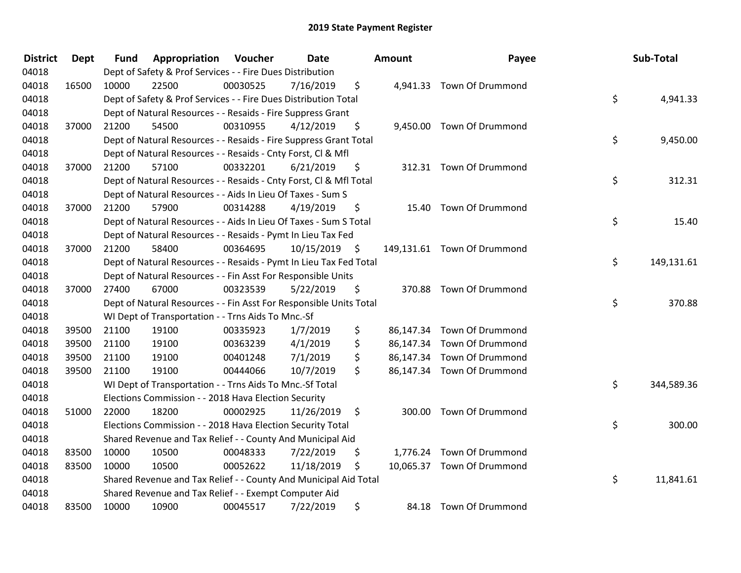| <b>District</b> | <b>Dept</b> | <b>Fund</b> | Appropriation                                                      | Voucher  | Date       | Amount       | Payee                       | Sub-Total        |
|-----------------|-------------|-------------|--------------------------------------------------------------------|----------|------------|--------------|-----------------------------|------------------|
| 04018           |             |             | Dept of Safety & Prof Services - - Fire Dues Distribution          |          |            |              |                             |                  |
| 04018           | 16500       | 10000       | 22500                                                              | 00030525 | 7/16/2019  | \$           | 4,941.33 Town Of Drummond   |                  |
| 04018           |             |             | Dept of Safety & Prof Services - - Fire Dues Distribution Total    |          |            |              |                             | \$<br>4,941.33   |
| 04018           |             |             | Dept of Natural Resources - - Resaids - Fire Suppress Grant        |          |            |              |                             |                  |
| 04018           | 37000       | 21200       | 54500                                                              | 00310955 | 4/12/2019  | \$           | 9,450.00 Town Of Drummond   |                  |
| 04018           |             |             | Dept of Natural Resources - - Resaids - Fire Suppress Grant Total  |          |            |              |                             | \$<br>9,450.00   |
| 04018           |             |             | Dept of Natural Resources - - Resaids - Cnty Forst, Cl & Mfl       |          |            |              |                             |                  |
| 04018           | 37000       | 21200       | 57100                                                              | 00332201 | 6/21/2019  | \$           | 312.31 Town Of Drummond     |                  |
| 04018           |             |             | Dept of Natural Resources - - Resaids - Cnty Forst, Cl & Mfl Total |          |            |              |                             | \$<br>312.31     |
| 04018           |             |             | Dept of Natural Resources - - Aids In Lieu Of Taxes - Sum S        |          |            |              |                             |                  |
| 04018           | 37000       | 21200       | 57900                                                              | 00314288 | 4/19/2019  | \$           | 15.40 Town Of Drummond      |                  |
| 04018           |             |             | Dept of Natural Resources - - Aids In Lieu Of Taxes - Sum S Total  |          |            |              |                             | \$<br>15.40      |
| 04018           |             |             | Dept of Natural Resources - - Resaids - Pymt In Lieu Tax Fed       |          |            |              |                             |                  |
| 04018           | 37000       | 21200       | 58400                                                              | 00364695 | 10/15/2019 | \$           | 149,131.61 Town Of Drummond |                  |
| 04018           |             |             | Dept of Natural Resources - - Resaids - Pymt In Lieu Tax Fed Total |          |            |              |                             | \$<br>149,131.61 |
| 04018           |             |             | Dept of Natural Resources - - Fin Asst For Responsible Units       |          |            |              |                             |                  |
| 04018           | 37000       | 27400       | 67000                                                              | 00323539 | 5/22/2019  | \$           | 370.88 Town Of Drummond     |                  |
| 04018           |             |             | Dept of Natural Resources - - Fin Asst For Responsible Units Total |          |            |              |                             | \$<br>370.88     |
| 04018           |             |             | WI Dept of Transportation - - Trns Aids To Mnc.-Sf                 |          |            |              |                             |                  |
| 04018           | 39500       | 21100       | 19100                                                              | 00335923 | 1/7/2019   | \$           | 86,147.34 Town Of Drummond  |                  |
| 04018           | 39500       | 21100       | 19100                                                              | 00363239 | 4/1/2019   | \$           | 86,147.34 Town Of Drummond  |                  |
| 04018           | 39500       | 21100       | 19100                                                              | 00401248 | 7/1/2019   | \$           | 86,147.34 Town Of Drummond  |                  |
| 04018           | 39500       | 21100       | 19100                                                              | 00444066 | 10/7/2019  | \$           | 86,147.34 Town Of Drummond  |                  |
| 04018           |             |             | WI Dept of Transportation - - Trns Aids To Mnc.-Sf Total           |          |            |              |                             | \$<br>344,589.36 |
| 04018           |             |             | Elections Commission - - 2018 Hava Election Security               |          |            |              |                             |                  |
| 04018           | 51000       | 22000       | 18200                                                              | 00002925 | 11/26/2019 | \$<br>300.00 | Town Of Drummond            |                  |
| 04018           |             |             | Elections Commission - - 2018 Hava Election Security Total         |          |            |              |                             | \$<br>300.00     |
| 04018           |             |             | Shared Revenue and Tax Relief - - County And Municipal Aid         |          |            |              |                             |                  |
| 04018           | 83500       | 10000       | 10500                                                              | 00048333 | 7/22/2019  | \$           | 1,776.24 Town Of Drummond   |                  |
| 04018           | 83500       | 10000       | 10500                                                              | 00052622 | 11/18/2019 | \$           | 10,065.37 Town Of Drummond  |                  |
| 04018           |             |             | Shared Revenue and Tax Relief - - County And Municipal Aid Total   |          |            |              |                             | \$<br>11,841.61  |
| 04018           |             |             | Shared Revenue and Tax Relief - - Exempt Computer Aid              |          |            |              |                             |                  |
| 04018           | 83500       | 10000       | 10900                                                              | 00045517 | 7/22/2019  | \$           | 84.18 Town Of Drummond      |                  |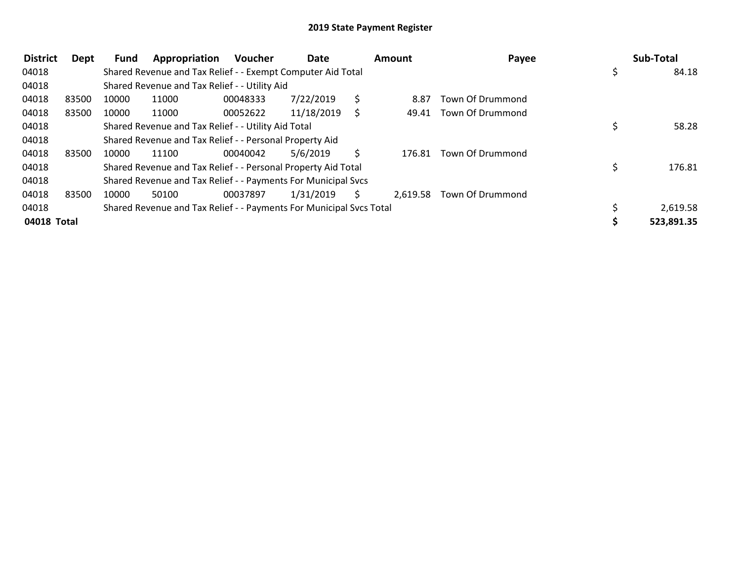| <b>District</b> | Dept  | <b>Fund</b> | Appropriation                                                       | Voucher  | Date       |    | <b>Amount</b> | Payee                  |   | Sub-Total  |
|-----------------|-------|-------------|---------------------------------------------------------------------|----------|------------|----|---------------|------------------------|---|------------|
| 04018           |       |             | Shared Revenue and Tax Relief - - Exempt Computer Aid Total         |          |            |    |               |                        | Ş | 84.18      |
| 04018           |       |             | Shared Revenue and Tax Relief - - Utility Aid                       |          |            |    |               |                        |   |            |
| 04018           | 83500 | 10000       | 11000                                                               | 00048333 | 7/22/2019  |    | 8.87          | Town Of Drummond       |   |            |
| 04018           | 83500 | 10000       | 11000                                                               | 00052622 | 11/18/2019 |    |               | 49.41 Town Of Drummond |   |            |
| 04018           |       |             | Shared Revenue and Tax Relief - - Utility Aid Total                 |          |            |    |               |                        |   | 58.28      |
| 04018           |       |             | Shared Revenue and Tax Relief - - Personal Property Aid             |          |            |    |               |                        |   |            |
| 04018           | 83500 | 10000       | 11100                                                               | 00040042 | 5/6/2019   |    | 176.81        | Town Of Drummond       |   |            |
| 04018           |       |             | Shared Revenue and Tax Relief - - Personal Property Aid Total       |          |            |    |               |                        |   | 176.81     |
| 04018           |       |             | Shared Revenue and Tax Relief - - Payments For Municipal Svcs       |          |            |    |               |                        |   |            |
| 04018           | 83500 | 10000       | 50100                                                               | 00037897 | 1/31/2019  | S. | 2,619.58      | Town Of Drummond       |   |            |
| 04018           |       |             | Shared Revenue and Tax Relief - - Payments For Municipal Svcs Total |          |            |    |               |                        |   | 2,619.58   |
| 04018 Total     |       |             |                                                                     |          |            |    |               |                        |   | 523,891.35 |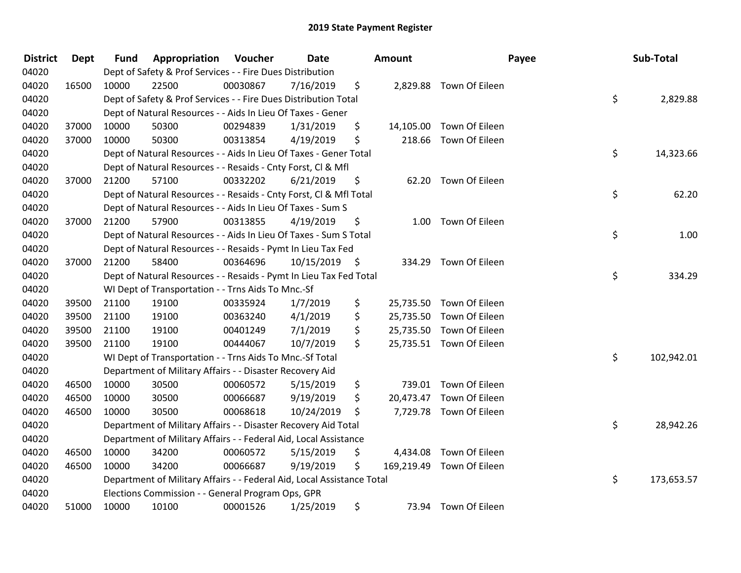| <b>District</b> | <b>Dept</b> | <b>Fund</b> | Appropriation                                                          | Voucher  | Date       |    | <b>Amount</b> |                           | Payee | Sub-Total  |
|-----------------|-------------|-------------|------------------------------------------------------------------------|----------|------------|----|---------------|---------------------------|-------|------------|
| 04020           |             |             | Dept of Safety & Prof Services - - Fire Dues Distribution              |          |            |    |               |                           |       |            |
| 04020           | 16500       | 10000       | 22500                                                                  | 00030867 | 7/16/2019  | \$ |               | 2,829.88 Town Of Eileen   |       |            |
| 04020           |             |             | Dept of Safety & Prof Services - - Fire Dues Distribution Total        |          |            |    |               |                           | \$    | 2,829.88   |
| 04020           |             |             | Dept of Natural Resources - - Aids In Lieu Of Taxes - Gener            |          |            |    |               |                           |       |            |
| 04020           | 37000       | 10000       | 50300                                                                  | 00294839 | 1/31/2019  | \$ |               | 14,105.00 Town Of Eileen  |       |            |
| 04020           | 37000       | 10000       | 50300                                                                  | 00313854 | 4/19/2019  | \$ |               | 218.66 Town Of Eileen     |       |            |
| 04020           |             |             | Dept of Natural Resources - - Aids In Lieu Of Taxes - Gener Total      |          |            |    |               |                           | \$    | 14,323.66  |
| 04020           |             |             | Dept of Natural Resources - - Resaids - Cnty Forst, CI & Mfl           |          |            |    |               |                           |       |            |
| 04020           | 37000       | 21200       | 57100                                                                  | 00332202 | 6/21/2019  | \$ |               | 62.20 Town Of Eileen      |       |            |
| 04020           |             |             | Dept of Natural Resources - - Resaids - Cnty Forst, Cl & Mfl Total     |          |            |    |               |                           | \$    | 62.20      |
| 04020           |             |             | Dept of Natural Resources - - Aids In Lieu Of Taxes - Sum S            |          |            |    |               |                           |       |            |
| 04020           | 37000       | 21200       | 57900                                                                  | 00313855 | 4/19/2019  | \$ |               | 1.00 Town Of Eileen       |       |            |
| 04020           |             |             | Dept of Natural Resources - - Aids In Lieu Of Taxes - Sum S Total      |          |            |    |               |                           | \$    | 1.00       |
| 04020           |             |             | Dept of Natural Resources - - Resaids - Pymt In Lieu Tax Fed           |          |            |    |               |                           |       |            |
| 04020           | 37000       | 21200       | 58400                                                                  | 00364696 | 10/15/2019 | -Ş | 334.29        | Town Of Eileen            |       |            |
| 04020           |             |             | Dept of Natural Resources - - Resaids - Pymt In Lieu Tax Fed Total     |          |            |    |               |                           | \$    | 334.29     |
| 04020           |             |             | WI Dept of Transportation - - Trns Aids To Mnc.-Sf                     |          |            |    |               |                           |       |            |
| 04020           | 39500       | 21100       | 19100                                                                  | 00335924 | 1/7/2019   | \$ |               | 25,735.50 Town Of Eileen  |       |            |
| 04020           | 39500       | 21100       | 19100                                                                  | 00363240 | 4/1/2019   | \$ |               | 25,735.50 Town Of Eileen  |       |            |
| 04020           | 39500       | 21100       | 19100                                                                  | 00401249 | 7/1/2019   | \$ |               | 25,735.50 Town Of Eileen  |       |            |
| 04020           | 39500       | 21100       | 19100                                                                  | 00444067 | 10/7/2019  | \$ |               | 25,735.51 Town Of Eileen  |       |            |
| 04020           |             |             | WI Dept of Transportation - - Trns Aids To Mnc.-Sf Total               |          |            |    |               |                           | \$    | 102,942.01 |
| 04020           |             |             | Department of Military Affairs - - Disaster Recovery Aid               |          |            |    |               |                           |       |            |
| 04020           | 46500       | 10000       | 30500                                                                  | 00060572 | 5/15/2019  | \$ |               | 739.01 Town Of Eileen     |       |            |
| 04020           | 46500       | 10000       | 30500                                                                  | 00066687 | 9/19/2019  | \$ | 20,473.47     | Town Of Eileen            |       |            |
| 04020           | 46500       | 10000       | 30500                                                                  | 00068618 | 10/24/2019 | \$ |               | 7,729.78 Town Of Eileen   |       |            |
| 04020           |             |             | Department of Military Affairs - - Disaster Recovery Aid Total         |          |            |    |               |                           | \$    | 28,942.26  |
| 04020           |             |             | Department of Military Affairs - - Federal Aid, Local Assistance       |          |            |    |               |                           |       |            |
| 04020           | 46500       | 10000       | 34200                                                                  | 00060572 | 5/15/2019  | \$ | 4,434.08      | Town Of Eileen            |       |            |
| 04020           | 46500       | 10000       | 34200                                                                  | 00066687 | 9/19/2019  | \$ |               | 169,219.49 Town Of Eileen |       |            |
| 04020           |             |             | Department of Military Affairs - - Federal Aid, Local Assistance Total |          |            |    |               |                           | \$    | 173,653.57 |
| 04020           |             |             | Elections Commission - - General Program Ops, GPR                      |          |            |    |               |                           |       |            |
| 04020           | 51000       | 10000       | 10100                                                                  | 00001526 | 1/25/2019  | \$ |               | 73.94 Town Of Eileen      |       |            |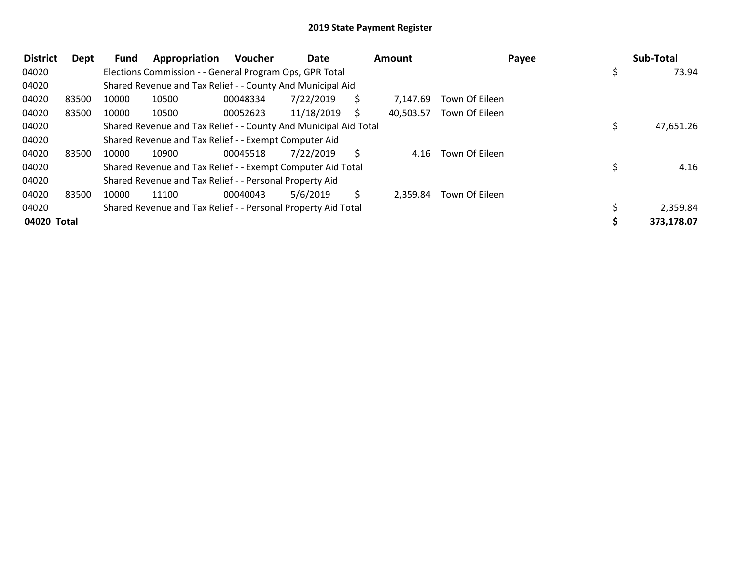| <b>District</b> | Dept  | <b>Fund</b> | Appropriation                                                    | <b>Voucher</b> | Date       |    | <b>Amount</b> |                | Payee | Sub-Total   |
|-----------------|-------|-------------|------------------------------------------------------------------|----------------|------------|----|---------------|----------------|-------|-------------|
| 04020           |       |             | Elections Commission - - General Program Ops, GPR Total          |                |            |    |               |                |       | \$<br>73.94 |
| 04020           |       |             | Shared Revenue and Tax Relief - - County And Municipal Aid       |                |            |    |               |                |       |             |
| 04020           | 83500 | 10000       | 10500                                                            | 00048334       | 7/22/2019  | S. | 7.147.69      | Town Of Eileen |       |             |
| 04020           | 83500 | 10000       | 10500                                                            | 00052623       | 11/18/2019 | S  | 40,503.57     | Town Of Eileen |       |             |
| 04020           |       |             | Shared Revenue and Tax Relief - - County And Municipal Aid Total |                |            |    |               |                |       | 47,651.26   |
| 04020           |       |             | Shared Revenue and Tax Relief - - Exempt Computer Aid            |                |            |    |               |                |       |             |
| 04020           | 83500 | 10000       | 10900                                                            | 00045518       | 7/22/2019  |    | 4.16          | Town Of Eileen |       |             |
| 04020           |       |             | Shared Revenue and Tax Relief - - Exempt Computer Aid Total      |                |            |    |               |                |       | 4.16        |
| 04020           |       |             | Shared Revenue and Tax Relief - - Personal Property Aid          |                |            |    |               |                |       |             |
| 04020           | 83500 | 10000       | 11100                                                            | 00040043       | 5/6/2019   | S. | 2,359.84      | Town Of Eileen |       |             |
| 04020           |       |             | Shared Revenue and Tax Relief - - Personal Property Aid Total    |                |            |    |               |                |       | 2,359.84    |
| 04020 Total     |       |             |                                                                  |                |            |    |               |                |       | 373,178.07  |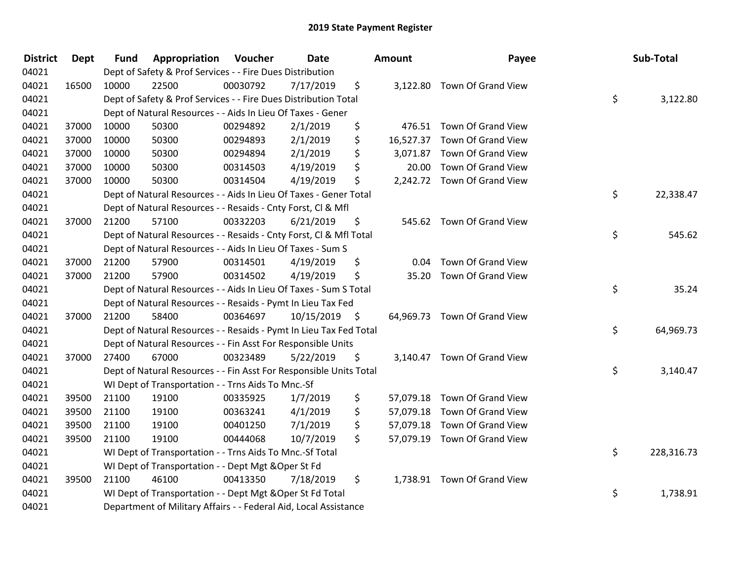| <b>District</b> | <b>Dept</b> | <b>Fund</b> | Appropriation                                                      | Voucher  | Date       |      | <b>Amount</b> | Payee                        | Sub-Total        |
|-----------------|-------------|-------------|--------------------------------------------------------------------|----------|------------|------|---------------|------------------------------|------------------|
| 04021           |             |             | Dept of Safety & Prof Services - - Fire Dues Distribution          |          |            |      |               |                              |                  |
| 04021           | 16500       | 10000       | 22500                                                              | 00030792 | 7/17/2019  | \$   |               | 3,122.80 Town Of Grand View  |                  |
| 04021           |             |             | Dept of Safety & Prof Services - - Fire Dues Distribution Total    |          |            |      |               |                              | \$<br>3,122.80   |
| 04021           |             |             | Dept of Natural Resources - - Aids In Lieu Of Taxes - Gener        |          |            |      |               |                              |                  |
| 04021           | 37000       | 10000       | 50300                                                              | 00294892 | 2/1/2019   | \$   |               | 476.51 Town Of Grand View    |                  |
| 04021           | 37000       | 10000       | 50300                                                              | 00294893 | 2/1/2019   | \$   |               | 16,527.37 Town Of Grand View |                  |
| 04021           | 37000       | 10000       | 50300                                                              | 00294894 | 2/1/2019   | \$   |               | 3,071.87 Town Of Grand View  |                  |
| 04021           | 37000       | 10000       | 50300                                                              | 00314503 | 4/19/2019  | \$   | 20.00         | Town Of Grand View           |                  |
| 04021           | 37000       | 10000       | 50300                                                              | 00314504 | 4/19/2019  | \$   |               | 2,242.72 Town Of Grand View  |                  |
| 04021           |             |             | Dept of Natural Resources - - Aids In Lieu Of Taxes - Gener Total  |          |            |      |               |                              | \$<br>22,338.47  |
| 04021           |             |             | Dept of Natural Resources - - Resaids - Cnty Forst, Cl & Mfl       |          |            |      |               |                              |                  |
| 04021           | 37000       | 21200       | 57100                                                              | 00332203 | 6/21/2019  | \$   |               | 545.62 Town Of Grand View    |                  |
| 04021           |             |             | Dept of Natural Resources - - Resaids - Cnty Forst, CI & Mfl Total |          |            |      |               |                              | \$<br>545.62     |
| 04021           |             |             | Dept of Natural Resources - - Aids In Lieu Of Taxes - Sum S        |          |            |      |               |                              |                  |
| 04021           | 37000       | 21200       | 57900                                                              | 00314501 | 4/19/2019  | \$   | 0.04          | Town Of Grand View           |                  |
| 04021           | 37000       | 21200       | 57900                                                              | 00314502 | 4/19/2019  | \$   | 35.20         | Town Of Grand View           |                  |
| 04021           |             |             | Dept of Natural Resources - - Aids In Lieu Of Taxes - Sum S Total  |          |            |      |               |                              | \$<br>35.24      |
| 04021           |             |             | Dept of Natural Resources - - Resaids - Pymt In Lieu Tax Fed       |          |            |      |               |                              |                  |
| 04021           | 37000       | 21200       | 58400                                                              | 00364697 | 10/15/2019 | - \$ |               | 64,969.73 Town Of Grand View |                  |
| 04021           |             |             | Dept of Natural Resources - - Resaids - Pymt In Lieu Tax Fed Total |          |            |      |               |                              | \$<br>64,969.73  |
| 04021           |             |             | Dept of Natural Resources - - Fin Asst For Responsible Units       |          |            |      |               |                              |                  |
| 04021           | 37000       | 27400       | 67000                                                              | 00323489 | 5/22/2019  | \$   |               | 3,140.47 Town Of Grand View  |                  |
| 04021           |             |             | Dept of Natural Resources - - Fin Asst For Responsible Units Total |          |            |      |               |                              | \$<br>3,140.47   |
| 04021           |             |             | WI Dept of Transportation - - Trns Aids To Mnc.-Sf                 |          |            |      |               |                              |                  |
| 04021           | 39500       | 21100       | 19100                                                              | 00335925 | 1/7/2019   | \$   |               | 57,079.18 Town Of Grand View |                  |
| 04021           | 39500       | 21100       | 19100                                                              | 00363241 | 4/1/2019   | \$   |               | 57,079.18 Town Of Grand View |                  |
| 04021           | 39500       | 21100       | 19100                                                              | 00401250 | 7/1/2019   | \$   |               | 57,079.18 Town Of Grand View |                  |
| 04021           | 39500       | 21100       | 19100                                                              | 00444068 | 10/7/2019  | \$   |               | 57,079.19 Town Of Grand View |                  |
| 04021           |             |             | WI Dept of Transportation - - Trns Aids To Mnc.-Sf Total           |          |            |      |               |                              | \$<br>228,316.73 |
| 04021           |             |             | WI Dept of Transportation - - Dept Mgt & Oper St Fd                |          |            |      |               |                              |                  |
| 04021           | 39500       | 21100       | 46100                                                              | 00413350 | 7/18/2019  | \$   |               | 1,738.91 Town Of Grand View  |                  |
| 04021           |             |             | WI Dept of Transportation - - Dept Mgt & Oper St Fd Total          |          |            |      |               |                              | \$<br>1,738.91   |
| 04021           |             |             | Department of Military Affairs - - Federal Aid, Local Assistance   |          |            |      |               |                              |                  |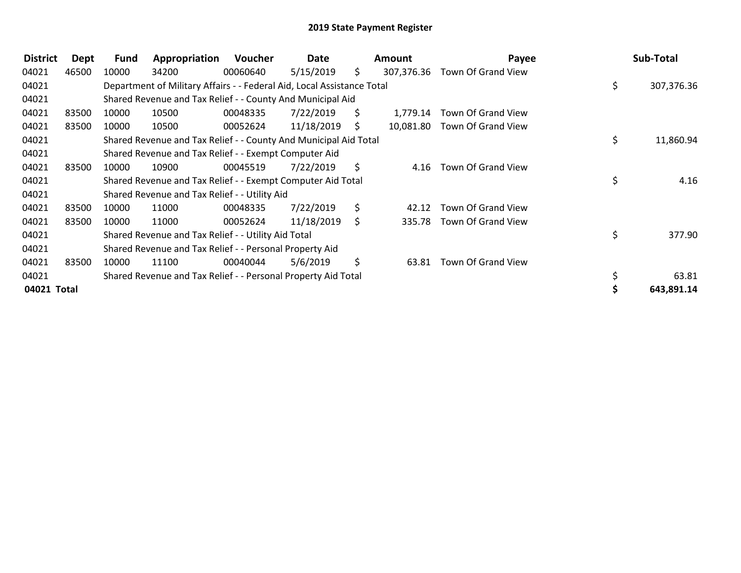| <b>District</b> | Dept  | <b>Fund</b> | Appropriation                                                          | Voucher  | Date       |     | Amount     | Payee              | Sub-Total        |
|-----------------|-------|-------------|------------------------------------------------------------------------|----------|------------|-----|------------|--------------------|------------------|
| 04021           | 46500 | 10000       | 34200                                                                  | 00060640 | 5/15/2019  | \$. | 307,376.36 | Town Of Grand View |                  |
| 04021           |       |             | Department of Military Affairs - - Federal Aid, Local Assistance Total |          |            |     |            |                    | \$<br>307,376.36 |
| 04021           |       |             | Shared Revenue and Tax Relief - - County And Municipal Aid             |          |            |     |            |                    |                  |
| 04021           | 83500 | 10000       | 10500                                                                  | 00048335 | 7/22/2019  | S.  | 1,779.14   | Town Of Grand View |                  |
| 04021           | 83500 | 10000       | 10500                                                                  | 00052624 | 11/18/2019 | S.  | 10,081.80  | Town Of Grand View |                  |
| 04021           |       |             | Shared Revenue and Tax Relief - - County And Municipal Aid Total       |          |            |     |            |                    | \$<br>11,860.94  |
| 04021           |       |             | Shared Revenue and Tax Relief - - Exempt Computer Aid                  |          |            |     |            |                    |                  |
| 04021           | 83500 | 10000       | 10900                                                                  | 00045519 | 7/22/2019  | S.  | 4.16       | Town Of Grand View |                  |
| 04021           |       |             | Shared Revenue and Tax Relief - - Exempt Computer Aid Total            |          |            |     |            |                    | \$<br>4.16       |
| 04021           |       |             | Shared Revenue and Tax Relief - - Utility Aid                          |          |            |     |            |                    |                  |
| 04021           | 83500 | 10000       | 11000                                                                  | 00048335 | 7/22/2019  | \$  | 42.12      | Town Of Grand View |                  |
| 04021           | 83500 | 10000       | 11000                                                                  | 00052624 | 11/18/2019 | S.  | 335.78     | Town Of Grand View |                  |
| 04021           |       |             | Shared Revenue and Tax Relief - - Utility Aid Total                    |          |            |     |            |                    | \$<br>377.90     |
| 04021           |       |             | Shared Revenue and Tax Relief - - Personal Property Aid                |          |            |     |            |                    |                  |
| 04021           | 83500 | 10000       | 11100                                                                  | 00040044 | 5/6/2019   | S.  | 63.81      | Town Of Grand View |                  |
| 04021           |       |             | Shared Revenue and Tax Relief - - Personal Property Aid Total          |          |            |     |            |                    | 63.81            |
| 04021 Total     |       |             |                                                                        |          |            |     |            |                    | 643,891.14       |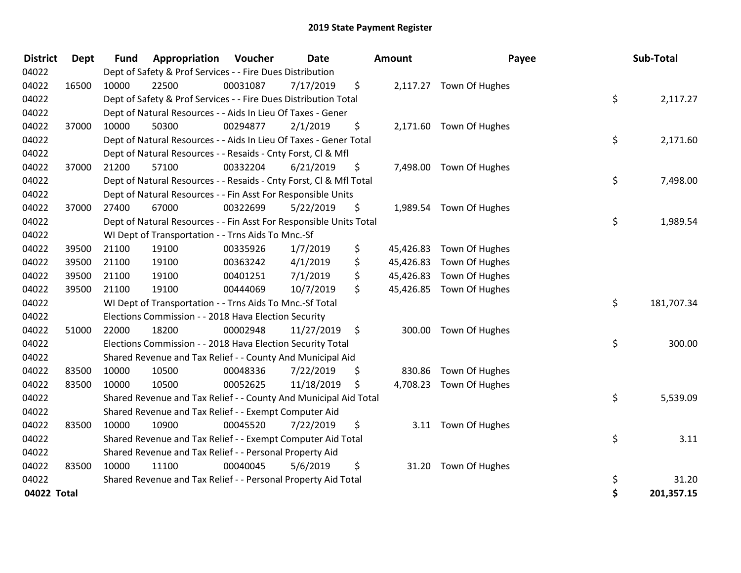| <b>District</b> | <b>Dept</b> | <b>Fund</b> | Appropriation                                                      | Voucher  | <b>Date</b> |     | <b>Amount</b> | Payee                   | Sub-Total        |
|-----------------|-------------|-------------|--------------------------------------------------------------------|----------|-------------|-----|---------------|-------------------------|------------------|
| 04022           |             |             | Dept of Safety & Prof Services - - Fire Dues Distribution          |          |             |     |               |                         |                  |
| 04022           | 16500       | 10000       | 22500                                                              | 00031087 | 7/17/2019   | \$  |               | 2,117.27 Town Of Hughes |                  |
| 04022           |             |             | Dept of Safety & Prof Services - - Fire Dues Distribution Total    |          |             |     |               |                         | \$<br>2,117.27   |
| 04022           |             |             | Dept of Natural Resources - - Aids In Lieu Of Taxes - Gener        |          |             |     |               |                         |                  |
| 04022           | 37000       | 10000       | 50300                                                              | 00294877 | 2/1/2019    | \$  |               | 2,171.60 Town Of Hughes |                  |
| 04022           |             |             | Dept of Natural Resources - - Aids In Lieu Of Taxes - Gener Total  |          |             |     |               |                         | \$<br>2,171.60   |
| 04022           |             |             | Dept of Natural Resources - - Resaids - Cnty Forst, Cl & Mfl       |          |             |     |               |                         |                  |
| 04022           | 37000       | 21200       | 57100                                                              | 00332204 | 6/21/2019   | \$  |               | 7,498.00 Town Of Hughes |                  |
| 04022           |             |             | Dept of Natural Resources - - Resaids - Cnty Forst, Cl & Mfl Total |          |             |     |               |                         | \$<br>7,498.00   |
| 04022           |             |             | Dept of Natural Resources - - Fin Asst For Responsible Units       |          |             |     |               |                         |                  |
| 04022           | 37000       | 27400       | 67000                                                              | 00322699 | 5/22/2019   | \$  |               | 1,989.54 Town Of Hughes |                  |
| 04022           |             |             | Dept of Natural Resources - - Fin Asst For Responsible Units Total |          |             |     |               |                         | \$<br>1,989.54   |
| 04022           |             |             | WI Dept of Transportation - - Trns Aids To Mnc.-Sf                 |          |             |     |               |                         |                  |
| 04022           | 39500       | 21100       | 19100                                                              | 00335926 | 1/7/2019    | \$  | 45,426.83     | Town Of Hughes          |                  |
| 04022           | 39500       | 21100       | 19100                                                              | 00363242 | 4/1/2019    | \$  | 45,426.83     | Town Of Hughes          |                  |
| 04022           | 39500       | 21100       | 19100                                                              | 00401251 | 7/1/2019    | \$  | 45,426.83     | Town Of Hughes          |                  |
| 04022           | 39500       | 21100       | 19100                                                              | 00444069 | 10/7/2019   | \$  | 45,426.85     | Town Of Hughes          |                  |
| 04022           |             |             | WI Dept of Transportation - - Trns Aids To Mnc.-Sf Total           |          |             |     |               |                         | \$<br>181,707.34 |
| 04022           |             |             | Elections Commission - - 2018 Hava Election Security               |          |             |     |               |                         |                  |
| 04022           | 51000       | 22000       | 18200                                                              | 00002948 | 11/27/2019  | \$  | 300.00        | Town Of Hughes          |                  |
| 04022           |             |             | Elections Commission - - 2018 Hava Election Security Total         |          |             |     |               |                         | \$<br>300.00     |
| 04022           |             |             | Shared Revenue and Tax Relief - - County And Municipal Aid         |          |             |     |               |                         |                  |
| 04022           | 83500       | 10000       | 10500                                                              | 00048336 | 7/22/2019   | \$  | 830.86        | Town Of Hughes          |                  |
| 04022           | 83500       | 10000       | 10500                                                              | 00052625 | 11/18/2019  | \$. |               | 4,708.23 Town Of Hughes |                  |
| 04022           |             |             | Shared Revenue and Tax Relief - - County And Municipal Aid Total   |          |             |     |               |                         | \$<br>5,539.09   |
| 04022           |             |             | Shared Revenue and Tax Relief - - Exempt Computer Aid              |          |             |     |               |                         |                  |
| 04022           | 83500       | 10000       | 10900                                                              | 00045520 | 7/22/2019   | \$  |               | 3.11 Town Of Hughes     |                  |
| 04022           |             |             | Shared Revenue and Tax Relief - - Exempt Computer Aid Total        |          |             |     |               |                         | \$<br>3.11       |
| 04022           |             |             | Shared Revenue and Tax Relief - - Personal Property Aid            |          |             |     |               |                         |                  |
| 04022           | 83500       | 10000       | 11100                                                              | 00040045 | 5/6/2019    | \$  |               | 31.20 Town Of Hughes    |                  |
| 04022           |             |             | Shared Revenue and Tax Relief - - Personal Property Aid Total      |          |             |     |               |                         | \$<br>31.20      |
| 04022 Total     |             |             |                                                                    |          |             |     |               |                         | \$<br>201,357.15 |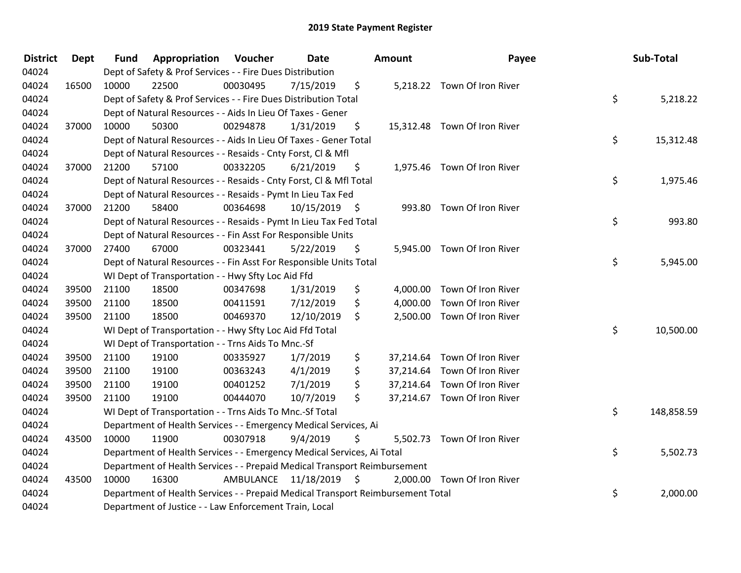| <b>District</b> | <b>Dept</b> | <b>Fund</b> | Appropriation                                                                   | Voucher   | <b>Date</b>     |                     | <b>Amount</b> | Payee                        | Sub-Total        |
|-----------------|-------------|-------------|---------------------------------------------------------------------------------|-----------|-----------------|---------------------|---------------|------------------------------|------------------|
| 04024           |             |             | Dept of Safety & Prof Services - - Fire Dues Distribution                       |           |                 |                     |               |                              |                  |
| 04024           | 16500       | 10000       | 22500                                                                           | 00030495  | 7/15/2019       | \$                  |               | 5,218.22 Town Of Iron River  |                  |
| 04024           |             |             | Dept of Safety & Prof Services - - Fire Dues Distribution Total                 |           |                 |                     |               |                              | \$<br>5,218.22   |
| 04024           |             |             | Dept of Natural Resources - - Aids In Lieu Of Taxes - Gener                     |           |                 |                     |               |                              |                  |
| 04024           | 37000       | 10000       | 50300                                                                           | 00294878  | 1/31/2019       | \$                  |               | 15,312.48 Town Of Iron River |                  |
| 04024           |             |             | Dept of Natural Resources - - Aids In Lieu Of Taxes - Gener Total               |           |                 |                     |               |                              | \$<br>15,312.48  |
| 04024           |             |             | Dept of Natural Resources - - Resaids - Cnty Forst, Cl & Mfl                    |           |                 |                     |               |                              |                  |
| 04024           | 37000       | 21200       | 57100                                                                           | 00332205  | 6/21/2019       | \$                  |               | 1,975.46 Town Of Iron River  |                  |
| 04024           |             |             | Dept of Natural Resources - - Resaids - Cnty Forst, Cl & Mfl Total              |           |                 |                     |               |                              | \$<br>1,975.46   |
| 04024           |             |             | Dept of Natural Resources - - Resaids - Pymt In Lieu Tax Fed                    |           |                 |                     |               |                              |                  |
| 04024           | 37000       | 21200       | 58400                                                                           | 00364698  | $10/15/2019$ \$ |                     |               | 993.80 Town Of Iron River    |                  |
| 04024           |             |             | Dept of Natural Resources - - Resaids - Pymt In Lieu Tax Fed Total              |           |                 |                     |               |                              | \$<br>993.80     |
| 04024           |             |             | Dept of Natural Resources - - Fin Asst For Responsible Units                    |           |                 |                     |               |                              |                  |
| 04024           | 37000       | 27400       | 67000                                                                           | 00323441  | 5/22/2019       | \$                  |               | 5,945.00 Town Of Iron River  |                  |
| 04024           |             |             | Dept of Natural Resources - - Fin Asst For Responsible Units Total              |           |                 |                     |               |                              | \$<br>5,945.00   |
| 04024           |             |             | WI Dept of Transportation - - Hwy Sfty Loc Aid Ffd                              |           |                 |                     |               |                              |                  |
| 04024           | 39500       | 21100       | 18500                                                                           | 00347698  | 1/31/2019       | \$                  |               | 4,000.00 Town Of Iron River  |                  |
| 04024           | 39500       | 21100       | 18500                                                                           | 00411591  | 7/12/2019       | \$                  |               | 4,000.00 Town Of Iron River  |                  |
| 04024           | 39500       | 21100       | 18500                                                                           | 00469370  | 12/10/2019      | \$                  |               | 2,500.00 Town Of Iron River  |                  |
| 04024           |             |             | WI Dept of Transportation - - Hwy Sfty Loc Aid Ffd Total                        |           |                 |                     |               |                              | \$<br>10,500.00  |
| 04024           |             |             | WI Dept of Transportation - - Trns Aids To Mnc.-Sf                              |           |                 |                     |               |                              |                  |
| 04024           | 39500       | 21100       | 19100                                                                           | 00335927  | 1/7/2019        | \$                  |               | 37,214.64 Town Of Iron River |                  |
| 04024           | 39500       | 21100       | 19100                                                                           | 00363243  | 4/1/2019        | \$                  |               | 37,214.64 Town Of Iron River |                  |
| 04024           | 39500       | 21100       | 19100                                                                           | 00401252  | 7/1/2019        | \$                  |               | 37,214.64 Town Of Iron River |                  |
| 04024           | 39500       | 21100       | 19100                                                                           | 00444070  | 10/7/2019       | \$                  |               | 37,214.67 Town Of Iron River |                  |
| 04024           |             |             | WI Dept of Transportation - - Trns Aids To Mnc.-Sf Total                        |           |                 |                     |               |                              | \$<br>148,858.59 |
| 04024           |             |             | Department of Health Services - - Emergency Medical Services, Ai                |           |                 |                     |               |                              |                  |
| 04024           | 43500       | 10000       | 11900                                                                           | 00307918  | 9/4/2019        | \$                  |               | 5,502.73 Town Of Iron River  |                  |
| 04024           |             |             | Department of Health Services - - Emergency Medical Services, Ai Total          |           |                 |                     |               |                              | \$<br>5,502.73   |
| 04024           |             |             | Department of Health Services - - Prepaid Medical Transport Reimbursement       |           |                 |                     |               |                              |                  |
| 04024           | 43500       | 10000       | 16300                                                                           | AMBULANCE | 11/18/2019      | $\ddot{\mathsf{s}}$ |               | 2,000.00 Town Of Iron River  |                  |
| 04024           |             |             | Department of Health Services - - Prepaid Medical Transport Reimbursement Total |           |                 |                     |               |                              | \$<br>2,000.00   |
| 04024           |             |             | Department of Justice - - Law Enforcement Train, Local                          |           |                 |                     |               |                              |                  |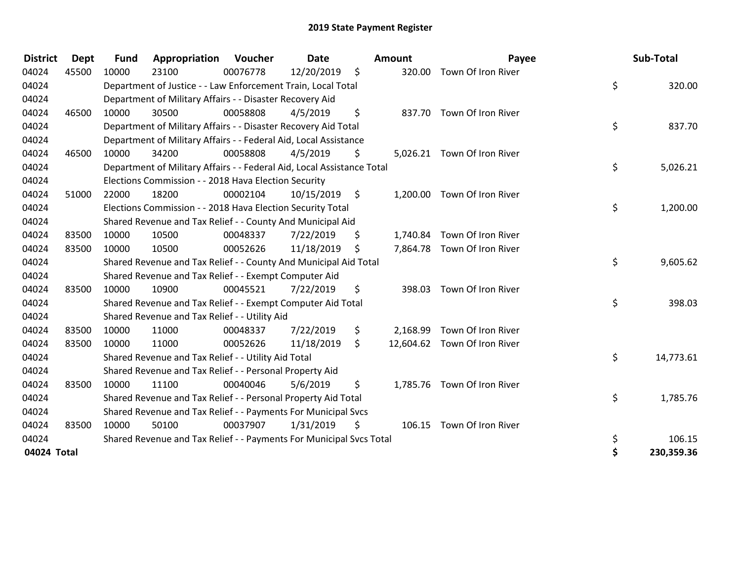| <b>District</b> | <b>Dept</b> | <b>Fund</b> | Appropriation                                                          | Voucher  | <b>Date</b> |                    | Amount   | Payee                        | Sub-Total        |
|-----------------|-------------|-------------|------------------------------------------------------------------------|----------|-------------|--------------------|----------|------------------------------|------------------|
| 04024           | 45500       | 10000       | 23100                                                                  | 00076778 | 12/20/2019  | $\ddot{\varsigma}$ | 320.00   | Town Of Iron River           |                  |
| 04024           |             |             | Department of Justice - - Law Enforcement Train, Local Total           |          |             |                    |          |                              | \$<br>320.00     |
| 04024           |             |             | Department of Military Affairs - - Disaster Recovery Aid               |          |             |                    |          |                              |                  |
| 04024           | 46500       | 10000       | 30500                                                                  | 00058808 | 4/5/2019    | \$                 |          | 837.70 Town Of Iron River    |                  |
| 04024           |             |             | Department of Military Affairs - - Disaster Recovery Aid Total         |          |             |                    |          |                              | \$<br>837.70     |
| 04024           |             |             | Department of Military Affairs - - Federal Aid, Local Assistance       |          |             |                    |          |                              |                  |
| 04024           | 46500       | 10000       | 34200                                                                  | 00058808 | 4/5/2019    | Ŝ.                 |          | 5,026.21 Town Of Iron River  |                  |
| 04024           |             |             | Department of Military Affairs - - Federal Aid, Local Assistance Total |          |             |                    |          |                              | \$<br>5,026.21   |
| 04024           |             |             | Elections Commission - - 2018 Hava Election Security                   |          |             |                    |          |                              |                  |
| 04024           | 51000       | 22000       | 18200                                                                  | 00002104 | 10/15/2019  | - \$               | 1,200.00 | Town Of Iron River           |                  |
| 04024           |             |             | Elections Commission - - 2018 Hava Election Security Total             |          |             |                    |          |                              | \$<br>1,200.00   |
| 04024           |             |             | Shared Revenue and Tax Relief - - County And Municipal Aid             |          |             |                    |          |                              |                  |
| 04024           | 83500       | 10000       | 10500                                                                  | 00048337 | 7/22/2019   | \$                 | 1,740.84 | Town Of Iron River           |                  |
| 04024           | 83500       | 10000       | 10500                                                                  | 00052626 | 11/18/2019  | $\zeta$            |          | 7,864.78 Town Of Iron River  |                  |
| 04024           |             |             | Shared Revenue and Tax Relief - - County And Municipal Aid Total       |          |             |                    |          |                              | \$<br>9,605.62   |
| 04024           |             |             | Shared Revenue and Tax Relief - - Exempt Computer Aid                  |          |             |                    |          |                              |                  |
| 04024           | 83500       | 10000       | 10900                                                                  | 00045521 | 7/22/2019   | \$                 | 398.03   | Town Of Iron River           |                  |
| 04024           |             |             | Shared Revenue and Tax Relief - - Exempt Computer Aid Total            |          |             |                    |          |                              | \$<br>398.03     |
| 04024           |             |             | Shared Revenue and Tax Relief - - Utility Aid                          |          |             |                    |          |                              |                  |
| 04024           | 83500       | 10000       | 11000                                                                  | 00048337 | 7/22/2019   | \$                 | 2,168.99 | Town Of Iron River           |                  |
| 04024           | 83500       | 10000       | 11000                                                                  | 00052626 | 11/18/2019  | \$                 |          | 12,604.62 Town Of Iron River |                  |
| 04024           |             |             | Shared Revenue and Tax Relief - - Utility Aid Total                    |          |             |                    |          |                              | \$<br>14,773.61  |
| 04024           |             |             | Shared Revenue and Tax Relief - - Personal Property Aid                |          |             |                    |          |                              |                  |
| 04024           | 83500       | 10000       | 11100                                                                  | 00040046 | 5/6/2019    | \$                 |          | 1,785.76 Town Of Iron River  |                  |
| 04024           |             |             | Shared Revenue and Tax Relief - - Personal Property Aid Total          |          |             |                    |          |                              | \$<br>1,785.76   |
| 04024           |             |             | Shared Revenue and Tax Relief - - Payments For Municipal Svcs          |          |             |                    |          |                              |                  |
| 04024           | 83500       | 10000       | 50100                                                                  | 00037907 | 1/31/2019   | \$                 |          | 106.15 Town Of Iron River    |                  |
| 04024           |             |             | Shared Revenue and Tax Relief - - Payments For Municipal Svcs Total    |          |             |                    |          |                              | \$<br>106.15     |
| 04024 Total     |             |             |                                                                        |          |             |                    |          |                              | \$<br>230,359.36 |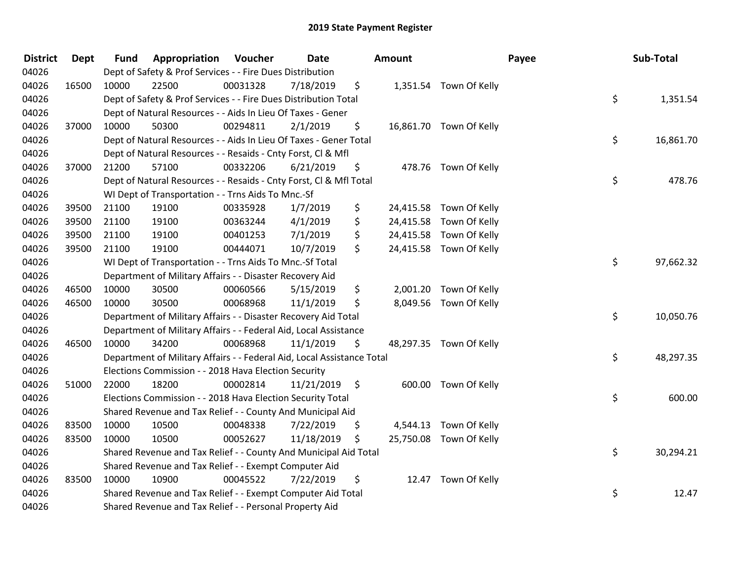| <b>District</b> | <b>Dept</b> | <b>Fund</b> | <b>Appropriation Voucher</b>                                           |          | Date       | Amount         |                         | Payee | Sub-Total |
|-----------------|-------------|-------------|------------------------------------------------------------------------|----------|------------|----------------|-------------------------|-------|-----------|
| 04026           |             |             | Dept of Safety & Prof Services - - Fire Dues Distribution              |          |            |                |                         |       |           |
| 04026           | 16500       | 10000       | 22500                                                                  | 00031328 | 7/18/2019  | \$             | 1,351.54 Town Of Kelly  |       |           |
| 04026           |             |             | Dept of Safety & Prof Services - - Fire Dues Distribution Total        |          |            |                |                         | \$    | 1,351.54  |
| 04026           |             |             | Dept of Natural Resources - - Aids In Lieu Of Taxes - Gener            |          |            |                |                         |       |           |
| 04026           | 37000       | 10000       | 50300                                                                  | 00294811 | 2/1/2019   | \$             | 16,861.70 Town Of Kelly |       |           |
| 04026           |             |             | Dept of Natural Resources - - Aids In Lieu Of Taxes - Gener Total      |          |            |                |                         | \$    | 16,861.70 |
| 04026           |             |             | Dept of Natural Resources - - Resaids - Cnty Forst, Cl & Mfl           |          |            |                |                         |       |           |
| 04026           | 37000       | 21200       | 57100                                                                  | 00332206 | 6/21/2019  | \$             | 478.76 Town Of Kelly    |       |           |
| 04026           |             |             | Dept of Natural Resources - - Resaids - Cnty Forst, CI & Mfl Total     |          |            |                |                         | \$    | 478.76    |
| 04026           |             |             | WI Dept of Transportation - - Trns Aids To Mnc.-Sf                     |          |            |                |                         |       |           |
| 04026           | 39500       | 21100       | 19100                                                                  | 00335928 | 1/7/2019   | \$             | 24,415.58 Town Of Kelly |       |           |
| 04026           | 39500       | 21100       | 19100                                                                  | 00363244 | 4/1/2019   | \$             | 24,415.58 Town Of Kelly |       |           |
| 04026           | 39500       | 21100       | 19100                                                                  | 00401253 | 7/1/2019   | \$             | 24,415.58 Town Of Kelly |       |           |
| 04026           | 39500       | 21100       | 19100                                                                  | 00444071 | 10/7/2019  | \$             | 24,415.58 Town Of Kelly |       |           |
| 04026           |             |             | WI Dept of Transportation - - Trns Aids To Mnc.-Sf Total               |          |            |                |                         | \$    | 97,662.32 |
| 04026           |             |             | Department of Military Affairs - - Disaster Recovery Aid               |          |            |                |                         |       |           |
| 04026           | 46500       | 10000       | 30500                                                                  | 00060566 | 5/15/2019  | \$<br>2,001.20 | Town Of Kelly           |       |           |
| 04026           | 46500       | 10000       | 30500                                                                  | 00068968 | 11/1/2019  | \$             | 8,049.56 Town Of Kelly  |       |           |
| 04026           |             |             | Department of Military Affairs - - Disaster Recovery Aid Total         |          |            |                |                         | \$    | 10,050.76 |
| 04026           |             |             | Department of Military Affairs - - Federal Aid, Local Assistance       |          |            |                |                         |       |           |
| 04026           | 46500       | 10000       | 34200                                                                  | 00068968 | 11/1/2019  | \$             | 48,297.35 Town Of Kelly |       |           |
| 04026           |             |             | Department of Military Affairs - - Federal Aid, Local Assistance Total |          |            |                |                         | \$    | 48,297.35 |
| 04026           |             |             | Elections Commission - - 2018 Hava Election Security                   |          |            |                |                         |       |           |
| 04026           | 51000       | 22000       | 18200                                                                  | 00002814 | 11/21/2019 | \$             | 600.00 Town Of Kelly    |       |           |
| 04026           |             |             | Elections Commission - - 2018 Hava Election Security Total             |          |            |                |                         | \$    | 600.00    |
| 04026           |             |             | Shared Revenue and Tax Relief - - County And Municipal Aid             |          |            |                |                         |       |           |
| 04026           | 83500       | 10000       | 10500                                                                  | 00048338 | 7/22/2019  | \$             | 4,544.13 Town Of Kelly  |       |           |
| 04026           | 83500       | 10000       | 10500                                                                  | 00052627 | 11/18/2019 | \$             | 25,750.08 Town Of Kelly |       |           |
| 04026           |             |             | Shared Revenue and Tax Relief - - County And Municipal Aid Total       |          |            |                |                         | \$    | 30,294.21 |
| 04026           |             |             | Shared Revenue and Tax Relief - - Exempt Computer Aid                  |          |            |                |                         |       |           |
| 04026           | 83500       | 10000       | 10900                                                                  | 00045522 | 7/22/2019  | \$<br>12.47    | Town Of Kelly           |       |           |
| 04026           |             |             | Shared Revenue and Tax Relief - - Exempt Computer Aid Total            |          |            |                |                         | \$    | 12.47     |
| 04026           |             |             | Shared Revenue and Tax Relief - - Personal Property Aid                |          |            |                |                         |       |           |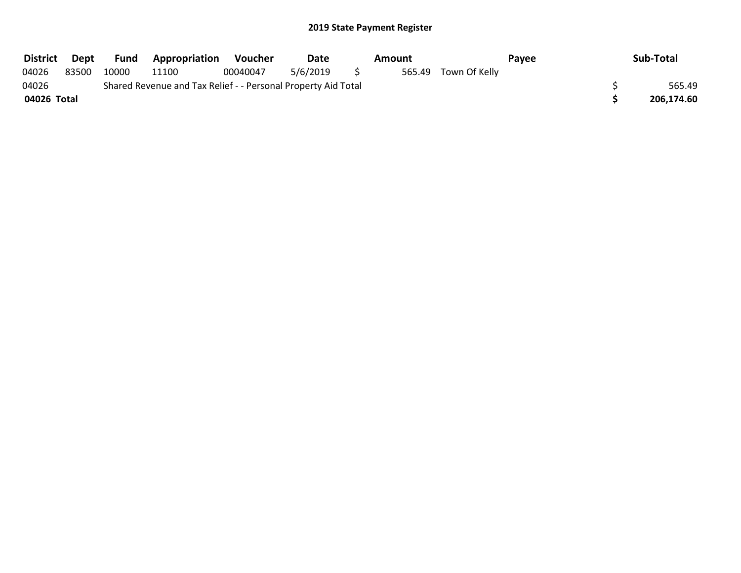| <b>District</b> | Dept  | <b>Fund</b> | <b>Appropriation</b>                                          | Voucher  | Date     | Amount |                      | Payee | Sub-Total  |
|-----------------|-------|-------------|---------------------------------------------------------------|----------|----------|--------|----------------------|-------|------------|
| 04026           | 83500 | 10000       | 11100                                                         | 00040047 | 5/6/2019 |        | 565.49 Town Of Kelly |       |            |
| 04026           |       |             | Shared Revenue and Tax Relief - - Personal Property Aid Total |          |          |        |                      |       | 565.49     |
| 04026 Total     |       |             |                                                               |          |          |        |                      |       | 206,174.60 |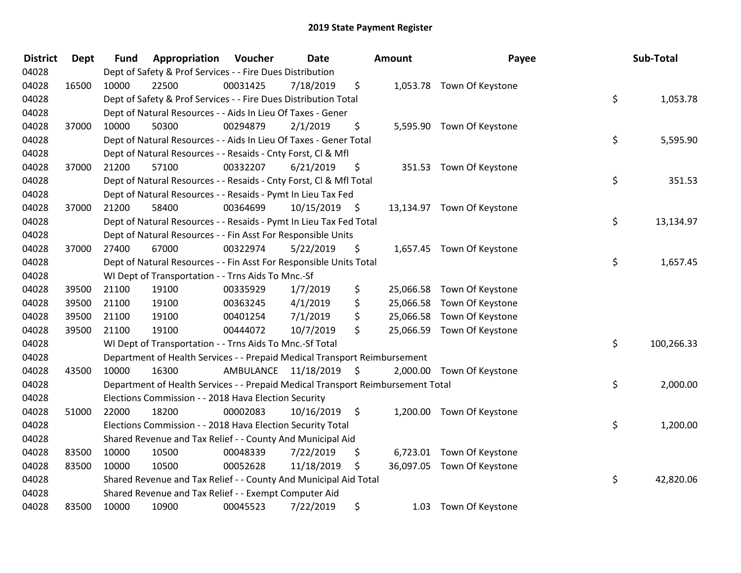| <b>District</b> | <b>Dept</b> | <b>Fund</b> | Appropriation                                                                   | Voucher   | Date       |                     | <b>Amount</b> | Payee                      | Sub-Total        |
|-----------------|-------------|-------------|---------------------------------------------------------------------------------|-----------|------------|---------------------|---------------|----------------------------|------------------|
| 04028           |             |             | Dept of Safety & Prof Services - - Fire Dues Distribution                       |           |            |                     |               |                            |                  |
| 04028           | 16500       | 10000       | 22500                                                                           | 00031425  | 7/18/2019  | \$                  |               | 1,053.78 Town Of Keystone  |                  |
| 04028           |             |             | Dept of Safety & Prof Services - - Fire Dues Distribution Total                 |           |            |                     |               |                            | \$<br>1,053.78   |
| 04028           |             |             | Dept of Natural Resources - - Aids In Lieu Of Taxes - Gener                     |           |            |                     |               |                            |                  |
| 04028           | 37000       | 10000       | 50300                                                                           | 00294879  | 2/1/2019   | \$                  |               | 5,595.90 Town Of Keystone  |                  |
| 04028           |             |             | Dept of Natural Resources - - Aids In Lieu Of Taxes - Gener Total               |           |            |                     |               |                            | \$<br>5,595.90   |
| 04028           |             |             | Dept of Natural Resources - - Resaids - Cnty Forst, Cl & Mfl                    |           |            |                     |               |                            |                  |
| 04028           | 37000       | 21200       | 57100                                                                           | 00332207  | 6/21/2019  | \$                  |               | 351.53 Town Of Keystone    |                  |
| 04028           |             |             | Dept of Natural Resources - - Resaids - Cnty Forst, Cl & Mfl Total              |           |            |                     |               |                            | \$<br>351.53     |
| 04028           |             |             | Dept of Natural Resources - - Resaids - Pymt In Lieu Tax Fed                    |           |            |                     |               |                            |                  |
| 04028           | 37000       | 21200       | 58400                                                                           | 00364699  | 10/15/2019 | - \$                |               | 13,134.97 Town Of Keystone |                  |
| 04028           |             |             | Dept of Natural Resources - - Resaids - Pymt In Lieu Tax Fed Total              |           |            |                     |               |                            | \$<br>13,134.97  |
| 04028           |             |             | Dept of Natural Resources - - Fin Asst For Responsible Units                    |           |            |                     |               |                            |                  |
| 04028           | 37000       | 27400       | 67000                                                                           | 00322974  | 5/22/2019  | \$                  |               | 1,657.45 Town Of Keystone  |                  |
| 04028           |             |             | Dept of Natural Resources - - Fin Asst For Responsible Units Total              |           |            |                     |               |                            | \$<br>1,657.45   |
| 04028           |             |             | WI Dept of Transportation - - Trns Aids To Mnc.-Sf                              |           |            |                     |               |                            |                  |
| 04028           | 39500       | 21100       | 19100                                                                           | 00335929  | 1/7/2019   | \$                  | 25,066.58     | Town Of Keystone           |                  |
| 04028           | 39500       | 21100       | 19100                                                                           | 00363245  | 4/1/2019   | \$                  | 25,066.58     | Town Of Keystone           |                  |
| 04028           | 39500       | 21100       | 19100                                                                           | 00401254  | 7/1/2019   | \$                  | 25,066.58     | Town Of Keystone           |                  |
| 04028           | 39500       | 21100       | 19100                                                                           | 00444072  | 10/7/2019  | \$                  |               | 25,066.59 Town Of Keystone |                  |
| 04028           |             |             | WI Dept of Transportation - - Trns Aids To Mnc.-Sf Total                        |           |            |                     |               |                            | \$<br>100,266.33 |
| 04028           |             |             | Department of Health Services - - Prepaid Medical Transport Reimbursement       |           |            |                     |               |                            |                  |
| 04028           | 43500       | 10000       | 16300                                                                           | AMBULANCE | 11/18/2019 | $\ddot{\mathsf{s}}$ |               | 2,000.00 Town Of Keystone  |                  |
| 04028           |             |             | Department of Health Services - - Prepaid Medical Transport Reimbursement Total |           |            |                     |               |                            | \$<br>2,000.00   |
| 04028           |             |             | Elections Commission - - 2018 Hava Election Security                            |           |            |                     |               |                            |                  |
| 04028           | 51000       | 22000       | 18200                                                                           | 00002083  | 10/16/2019 | \$                  |               | 1,200.00 Town Of Keystone  |                  |
| 04028           |             |             | Elections Commission - - 2018 Hava Election Security Total                      |           |            |                     |               |                            | \$<br>1,200.00   |
| 04028           |             |             | Shared Revenue and Tax Relief - - County And Municipal Aid                      |           |            |                     |               |                            |                  |
| 04028           | 83500       | 10000       | 10500                                                                           | 00048339  | 7/22/2019  | \$                  |               | 6,723.01 Town Of Keystone  |                  |
| 04028           | 83500       | 10000       | 10500                                                                           | 00052628  | 11/18/2019 | \$                  |               | 36,097.05 Town Of Keystone |                  |
| 04028           |             |             | Shared Revenue and Tax Relief - - County And Municipal Aid Total                |           |            |                     |               |                            | \$<br>42,820.06  |
| 04028           |             |             | Shared Revenue and Tax Relief - - Exempt Computer Aid                           |           |            |                     |               |                            |                  |
| 04028           | 83500       | 10000       | 10900                                                                           | 00045523  | 7/22/2019  | \$                  | 1.03          | Town Of Keystone           |                  |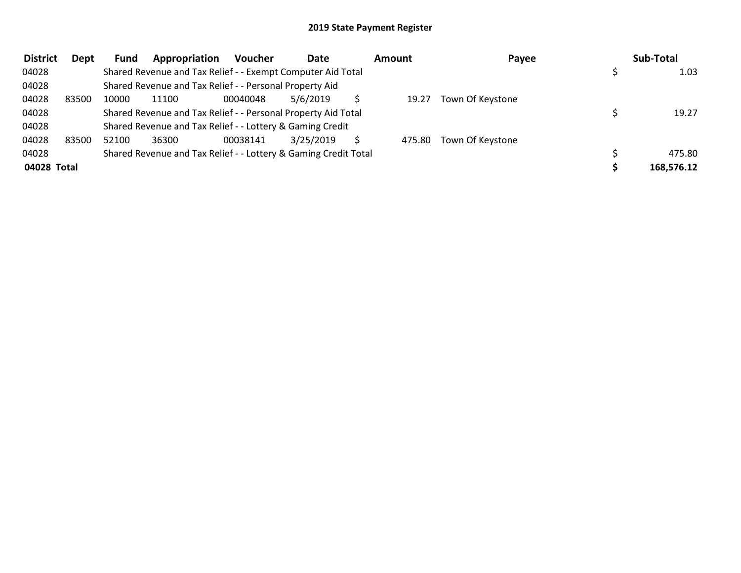| <b>District</b> | Dept  | Fund  | Appropriation                                                   | <b>Voucher</b> | Date      | Amount | Payee            | Sub-Total  |
|-----------------|-------|-------|-----------------------------------------------------------------|----------------|-----------|--------|------------------|------------|
| 04028           |       |       | Shared Revenue and Tax Relief - - Exempt Computer Aid Total     |                |           |        |                  | 1.03       |
| 04028           |       |       | Shared Revenue and Tax Relief - - Personal Property Aid         |                |           |        |                  |            |
| 04028           | 83500 | 10000 | 11100                                                           | 00040048       | 5/6/2019  | 19.27  | Town Of Keystone |            |
| 04028           |       |       | Shared Revenue and Tax Relief - - Personal Property Aid Total   |                |           |        |                  | 19.27      |
| 04028           |       |       | Shared Revenue and Tax Relief - - Lottery & Gaming Credit       |                |           |        |                  |            |
| 04028           | 83500 | 52100 | 36300                                                           | 00038141       | 3/25/2019 | 475.80 | Town Of Keystone |            |
| 04028           |       |       | Shared Revenue and Tax Relief - - Lottery & Gaming Credit Total |                |           |        |                  | 475.80     |
| 04028 Total     |       |       |                                                                 |                |           |        |                  | 168,576.12 |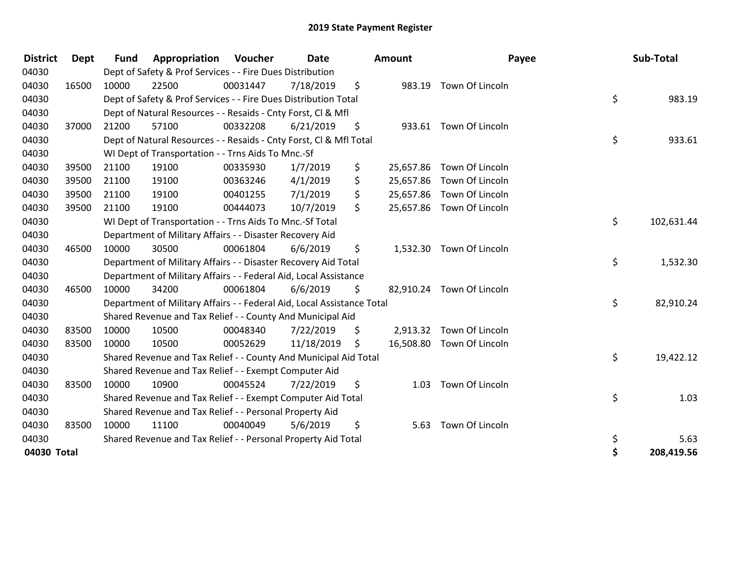| <b>District</b> | <b>Dept</b> | <b>Fund</b> | Appropriation                                                          | Voucher  | Date       | <b>Amount</b>   | Payee                     | Sub-Total        |
|-----------------|-------------|-------------|------------------------------------------------------------------------|----------|------------|-----------------|---------------------------|------------------|
| 04030           |             |             | Dept of Safety & Prof Services - - Fire Dues Distribution              |          |            |                 |                           |                  |
| 04030           | 16500       | 10000       | 22500                                                                  | 00031447 | 7/18/2019  | \$<br>983.19    | Town Of Lincoln           |                  |
| 04030           |             |             | Dept of Safety & Prof Services - - Fire Dues Distribution Total        |          |            |                 |                           | \$<br>983.19     |
| 04030           |             |             | Dept of Natural Resources - - Resaids - Cnty Forst, CI & Mfl           |          |            |                 |                           |                  |
| 04030           | 37000       | 21200       | 57100                                                                  | 00332208 | 6/21/2019  | \$              | 933.61 Town Of Lincoln    |                  |
| 04030           |             |             | Dept of Natural Resources - - Resaids - Cnty Forst, Cl & Mfl Total     |          |            |                 |                           | \$<br>933.61     |
| 04030           |             |             | WI Dept of Transportation - - Trns Aids To Mnc.-Sf                     |          |            |                 |                           |                  |
| 04030           | 39500       | 21100       | 19100                                                                  | 00335930 | 1/7/2019   | \$<br>25,657.86 | Town Of Lincoln           |                  |
| 04030           | 39500       | 21100       | 19100                                                                  | 00363246 | 4/1/2019   | \$<br>25,657.86 | Town Of Lincoln           |                  |
| 04030           | 39500       | 21100       | 19100                                                                  | 00401255 | 7/1/2019   | \$<br>25,657.86 | Town Of Lincoln           |                  |
| 04030           | 39500       | 21100       | 19100                                                                  | 00444073 | 10/7/2019  | \$              | 25,657.86 Town Of Lincoln |                  |
| 04030           |             |             | WI Dept of Transportation - - Trns Aids To Mnc.-Sf Total               |          |            |                 |                           | \$<br>102,631.44 |
| 04030           |             |             | Department of Military Affairs - - Disaster Recovery Aid               |          |            |                 |                           |                  |
| 04030           | 46500       | 10000       | 30500                                                                  | 00061804 | 6/6/2019   | \$<br>1,532.30  | Town Of Lincoln           |                  |
| 04030           |             |             | Department of Military Affairs - - Disaster Recovery Aid Total         |          |            |                 |                           | \$<br>1,532.30   |
| 04030           |             |             | Department of Military Affairs - - Federal Aid, Local Assistance       |          |            |                 |                           |                  |
| 04030           | 46500       | 10000       | 34200                                                                  | 00061804 | 6/6/2019   | \$              | 82,910.24 Town Of Lincoln |                  |
| 04030           |             |             | Department of Military Affairs - - Federal Aid, Local Assistance Total |          |            |                 |                           | \$<br>82,910.24  |
| 04030           |             |             | Shared Revenue and Tax Relief - - County And Municipal Aid             |          |            |                 |                           |                  |
| 04030           | 83500       | 10000       | 10500                                                                  | 00048340 | 7/22/2019  | \$<br>2,913.32  | Town Of Lincoln           |                  |
| 04030           | 83500       | 10000       | 10500                                                                  | 00052629 | 11/18/2019 | \$              | 16,508.80 Town Of Lincoln |                  |
| 04030           |             |             | Shared Revenue and Tax Relief - - County And Municipal Aid Total       |          |            |                 |                           | \$<br>19,422.12  |
| 04030           |             |             | Shared Revenue and Tax Relief - - Exempt Computer Aid                  |          |            |                 |                           |                  |
| 04030           | 83500       | 10000       | 10900                                                                  | 00045524 | 7/22/2019  | \$<br>1.03      | Town Of Lincoln           |                  |
| 04030           |             |             | Shared Revenue and Tax Relief - - Exempt Computer Aid Total            |          |            |                 |                           | \$<br>1.03       |
| 04030           |             |             | Shared Revenue and Tax Relief - - Personal Property Aid                |          |            |                 |                           |                  |
| 04030           | 83500       | 10000       | 11100                                                                  | 00040049 | 5/6/2019   | \$<br>5.63      | Town Of Lincoln           |                  |
| 04030           |             |             | Shared Revenue and Tax Relief - - Personal Property Aid Total          |          |            |                 |                           | \$<br>5.63       |
| 04030 Total     |             |             |                                                                        |          |            |                 |                           | \$<br>208,419.56 |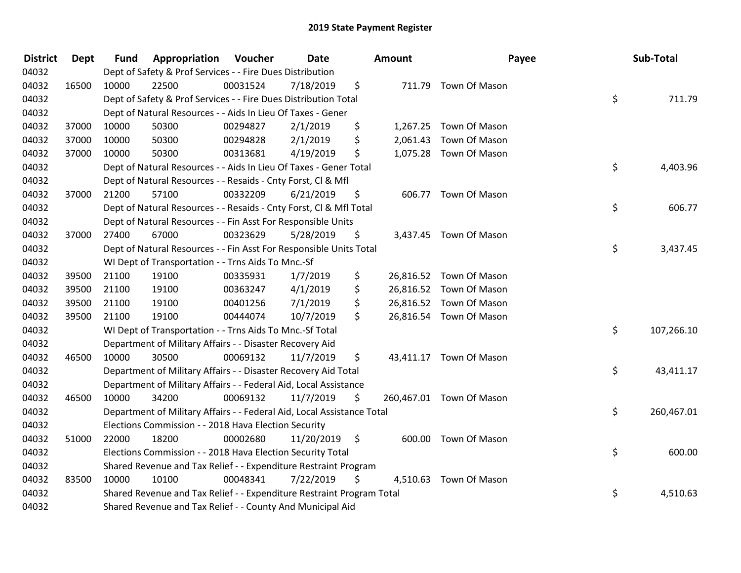| <b>District</b> | <b>Dept</b> | <b>Fund</b> | <b>Appropriation Voucher</b>                                           |          | Date       |      | Amount | Payee                    | Sub-Total        |
|-----------------|-------------|-------------|------------------------------------------------------------------------|----------|------------|------|--------|--------------------------|------------------|
| 04032           |             |             | Dept of Safety & Prof Services - - Fire Dues Distribution              |          |            |      |        |                          |                  |
| 04032           | 16500       | 10000       | 22500                                                                  | 00031524 | 7/18/2019  | \$   |        | 711.79 Town Of Mason     |                  |
| 04032           |             |             | Dept of Safety & Prof Services - - Fire Dues Distribution Total        |          |            |      |        |                          | \$<br>711.79     |
| 04032           |             |             | Dept of Natural Resources - - Aids In Lieu Of Taxes - Gener            |          |            |      |        |                          |                  |
| 04032           | 37000       | 10000       | 50300                                                                  | 00294827 | 2/1/2019   | \$   |        | 1,267.25 Town Of Mason   |                  |
| 04032           | 37000       | 10000       | 50300                                                                  | 00294828 | 2/1/2019   | \$   |        | 2,061.43 Town Of Mason   |                  |
| 04032           | 37000       | 10000       | 50300                                                                  | 00313681 | 4/19/2019  | \$   |        | 1,075.28 Town Of Mason   |                  |
| 04032           |             |             | Dept of Natural Resources - - Aids In Lieu Of Taxes - Gener Total      |          |            |      |        |                          | \$<br>4,403.96   |
| 04032           |             |             | Dept of Natural Resources - - Resaids - Cnty Forst, Cl & Mfl           |          |            |      |        |                          |                  |
| 04032           | 37000       | 21200       | 57100                                                                  | 00332209 | 6/21/2019  | \$   |        | 606.77 Town Of Mason     |                  |
| 04032           |             |             | Dept of Natural Resources - - Resaids - Cnty Forst, Cl & Mfl Total     |          |            |      |        |                          | \$<br>606.77     |
| 04032           |             |             | Dept of Natural Resources - - Fin Asst For Responsible Units           |          |            |      |        |                          |                  |
| 04032           | 37000       | 27400       | 67000                                                                  | 00323629 | 5/28/2019  | \$   |        | 3,437.45 Town Of Mason   |                  |
| 04032           |             |             | Dept of Natural Resources - - Fin Asst For Responsible Units Total     |          |            |      |        |                          | \$<br>3,437.45   |
| 04032           |             |             | WI Dept of Transportation - - Trns Aids To Mnc.-Sf                     |          |            |      |        |                          |                  |
| 04032           | 39500       | 21100       | 19100                                                                  | 00335931 | 1/7/2019   | \$   |        | 26,816.52 Town Of Mason  |                  |
| 04032           | 39500       | 21100       | 19100                                                                  | 00363247 | 4/1/2019   | \$   |        | 26,816.52 Town Of Mason  |                  |
| 04032           | 39500       | 21100       | 19100                                                                  | 00401256 | 7/1/2019   | \$   |        | 26,816.52 Town Of Mason  |                  |
| 04032           | 39500       | 21100       | 19100                                                                  | 00444074 | 10/7/2019  | \$   |        | 26,816.54 Town Of Mason  |                  |
| 04032           |             |             | WI Dept of Transportation - - Trns Aids To Mnc.-Sf Total               |          |            |      |        |                          | \$<br>107,266.10 |
| 04032           |             |             | Department of Military Affairs - - Disaster Recovery Aid               |          |            |      |        |                          |                  |
| 04032           | 46500       | 10000       | 30500                                                                  | 00069132 | 11/7/2019  | \$   |        | 43,411.17 Town Of Mason  |                  |
| 04032           |             |             | Department of Military Affairs - - Disaster Recovery Aid Total         |          |            |      |        |                          | \$<br>43,411.17  |
| 04032           |             |             | Department of Military Affairs - - Federal Aid, Local Assistance       |          |            |      |        |                          |                  |
| 04032           | 46500       | 10000       | 34200                                                                  | 00069132 | 11/7/2019  | \$   |        | 260,467.01 Town Of Mason |                  |
| 04032           |             |             | Department of Military Affairs - - Federal Aid, Local Assistance Total |          |            |      |        |                          | \$<br>260,467.01 |
| 04032           |             |             | Elections Commission - - 2018 Hava Election Security                   |          |            |      |        |                          |                  |
| 04032           | 51000       | 22000       | 18200                                                                  | 00002680 | 11/20/2019 | - \$ |        | 600.00 Town Of Mason     |                  |
| 04032           |             |             | Elections Commission - - 2018 Hava Election Security Total             |          |            |      |        |                          | \$<br>600.00     |
| 04032           |             |             | Shared Revenue and Tax Relief - - Expenditure Restraint Program        |          |            |      |        |                          |                  |
| 04032           | 83500       | 10000       | 10100                                                                  | 00048341 | 7/22/2019  | \$   |        | 4,510.63 Town Of Mason   |                  |
| 04032           |             |             | Shared Revenue and Tax Relief - - Expenditure Restraint Program Total  |          |            |      |        |                          | \$<br>4,510.63   |
| 04032           |             |             | Shared Revenue and Tax Relief - - County And Municipal Aid             |          |            |      |        |                          |                  |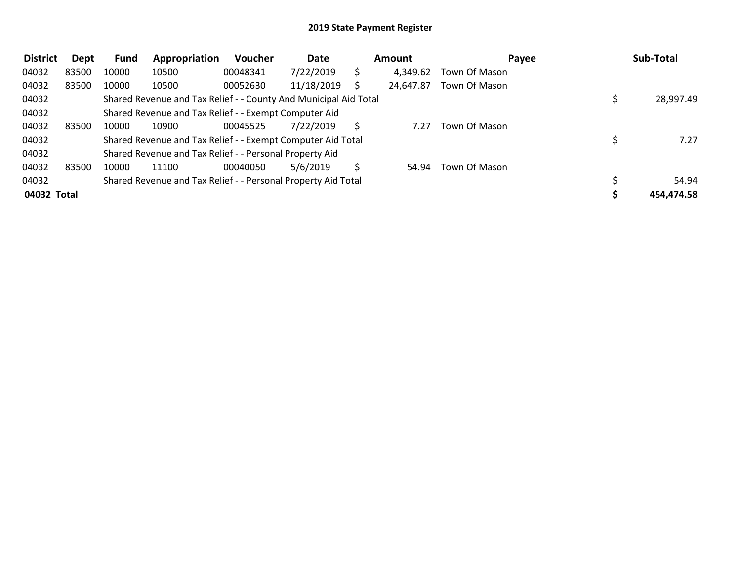| <b>District</b> | Dept  | <b>Fund</b> | Appropriation                                                    | Voucher  | Date       |   | <b>Amount</b> | Payee         | Sub-Total  |
|-----------------|-------|-------------|------------------------------------------------------------------|----------|------------|---|---------------|---------------|------------|
| 04032           | 83500 | 10000       | 10500                                                            | 00048341 | 7/22/2019  |   | 4,349.62      | Town Of Mason |            |
| 04032           | 83500 | 10000       | 10500                                                            | 00052630 | 11/18/2019 |   | 24,647.87     | Town Of Mason |            |
| 04032           |       |             | Shared Revenue and Tax Relief - - County And Municipal Aid Total |          |            |   |               |               | 28,997.49  |
| 04032           |       |             | Shared Revenue and Tax Relief - - Exempt Computer Aid            |          |            |   |               |               |            |
| 04032           | 83500 | 10000       | 10900                                                            | 00045525 | 7/22/2019  |   | 7.27          | Town Of Mason |            |
| 04032           |       |             | Shared Revenue and Tax Relief - - Exempt Computer Aid Total      |          |            |   |               |               | 7.27       |
| 04032           |       |             | Shared Revenue and Tax Relief - - Personal Property Aid          |          |            |   |               |               |            |
| 04032           | 83500 | 10000       | 11100                                                            | 00040050 | 5/6/2019   | S | 54.94         | Town Of Mason |            |
| 04032           |       |             | Shared Revenue and Tax Relief - - Personal Property Aid Total    |          |            |   |               |               | 54.94      |
| 04032 Total     |       |             |                                                                  |          |            |   |               |               | 454,474.58 |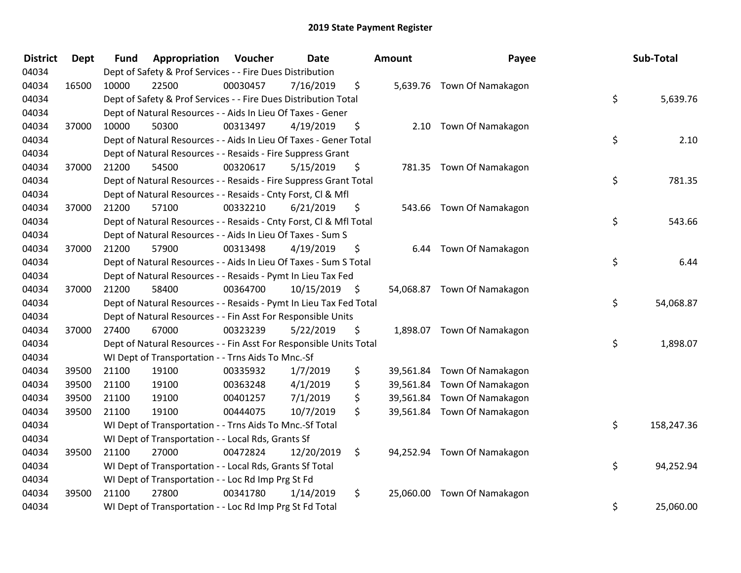| <b>District</b> | <b>Dept</b> | <b>Fund</b> | Appropriation                                                      | Voucher  | <b>Date</b> |      | Amount    | Payee                       | Sub-Total        |
|-----------------|-------------|-------------|--------------------------------------------------------------------|----------|-------------|------|-----------|-----------------------------|------------------|
| 04034           |             |             | Dept of Safety & Prof Services - - Fire Dues Distribution          |          |             |      |           |                             |                  |
| 04034           | 16500       | 10000       | 22500                                                              | 00030457 | 7/16/2019   | \$   |           | 5,639.76 Town Of Namakagon  |                  |
| 04034           |             |             | Dept of Safety & Prof Services - - Fire Dues Distribution Total    |          |             |      |           |                             | \$<br>5,639.76   |
| 04034           |             |             | Dept of Natural Resources - - Aids In Lieu Of Taxes - Gener        |          |             |      |           |                             |                  |
| 04034           | 37000       | 10000       | 50300                                                              | 00313497 | 4/19/2019   | \$   |           | 2.10 Town Of Namakagon      |                  |
| 04034           |             |             | Dept of Natural Resources - - Aids In Lieu Of Taxes - Gener Total  |          |             |      |           |                             | \$<br>2.10       |
| 04034           |             |             | Dept of Natural Resources - - Resaids - Fire Suppress Grant        |          |             |      |           |                             |                  |
| 04034           | 37000       | 21200       | 54500                                                              | 00320617 | 5/15/2019   | \$   |           | 781.35 Town Of Namakagon    |                  |
| 04034           |             |             | Dept of Natural Resources - - Resaids - Fire Suppress Grant Total  |          |             |      |           |                             | \$<br>781.35     |
| 04034           |             |             | Dept of Natural Resources - - Resaids - Cnty Forst, Cl & Mfl       |          |             |      |           |                             |                  |
| 04034           | 37000       | 21200       | 57100                                                              | 00332210 | 6/21/2019   | \$   |           | 543.66 Town Of Namakagon    |                  |
| 04034           |             |             | Dept of Natural Resources - - Resaids - Cnty Forst, CI & Mfl Total |          |             |      |           |                             | \$<br>543.66     |
| 04034           |             |             | Dept of Natural Resources - - Aids In Lieu Of Taxes - Sum S        |          |             |      |           |                             |                  |
| 04034           | 37000       | 21200       | 57900                                                              | 00313498 | 4/19/2019   | \$   | 6.44      | Town Of Namakagon           |                  |
| 04034           |             |             | Dept of Natural Resources - - Aids In Lieu Of Taxes - Sum S Total  |          |             |      |           |                             | \$<br>6.44       |
| 04034           |             |             | Dept of Natural Resources - - Resaids - Pymt In Lieu Tax Fed       |          |             |      |           |                             |                  |
| 04034           | 37000       | 21200       | 58400                                                              | 00364700 | 10/15/2019  | - \$ |           | 54,068.87 Town Of Namakagon |                  |
| 04034           |             |             | Dept of Natural Resources - - Resaids - Pymt In Lieu Tax Fed Total |          |             |      |           |                             | \$<br>54,068.87  |
| 04034           |             |             | Dept of Natural Resources - - Fin Asst For Responsible Units       |          |             |      |           |                             |                  |
| 04034           | 37000       | 27400       | 67000                                                              | 00323239 | 5/22/2019   | \$   |           | 1,898.07 Town Of Namakagon  |                  |
| 04034           |             |             | Dept of Natural Resources - - Fin Asst For Responsible Units Total |          |             |      |           |                             | \$<br>1,898.07   |
| 04034           |             |             | WI Dept of Transportation - - Trns Aids To Mnc.-Sf                 |          |             |      |           |                             |                  |
| 04034           | 39500       | 21100       | 19100                                                              | 00335932 | 1/7/2019    | \$   | 39,561.84 | Town Of Namakagon           |                  |
| 04034           | 39500       | 21100       | 19100                                                              | 00363248 | 4/1/2019    | \$   | 39,561.84 | Town Of Namakagon           |                  |
| 04034           | 39500       | 21100       | 19100                                                              | 00401257 | 7/1/2019    | \$   | 39,561.84 | Town Of Namakagon           |                  |
| 04034           | 39500       | 21100       | 19100                                                              | 00444075 | 10/7/2019   | \$   |           | 39,561.84 Town Of Namakagon |                  |
| 04034           |             |             | WI Dept of Transportation - - Trns Aids To Mnc.-Sf Total           |          |             |      |           |                             | \$<br>158,247.36 |
| 04034           |             |             | WI Dept of Transportation - - Local Rds, Grants Sf                 |          |             |      |           |                             |                  |
| 04034           | 39500       | 21100       | 27000                                                              | 00472824 | 12/20/2019  | \$   |           | 94,252.94 Town Of Namakagon |                  |
| 04034           |             |             | WI Dept of Transportation - - Local Rds, Grants Sf Total           |          |             |      |           |                             | \$<br>94,252.94  |
| 04034           |             |             | WI Dept of Transportation - - Loc Rd Imp Prg St Fd                 |          |             |      |           |                             |                  |
| 04034           | 39500       | 21100       | 27800                                                              | 00341780 | 1/14/2019   | \$   | 25,060.00 | Town Of Namakagon           |                  |
| 04034           |             |             | WI Dept of Transportation - - Loc Rd Imp Prg St Fd Total           |          |             |      |           |                             | \$<br>25,060.00  |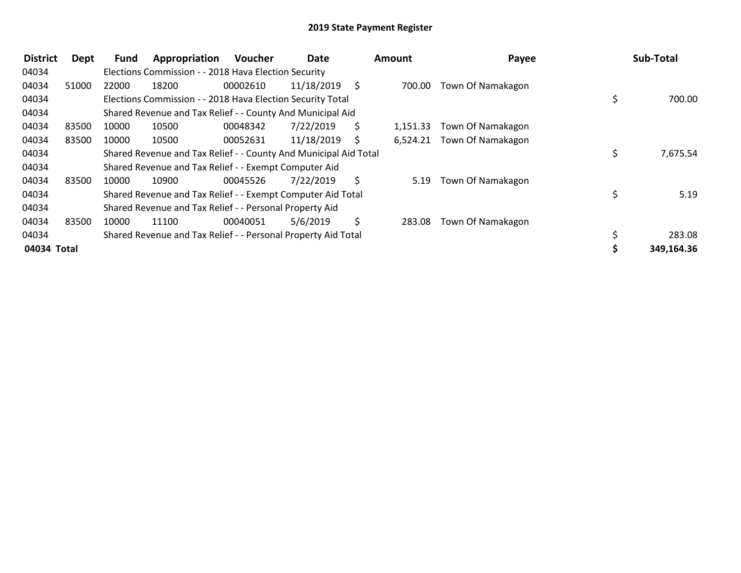| <b>District</b> | <b>Dept</b> | <b>Fund</b> | Appropriation                                                    | <b>Voucher</b> | Date       |     | Amount   | Payee             | Sub-Total      |
|-----------------|-------------|-------------|------------------------------------------------------------------|----------------|------------|-----|----------|-------------------|----------------|
| 04034           |             |             | Elections Commission - - 2018 Hava Election Security             |                |            |     |          |                   |                |
| 04034           | 51000       | 22000       | 18200                                                            | 00002610       | 11/18/2019 | - S | 700.00   | Town Of Namakagon |                |
| 04034           |             |             | Elections Commission - - 2018 Hava Election Security Total       |                |            |     |          |                   | 700.00         |
| 04034           |             |             | Shared Revenue and Tax Relief - - County And Municipal Aid       |                |            |     |          |                   |                |
| 04034           | 83500       | 10000       | 10500                                                            | 00048342       | 7/22/2019  | Ś.  | 1,151.33 | Town Of Namakagon |                |
| 04034           | 83500       | 10000       | 10500                                                            | 00052631       | 11/18/2019 | S   | 6,524.21 | Town Of Namakagon |                |
| 04034           |             |             | Shared Revenue and Tax Relief - - County And Municipal Aid Total |                |            |     |          |                   | \$<br>7,675.54 |
| 04034           |             |             | Shared Revenue and Tax Relief - - Exempt Computer Aid            |                |            |     |          |                   |                |
| 04034           | 83500       | 10000       | 10900                                                            | 00045526       | 7/22/2019  | S.  | 5.19     | Town Of Namakagon |                |
| 04034           |             |             | Shared Revenue and Tax Relief - - Exempt Computer Aid Total      |                |            |     |          |                   | 5.19           |
| 04034           |             |             | Shared Revenue and Tax Relief - - Personal Property Aid          |                |            |     |          |                   |                |
| 04034           | 83500       | 10000       | 11100                                                            | 00040051       | 5/6/2019   | \$  | 283.08   | Town Of Namakagon |                |
| 04034           |             |             | Shared Revenue and Tax Relief - - Personal Property Aid Total    |                |            |     |          |                   | \$<br>283.08   |
| 04034 Total     |             |             |                                                                  |                |            |     |          |                   | 349,164.36     |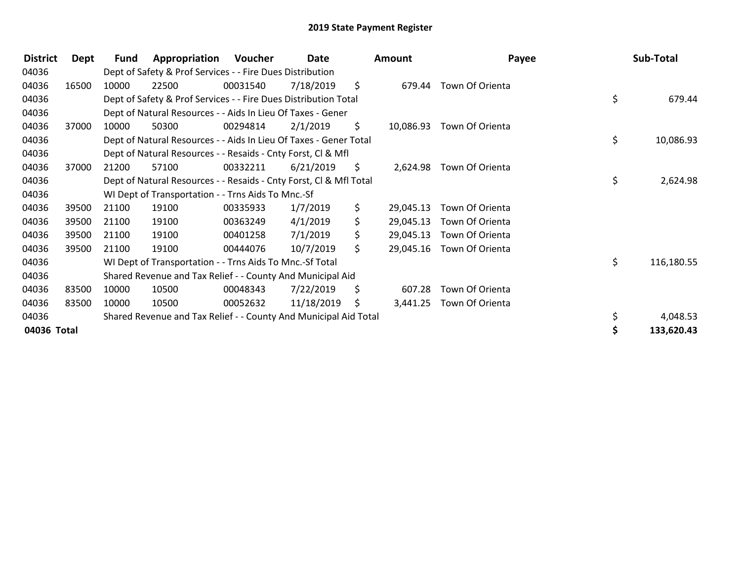| <b>District</b> | Dept  | Fund  | Appropriation                                                      | Voucher  | Date       |     | <b>Amount</b> | Payee           | Sub-Total        |
|-----------------|-------|-------|--------------------------------------------------------------------|----------|------------|-----|---------------|-----------------|------------------|
| 04036           |       |       | Dept of Safety & Prof Services - - Fire Dues Distribution          |          |            |     |               |                 |                  |
| 04036           | 16500 | 10000 | 22500                                                              | 00031540 | 7/18/2019  | \$  | 679.44        | Town Of Orienta |                  |
| 04036           |       |       | Dept of Safety & Prof Services - - Fire Dues Distribution Total    |          |            |     |               |                 | \$<br>679.44     |
| 04036           |       |       | Dept of Natural Resources - - Aids In Lieu Of Taxes - Gener        |          |            |     |               |                 |                  |
| 04036           | 37000 | 10000 | 50300                                                              | 00294814 | 2/1/2019   | \$. | 10,086.93     | Town Of Orienta |                  |
| 04036           |       |       | Dept of Natural Resources - - Aids In Lieu Of Taxes - Gener Total  |          |            |     |               |                 | \$<br>10,086.93  |
| 04036           |       |       | Dept of Natural Resources - - Resaids - Cnty Forst, CI & Mfl       |          |            |     |               |                 |                  |
| 04036           | 37000 | 21200 | 57100                                                              | 00332211 | 6/21/2019  | \$. | 2,624.98      | Town Of Orienta |                  |
| 04036           |       |       | Dept of Natural Resources - - Resaids - Cnty Forst, Cl & Mfl Total |          |            |     |               |                 | \$<br>2,624.98   |
| 04036           |       |       | WI Dept of Transportation - - Trns Aids To Mnc.-Sf                 |          |            |     |               |                 |                  |
| 04036           | 39500 | 21100 | 19100                                                              | 00335933 | 1/7/2019   | \$. | 29,045.13     | Town Of Orienta |                  |
| 04036           | 39500 | 21100 | 19100                                                              | 00363249 | 4/1/2019   | \$  | 29,045.13     | Town Of Orienta |                  |
| 04036           | 39500 | 21100 | 19100                                                              | 00401258 | 7/1/2019   | \$  | 29,045.13     | Town Of Orienta |                  |
| 04036           | 39500 | 21100 | 19100                                                              | 00444076 | 10/7/2019  | \$  | 29,045.16     | Town Of Orienta |                  |
| 04036           |       |       | WI Dept of Transportation - - Trns Aids To Mnc.-Sf Total           |          |            |     |               |                 | \$<br>116,180.55 |
| 04036           |       |       | Shared Revenue and Tax Relief - - County And Municipal Aid         |          |            |     |               |                 |                  |
| 04036           | 83500 | 10000 | 10500                                                              | 00048343 | 7/22/2019  | \$  | 607.28        | Town Of Orienta |                  |
| 04036           | 83500 | 10000 | 10500                                                              | 00052632 | 11/18/2019 | \$  | 3,441.25      | Town Of Orienta |                  |
| 04036           |       |       | Shared Revenue and Tax Relief - - County And Municipal Aid Total   |          |            |     |               |                 | 4,048.53         |
| 04036 Total     |       |       |                                                                    |          |            |     |               |                 | 133,620.43       |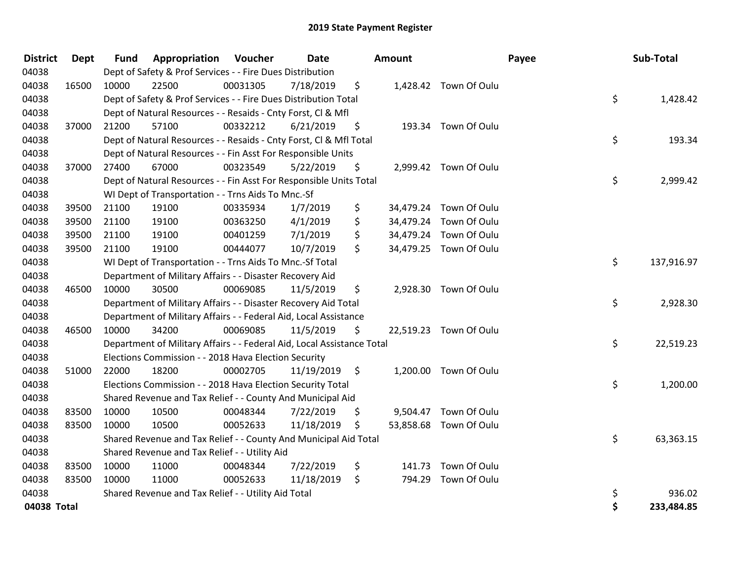| <b>District</b> | <b>Dept</b> | <b>Fund</b> | <b>Appropriation Voucher</b>                                           |          | Date       |      | <b>Amount</b> |                        | Payee | Sub-Total  |
|-----------------|-------------|-------------|------------------------------------------------------------------------|----------|------------|------|---------------|------------------------|-------|------------|
| 04038           |             |             | Dept of Safety & Prof Services - - Fire Dues Distribution              |          |            |      |               |                        |       |            |
| 04038           | 16500       | 10000       | 22500                                                                  | 00031305 | 7/18/2019  | \$   |               | 1,428.42 Town Of Oulu  |       |            |
| 04038           |             |             | Dept of Safety & Prof Services - - Fire Dues Distribution Total        |          |            |      |               |                        | \$    | 1,428.42   |
| 04038           |             |             | Dept of Natural Resources - - Resaids - Cnty Forst, Cl & Mfl           |          |            |      |               |                        |       |            |
| 04038           | 37000       | 21200       | 57100                                                                  | 00332212 | 6/21/2019  | \$   |               | 193.34 Town Of Oulu    |       |            |
| 04038           |             |             | Dept of Natural Resources - - Resaids - Cnty Forst, CI & Mfl Total     |          |            |      |               |                        | \$    | 193.34     |
| 04038           |             |             | Dept of Natural Resources - - Fin Asst For Responsible Units           |          |            |      |               |                        |       |            |
| 04038           | 37000       | 27400       | 67000                                                                  | 00323549 | 5/22/2019  | \$   |               | 2,999.42 Town Of Oulu  |       |            |
| 04038           |             |             | Dept of Natural Resources - - Fin Asst For Responsible Units Total     |          |            |      |               |                        | \$    | 2,999.42   |
| 04038           |             |             | WI Dept of Transportation - - Trns Aids To Mnc.-Sf                     |          |            |      |               |                        |       |            |
| 04038           | 39500       | 21100       | 19100                                                                  | 00335934 | 1/7/2019   | \$   |               | 34,479.24 Town Of Oulu |       |            |
| 04038           | 39500       | 21100       | 19100                                                                  | 00363250 | 4/1/2019   | \$   | 34,479.24     | Town Of Oulu           |       |            |
| 04038           | 39500       | 21100       | 19100                                                                  | 00401259 | 7/1/2019   | \$   | 34,479.24     | Town Of Oulu           |       |            |
| 04038           | 39500       | 21100       | 19100                                                                  | 00444077 | 10/7/2019  | \$   |               | 34,479.25 Town Of Oulu |       |            |
| 04038           |             |             | WI Dept of Transportation - - Trns Aids To Mnc.-Sf Total               |          |            |      |               |                        | \$    | 137,916.97 |
| 04038           |             |             | Department of Military Affairs - - Disaster Recovery Aid               |          |            |      |               |                        |       |            |
| 04038           | 46500       | 10000       | 30500                                                                  | 00069085 | 11/5/2019  | \$   |               | 2,928.30 Town Of Oulu  |       |            |
| 04038           |             |             | Department of Military Affairs - - Disaster Recovery Aid Total         |          |            |      |               |                        | \$    | 2,928.30   |
| 04038           |             |             | Department of Military Affairs - - Federal Aid, Local Assistance       |          |            |      |               |                        |       |            |
| 04038           | 46500       | 10000       | 34200                                                                  | 00069085 | 11/5/2019  | \$   |               | 22,519.23 Town Of Oulu |       |            |
| 04038           |             |             | Department of Military Affairs - - Federal Aid, Local Assistance Total |          |            |      |               |                        | \$    | 22,519.23  |
| 04038           |             |             | Elections Commission - - 2018 Hava Election Security                   |          |            |      |               |                        |       |            |
| 04038           | 51000       | 22000       | 18200                                                                  | 00002705 | 11/19/2019 | - \$ |               | 1,200.00 Town Of Oulu  |       |            |
| 04038           |             |             | Elections Commission - - 2018 Hava Election Security Total             |          |            |      |               |                        | \$    | 1,200.00   |
| 04038           |             |             | Shared Revenue and Tax Relief - - County And Municipal Aid             |          |            |      |               |                        |       |            |
| 04038           | 83500       | 10000       | 10500                                                                  | 00048344 | 7/22/2019  | \$   |               | 9,504.47 Town Of Oulu  |       |            |
| 04038           | 83500       | 10000       | 10500                                                                  | 00052633 | 11/18/2019 | \$   |               | 53,858.68 Town Of Oulu |       |            |
| 04038           |             |             | Shared Revenue and Tax Relief - - County And Municipal Aid Total       |          |            |      |               |                        | \$    | 63,363.15  |
| 04038           |             |             | Shared Revenue and Tax Relief - - Utility Aid                          |          |            |      |               |                        |       |            |
| 04038           | 83500       | 10000       | 11000                                                                  | 00048344 | 7/22/2019  | \$   | 141.73        | Town Of Oulu           |       |            |
| 04038           | 83500       | 10000       | 11000                                                                  | 00052633 | 11/18/2019 | \$   | 794.29        | Town Of Oulu           |       |            |
| 04038           |             |             | Shared Revenue and Tax Relief - - Utility Aid Total                    |          |            |      |               |                        | \$    | 936.02     |
| 04038 Total     |             |             |                                                                        |          |            |      |               |                        | \$    | 233,484.85 |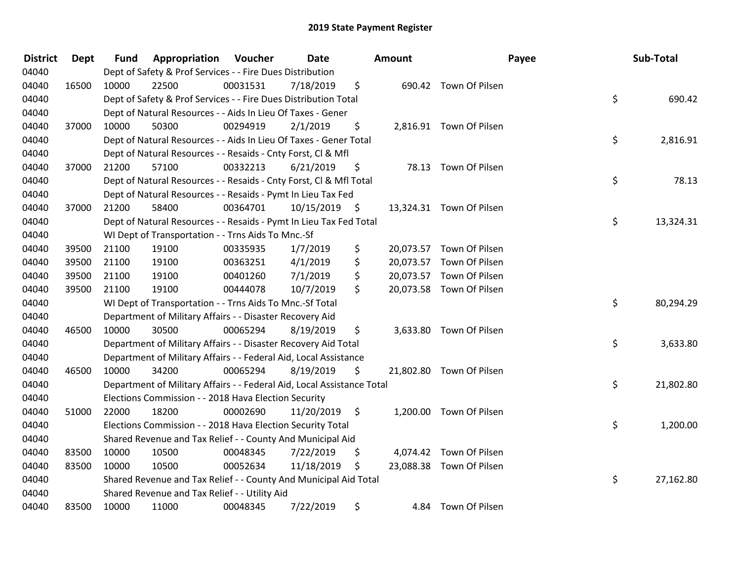| <b>District</b> | <b>Dept</b> | <b>Fund</b> | Appropriation                                                          | Voucher  | Date       | Amount |                          | Payee | Sub-Total |
|-----------------|-------------|-------------|------------------------------------------------------------------------|----------|------------|--------|--------------------------|-------|-----------|
| 04040           |             |             | Dept of Safety & Prof Services - - Fire Dues Distribution              |          |            |        |                          |       |           |
| 04040           | 16500       | 10000       | 22500                                                                  | 00031531 | 7/18/2019  | \$     | 690.42 Town Of Pilsen    |       |           |
| 04040           |             |             | Dept of Safety & Prof Services - - Fire Dues Distribution Total        |          |            |        |                          | \$    | 690.42    |
| 04040           |             |             | Dept of Natural Resources - - Aids In Lieu Of Taxes - Gener            |          |            |        |                          |       |           |
| 04040           | 37000       | 10000       | 50300                                                                  | 00294919 | 2/1/2019   | \$     | 2,816.91 Town Of Pilsen  |       |           |
| 04040           |             |             | Dept of Natural Resources - - Aids In Lieu Of Taxes - Gener Total      |          |            |        |                          | \$    | 2,816.91  |
| 04040           |             |             | Dept of Natural Resources - - Resaids - Cnty Forst, Cl & Mfl           |          |            |        |                          |       |           |
| 04040           | 37000       | 21200       | 57100                                                                  | 00332213 | 6/21/2019  | \$     | 78.13 Town Of Pilsen     |       |           |
| 04040           |             |             | Dept of Natural Resources - - Resaids - Cnty Forst, Cl & Mfl Total     |          |            |        |                          | \$    | 78.13     |
| 04040           |             |             | Dept of Natural Resources - - Resaids - Pymt In Lieu Tax Fed           |          |            |        |                          |       |           |
| 04040           | 37000       | 21200       | 58400                                                                  | 00364701 | 10/15/2019 | \$     | 13,324.31 Town Of Pilsen |       |           |
| 04040           |             |             | Dept of Natural Resources - - Resaids - Pymt In Lieu Tax Fed Total     |          |            |        |                          | \$    | 13,324.31 |
| 04040           |             |             | WI Dept of Transportation - - Trns Aids To Mnc.-Sf                     |          |            |        |                          |       |           |
| 04040           | 39500       | 21100       | 19100                                                                  | 00335935 | 1/7/2019   | \$     | 20,073.57 Town Of Pilsen |       |           |
| 04040           | 39500       | 21100       | 19100                                                                  | 00363251 | 4/1/2019   | \$     | 20,073.57 Town Of Pilsen |       |           |
| 04040           | 39500       | 21100       | 19100                                                                  | 00401260 | 7/1/2019   | \$     | 20,073.57 Town Of Pilsen |       |           |
| 04040           | 39500       | 21100       | 19100                                                                  | 00444078 | 10/7/2019  | \$     | 20,073.58 Town Of Pilsen |       |           |
| 04040           |             |             | WI Dept of Transportation - - Trns Aids To Mnc.-Sf Total               |          |            |        |                          | \$    | 80,294.29 |
| 04040           |             |             | Department of Military Affairs - - Disaster Recovery Aid               |          |            |        |                          |       |           |
| 04040           | 46500       | 10000       | 30500                                                                  | 00065294 | 8/19/2019  | \$     | 3,633.80 Town Of Pilsen  |       |           |
| 04040           |             |             | Department of Military Affairs - - Disaster Recovery Aid Total         |          |            |        |                          | \$    | 3,633.80  |
| 04040           |             |             | Department of Military Affairs - - Federal Aid, Local Assistance       |          |            |        |                          |       |           |
| 04040           | 46500       | 10000       | 34200                                                                  | 00065294 | 8/19/2019  | \$     | 21,802.80 Town Of Pilsen |       |           |
| 04040           |             |             | Department of Military Affairs - - Federal Aid, Local Assistance Total |          |            |        |                          | \$    | 21,802.80 |
| 04040           |             |             | Elections Commission - - 2018 Hava Election Security                   |          |            |        |                          |       |           |
| 04040           | 51000       | 22000       | 18200                                                                  | 00002690 | 11/20/2019 | \$     | 1,200.00 Town Of Pilsen  |       |           |
| 04040           |             |             | Elections Commission - - 2018 Hava Election Security Total             |          |            |        |                          | \$    | 1,200.00  |
| 04040           |             |             | Shared Revenue and Tax Relief - - County And Municipal Aid             |          |            |        |                          |       |           |
| 04040           | 83500       | 10000       | 10500                                                                  | 00048345 | 7/22/2019  | \$     | 4,074.42 Town Of Pilsen  |       |           |
| 04040           | 83500       | 10000       | 10500                                                                  | 00052634 | 11/18/2019 | \$     | 23,088.38 Town Of Pilsen |       |           |
| 04040           |             |             | Shared Revenue and Tax Relief - - County And Municipal Aid Total       |          |            |        |                          | \$    | 27,162.80 |
| 04040           |             |             | Shared Revenue and Tax Relief - - Utility Aid                          |          |            |        |                          |       |           |
| 04040           | 83500       | 10000       | 11000                                                                  | 00048345 | 7/22/2019  | \$     | 4.84 Town Of Pilsen      |       |           |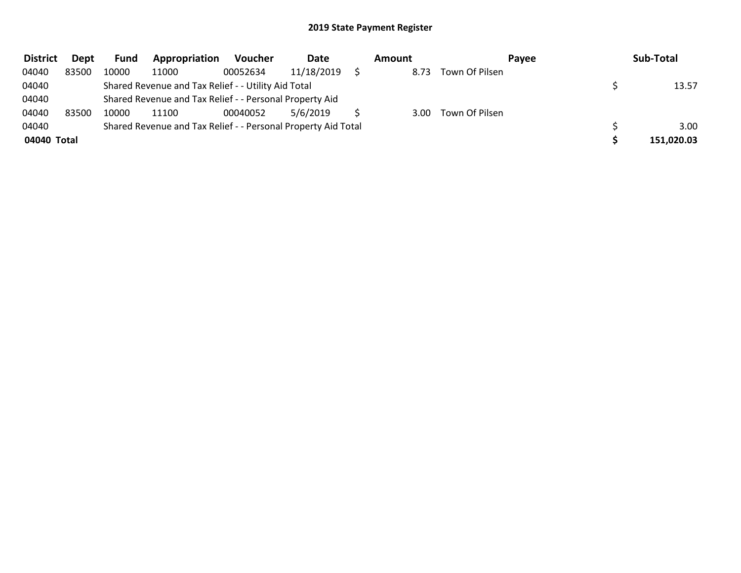| <b>District</b> | Dept  | <b>Fund</b> | Appropriation                                                 | <b>Voucher</b> | Date       | Amount            |                | Payee | Sub-Total  |
|-----------------|-------|-------------|---------------------------------------------------------------|----------------|------------|-------------------|----------------|-------|------------|
| 04040           | 83500 | 10000       | 11000                                                         | 00052634       | 11/18/2019 | 8.73              | Town Of Pilsen |       |            |
| 04040           |       |             | Shared Revenue and Tax Relief - - Utility Aid Total           |                |            |                   |                |       | 13.57      |
| 04040           |       |             | Shared Revenue and Tax Relief - - Personal Property Aid       |                |            |                   |                |       |            |
| 04040           | 83500 | 10000       | 11100                                                         | 00040052       | 5/6/2019   | 3.00 <sub>1</sub> | Town Of Pilsen |       |            |
| 04040           |       |             | Shared Revenue and Tax Relief - - Personal Property Aid Total |                |            |                   |                |       | 3.00       |
| 04040 Total     |       |             |                                                               |                |            |                   |                |       | 151,020.03 |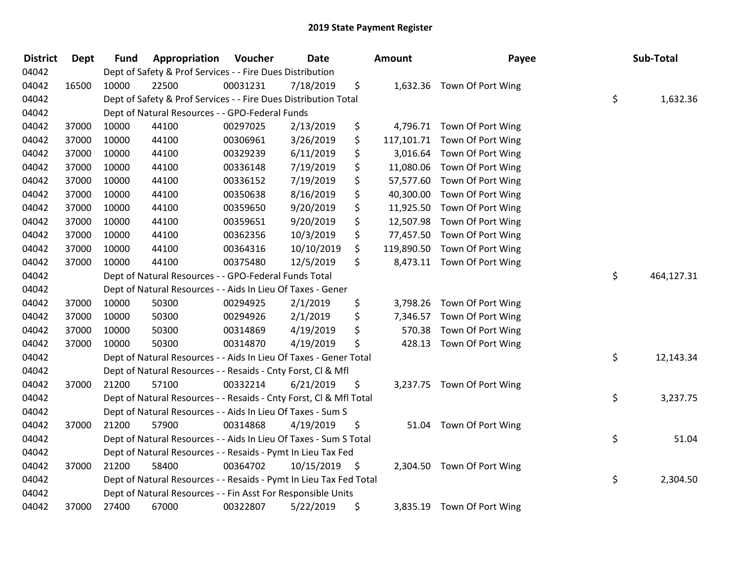| <b>District</b> | Dept  | <b>Fund</b> | Appropriation                                                      | Voucher  | <b>Date</b> |     | Amount     | Payee                      | Sub-Total        |
|-----------------|-------|-------------|--------------------------------------------------------------------|----------|-------------|-----|------------|----------------------------|------------------|
| 04042           |       |             | Dept of Safety & Prof Services - - Fire Dues Distribution          |          |             |     |            |                            |                  |
| 04042           | 16500 | 10000       | 22500                                                              | 00031231 | 7/18/2019   | \$  |            | 1,632.36 Town Of Port Wing |                  |
| 04042           |       |             | Dept of Safety & Prof Services - - Fire Dues Distribution Total    |          |             |     |            |                            | \$<br>1,632.36   |
| 04042           |       |             | Dept of Natural Resources - - GPO-Federal Funds                    |          |             |     |            |                            |                  |
| 04042           | 37000 | 10000       | 44100                                                              | 00297025 | 2/13/2019   | \$  | 4,796.71   | Town Of Port Wing          |                  |
| 04042           | 37000 | 10000       | 44100                                                              | 00306961 | 3/26/2019   | \$  | 117,101.71 | Town Of Port Wing          |                  |
| 04042           | 37000 | 10000       | 44100                                                              | 00329239 | 6/11/2019   | \$  | 3,016.64   | Town Of Port Wing          |                  |
| 04042           | 37000 | 10000       | 44100                                                              | 00336148 | 7/19/2019   | \$  | 11,080.06  | Town Of Port Wing          |                  |
| 04042           | 37000 | 10000       | 44100                                                              | 00336152 | 7/19/2019   | \$  | 57,577.60  | Town Of Port Wing          |                  |
| 04042           | 37000 | 10000       | 44100                                                              | 00350638 | 8/16/2019   | \$  | 40,300.00  | Town Of Port Wing          |                  |
| 04042           | 37000 | 10000       | 44100                                                              | 00359650 | 9/20/2019   | \$  | 11,925.50  | Town Of Port Wing          |                  |
| 04042           | 37000 | 10000       | 44100                                                              | 00359651 | 9/20/2019   | \$  | 12,507.98  | Town Of Port Wing          |                  |
| 04042           | 37000 | 10000       | 44100                                                              | 00362356 | 10/3/2019   | \$  | 77,457.50  | Town Of Port Wing          |                  |
| 04042           | 37000 | 10000       | 44100                                                              | 00364316 | 10/10/2019  | \$  | 119,890.50 | Town Of Port Wing          |                  |
| 04042           | 37000 | 10000       | 44100                                                              | 00375480 | 12/5/2019   | \$  |            | 8,473.11 Town Of Port Wing |                  |
| 04042           |       |             | Dept of Natural Resources - - GPO-Federal Funds Total              |          |             |     |            |                            | \$<br>464,127.31 |
| 04042           |       |             | Dept of Natural Resources - - Aids In Lieu Of Taxes - Gener        |          |             |     |            |                            |                  |
| 04042           | 37000 | 10000       | 50300                                                              | 00294925 | 2/1/2019    | \$  | 3,798.26   | Town Of Port Wing          |                  |
| 04042           | 37000 | 10000       | 50300                                                              | 00294926 | 2/1/2019    | \$  |            | 7,346.57 Town Of Port Wing |                  |
| 04042           | 37000 | 10000       | 50300                                                              | 00314869 | 4/19/2019   | \$  | 570.38     | Town Of Port Wing          |                  |
| 04042           | 37000 | 10000       | 50300                                                              | 00314870 | 4/19/2019   | \$  |            | 428.13 Town Of Port Wing   |                  |
| 04042           |       |             | Dept of Natural Resources - - Aids In Lieu Of Taxes - Gener Total  |          |             |     |            |                            | \$<br>12,143.34  |
| 04042           |       |             | Dept of Natural Resources - - Resaids - Cnty Forst, Cl & Mfl       |          |             |     |            |                            |                  |
| 04042           | 37000 | 21200       | 57100                                                              | 00332214 | 6/21/2019   | \$  |            | 3,237.75 Town Of Port Wing |                  |
| 04042           |       |             | Dept of Natural Resources - - Resaids - Cnty Forst, CI & Mfl Total |          |             |     |            |                            | \$<br>3,237.75   |
| 04042           |       |             | Dept of Natural Resources - - Aids In Lieu Of Taxes - Sum S        |          |             |     |            |                            |                  |
| 04042           | 37000 | 21200       | 57900                                                              | 00314868 | 4/19/2019   | \$  | 51.04      | Town Of Port Wing          |                  |
| 04042           |       |             | Dept of Natural Resources - - Aids In Lieu Of Taxes - Sum S Total  |          |             |     |            |                            | \$<br>51.04      |
| 04042           |       |             | Dept of Natural Resources - - Resaids - Pymt In Lieu Tax Fed       |          |             |     |            |                            |                  |
| 04042           | 37000 | 21200       | 58400                                                              | 00364702 | 10/15/2019  | -\$ |            | 2,304.50 Town Of Port Wing |                  |
| 04042           |       |             | Dept of Natural Resources - - Resaids - Pymt In Lieu Tax Fed Total |          |             |     |            |                            | \$<br>2,304.50   |
| 04042           |       |             | Dept of Natural Resources - - Fin Asst For Responsible Units       |          |             |     |            |                            |                  |
| 04042           | 37000 | 27400       | 67000                                                              | 00322807 | 5/22/2019   | \$  |            | 3,835.19 Town Of Port Wing |                  |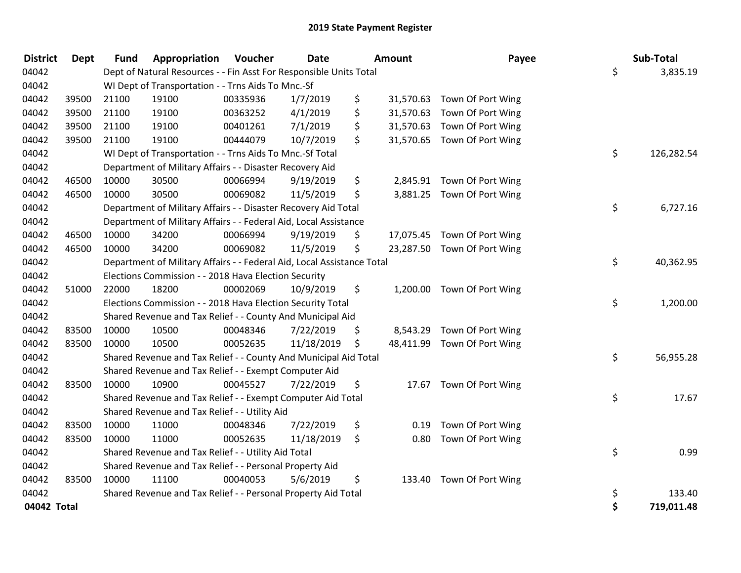| <b>District</b> | <b>Dept</b> | Fund  | Appropriation                                                          | Voucher  | <b>Date</b> |     | <b>Amount</b> | Payee                       | Sub-Total        |
|-----------------|-------------|-------|------------------------------------------------------------------------|----------|-------------|-----|---------------|-----------------------------|------------------|
| 04042           |             |       | Dept of Natural Resources - - Fin Asst For Responsible Units Total     |          |             |     |               |                             | \$<br>3,835.19   |
| 04042           |             |       | WI Dept of Transportation - - Trns Aids To Mnc.-Sf                     |          |             |     |               |                             |                  |
| 04042           | 39500       | 21100 | 19100                                                                  | 00335936 | 1/7/2019    | \$  | 31,570.63     | Town Of Port Wing           |                  |
| 04042           | 39500       | 21100 | 19100                                                                  | 00363252 | 4/1/2019    | \$  | 31,570.63     | Town Of Port Wing           |                  |
| 04042           | 39500       | 21100 | 19100                                                                  | 00401261 | 7/1/2019    | \$  | 31,570.63     | Town Of Port Wing           |                  |
| 04042           | 39500       | 21100 | 19100                                                                  | 00444079 | 10/7/2019   | \$  |               | 31,570.65 Town Of Port Wing |                  |
| 04042           |             |       | WI Dept of Transportation - - Trns Aids To Mnc.-Sf Total               |          |             |     |               |                             | \$<br>126,282.54 |
| 04042           |             |       | Department of Military Affairs - - Disaster Recovery Aid               |          |             |     |               |                             |                  |
| 04042           | 46500       | 10000 | 30500                                                                  | 00066994 | 9/19/2019   | \$  |               | 2,845.91 Town Of Port Wing  |                  |
| 04042           | 46500       | 10000 | 30500                                                                  | 00069082 | 11/5/2019   | \$  |               | 3,881.25 Town Of Port Wing  |                  |
| 04042           |             |       | Department of Military Affairs - - Disaster Recovery Aid Total         |          |             |     |               |                             | \$<br>6,727.16   |
| 04042           |             |       | Department of Military Affairs - - Federal Aid, Local Assistance       |          |             |     |               |                             |                  |
| 04042           | 46500       | 10000 | 34200                                                                  | 00066994 | 9/19/2019   | \$  |               | 17,075.45 Town Of Port Wing |                  |
| 04042           | 46500       | 10000 | 34200                                                                  | 00069082 | 11/5/2019   | \$  |               | 23,287.50 Town Of Port Wing |                  |
| 04042           |             |       | Department of Military Affairs - - Federal Aid, Local Assistance Total |          |             |     |               |                             | \$<br>40,362.95  |
| 04042           |             |       | Elections Commission - - 2018 Hava Election Security                   |          |             |     |               |                             |                  |
| 04042           | 51000       | 22000 | 18200                                                                  | 00002069 | 10/9/2019   | \$. |               | 1,200.00 Town Of Port Wing  |                  |
| 04042           |             |       | Elections Commission - - 2018 Hava Election Security Total             |          |             |     |               |                             | \$<br>1,200.00   |
| 04042           |             |       | Shared Revenue and Tax Relief - - County And Municipal Aid             |          |             |     |               |                             |                  |
| 04042           | 83500       | 10000 | 10500                                                                  | 00048346 | 7/22/2019   | \$  | 8,543.29      | Town Of Port Wing           |                  |
| 04042           | 83500       | 10000 | 10500                                                                  | 00052635 | 11/18/2019  | \$  |               | 48,411.99 Town Of Port Wing |                  |
| 04042           |             |       | Shared Revenue and Tax Relief - - County And Municipal Aid Total       |          |             |     |               |                             | \$<br>56,955.28  |
| 04042           |             |       | Shared Revenue and Tax Relief - - Exempt Computer Aid                  |          |             |     |               |                             |                  |
| 04042           | 83500       | 10000 | 10900                                                                  | 00045527 | 7/22/2019   | \$  |               | 17.67 Town Of Port Wing     |                  |
| 04042           |             |       | Shared Revenue and Tax Relief - - Exempt Computer Aid Total            |          |             |     |               |                             | \$<br>17.67      |
| 04042           |             |       | Shared Revenue and Tax Relief - - Utility Aid                          |          |             |     |               |                             |                  |
| 04042           | 83500       | 10000 | 11000                                                                  | 00048346 | 7/22/2019   | \$  | 0.19          | Town Of Port Wing           |                  |
| 04042           | 83500       | 10000 | 11000                                                                  | 00052635 | 11/18/2019  | \$  | 0.80          | Town Of Port Wing           |                  |
| 04042           |             |       | Shared Revenue and Tax Relief - - Utility Aid Total                    |          |             |     |               |                             | \$<br>0.99       |
| 04042           |             |       | Shared Revenue and Tax Relief - - Personal Property Aid                |          |             |     |               |                             |                  |
| 04042           | 83500       | 10000 | 11100                                                                  | 00040053 | 5/6/2019    | \$  | 133.40        | Town Of Port Wing           |                  |
| 04042           |             |       | Shared Revenue and Tax Relief - - Personal Property Aid Total          |          |             |     |               |                             | \$<br>133.40     |
| 04042 Total     |             |       |                                                                        |          |             |     |               |                             | \$<br>719,011.48 |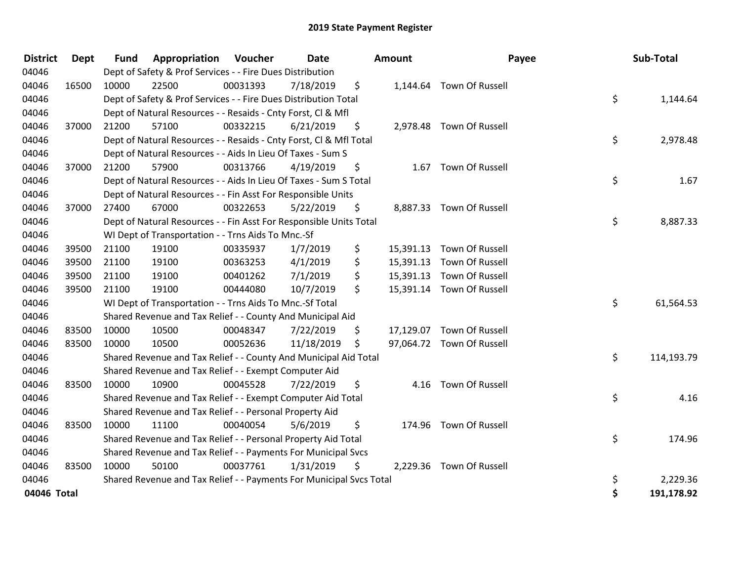| <b>District</b> | <b>Dept</b> | <b>Fund</b> | Appropriation                                                       | Voucher  | <b>Date</b> | <b>Amount</b>   |                           | Payee | Sub-Total  |
|-----------------|-------------|-------------|---------------------------------------------------------------------|----------|-------------|-----------------|---------------------------|-------|------------|
| 04046           |             |             | Dept of Safety & Prof Services - - Fire Dues Distribution           |          |             |                 |                           |       |            |
| 04046           | 16500       | 10000       | 22500                                                               | 00031393 | 7/18/2019   | \$              | 1,144.64 Town Of Russell  |       |            |
| 04046           |             |             | Dept of Safety & Prof Services - - Fire Dues Distribution Total     |          |             |                 |                           | \$    | 1,144.64   |
| 04046           |             |             | Dept of Natural Resources - - Resaids - Cnty Forst, Cl & Mfl        |          |             |                 |                           |       |            |
| 04046           | 37000       | 21200       | 57100                                                               | 00332215 | 6/21/2019   | \$              | 2,978.48 Town Of Russell  |       |            |
| 04046           |             |             | Dept of Natural Resources - - Resaids - Cnty Forst, CI & Mfl Total  |          |             |                 |                           | \$    | 2,978.48   |
| 04046           |             |             | Dept of Natural Resources - - Aids In Lieu Of Taxes - Sum S         |          |             |                 |                           |       |            |
| 04046           | 37000       | 21200       | 57900                                                               | 00313766 | 4/19/2019   | \$              | 1.67 Town Of Russell      |       |            |
| 04046           |             |             | Dept of Natural Resources - - Aids In Lieu Of Taxes - Sum S Total   |          |             |                 |                           | \$    | 1.67       |
| 04046           |             |             | Dept of Natural Resources - - Fin Asst For Responsible Units        |          |             |                 |                           |       |            |
| 04046           | 37000       | 27400       | 67000                                                               | 00322653 | 5/22/2019   | \$              | 8,887.33 Town Of Russell  |       |            |
| 04046           |             |             | Dept of Natural Resources - - Fin Asst For Responsible Units Total  |          |             |                 |                           | \$    | 8,887.33   |
| 04046           |             |             | WI Dept of Transportation - - Trns Aids To Mnc.-Sf                  |          |             |                 |                           |       |            |
| 04046           | 39500       | 21100       | 19100                                                               | 00335937 | 1/7/2019    | \$<br>15,391.13 | Town Of Russell           |       |            |
| 04046           | 39500       | 21100       | 19100                                                               | 00363253 | 4/1/2019    | \$<br>15,391.13 | Town Of Russell           |       |            |
| 04046           | 39500       | 21100       | 19100                                                               | 00401262 | 7/1/2019    | \$<br>15,391.13 | Town Of Russell           |       |            |
| 04046           | 39500       | 21100       | 19100                                                               | 00444080 | 10/7/2019   | \$              | 15,391.14 Town Of Russell |       |            |
| 04046           |             |             | WI Dept of Transportation - - Trns Aids To Mnc.-Sf Total            |          |             |                 |                           | \$    | 61,564.53  |
| 04046           |             |             | Shared Revenue and Tax Relief - - County And Municipal Aid          |          |             |                 |                           |       |            |
| 04046           | 83500       | 10000       | 10500                                                               | 00048347 | 7/22/2019   | \$              | 17,129.07 Town Of Russell |       |            |
| 04046           | 83500       | 10000       | 10500                                                               | 00052636 | 11/18/2019  | \$              | 97,064.72 Town Of Russell |       |            |
| 04046           |             |             | Shared Revenue and Tax Relief - - County And Municipal Aid Total    |          |             |                 |                           | \$    | 114,193.79 |
| 04046           |             |             | Shared Revenue and Tax Relief - - Exempt Computer Aid               |          |             |                 |                           |       |            |
| 04046           | 83500       | 10000       | 10900                                                               | 00045528 | 7/22/2019   | \$<br>4.16      | Town Of Russell           |       |            |
| 04046           |             |             | Shared Revenue and Tax Relief - - Exempt Computer Aid Total         |          |             |                 |                           | \$    | 4.16       |
| 04046           |             |             | Shared Revenue and Tax Relief - - Personal Property Aid             |          |             |                 |                           |       |            |
| 04046           | 83500       | 10000       | 11100                                                               | 00040054 | 5/6/2019    | \$              | 174.96 Town Of Russell    |       |            |
| 04046           |             |             | Shared Revenue and Tax Relief - - Personal Property Aid Total       |          |             |                 |                           | \$    | 174.96     |
| 04046           |             |             | Shared Revenue and Tax Relief - - Payments For Municipal Svcs       |          |             |                 |                           |       |            |
| 04046           | 83500       | 10000       | 50100                                                               | 00037761 | 1/31/2019   | \$              | 2,229.36 Town Of Russell  |       |            |
| 04046           |             |             | Shared Revenue and Tax Relief - - Payments For Municipal Svcs Total |          |             |                 |                           | \$    | 2,229.36   |
| 04046 Total     |             |             |                                                                     |          |             |                 |                           | \$    | 191,178.92 |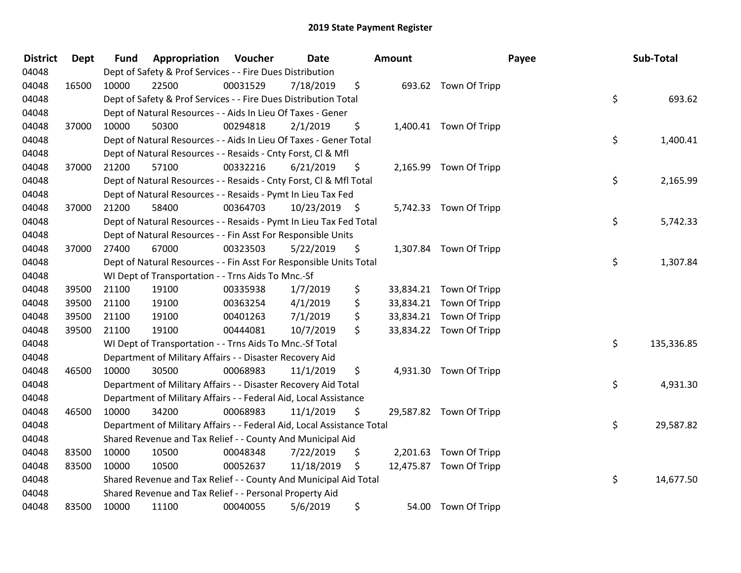| <b>District</b> | <b>Dept</b> | <b>Fund</b> | Appropriation                                                          | Voucher  | Date       |      | <b>Amount</b> |                         | Payee | Sub-Total  |
|-----------------|-------------|-------------|------------------------------------------------------------------------|----------|------------|------|---------------|-------------------------|-------|------------|
| 04048           |             |             | Dept of Safety & Prof Services - - Fire Dues Distribution              |          |            |      |               |                         |       |            |
| 04048           | 16500       | 10000       | 22500                                                                  | 00031529 | 7/18/2019  | \$   |               | 693.62 Town Of Tripp    |       |            |
| 04048           |             |             | Dept of Safety & Prof Services - - Fire Dues Distribution Total        |          |            |      |               |                         | \$    | 693.62     |
| 04048           |             |             | Dept of Natural Resources - - Aids In Lieu Of Taxes - Gener            |          |            |      |               |                         |       |            |
| 04048           | 37000       | 10000       | 50300                                                                  | 00294818 | 2/1/2019   | \$   |               | 1,400.41 Town Of Tripp  |       |            |
| 04048           |             |             | Dept of Natural Resources - - Aids In Lieu Of Taxes - Gener Total      |          |            |      |               |                         | \$    | 1,400.41   |
| 04048           |             |             | Dept of Natural Resources - - Resaids - Cnty Forst, Cl & Mfl           |          |            |      |               |                         |       |            |
| 04048           | 37000       | 21200       | 57100                                                                  | 00332216 | 6/21/2019  | \$   |               | 2,165.99 Town Of Tripp  |       |            |
| 04048           |             |             | Dept of Natural Resources - - Resaids - Cnty Forst, Cl & Mfl Total     |          |            |      |               |                         | \$    | 2,165.99   |
| 04048           |             |             | Dept of Natural Resources - - Resaids - Pymt In Lieu Tax Fed           |          |            |      |               |                         |       |            |
| 04048           | 37000       | 21200       | 58400                                                                  | 00364703 | 10/23/2019 | - \$ |               | 5,742.33 Town Of Tripp  |       |            |
| 04048           |             |             | Dept of Natural Resources - - Resaids - Pymt In Lieu Tax Fed Total     |          |            |      |               |                         | \$    | 5,742.33   |
| 04048           |             |             | Dept of Natural Resources - - Fin Asst For Responsible Units           |          |            |      |               |                         |       |            |
| 04048           | 37000       | 27400       | 67000                                                                  | 00323503 | 5/22/2019  | \$   |               | 1,307.84 Town Of Tripp  |       |            |
| 04048           |             |             | Dept of Natural Resources - - Fin Asst For Responsible Units Total     |          |            |      |               |                         | \$    | 1,307.84   |
| 04048           |             |             | WI Dept of Transportation - - Trns Aids To Mnc.-Sf                     |          |            |      |               |                         |       |            |
| 04048           | 39500       | 21100       | 19100                                                                  | 00335938 | 1/7/2019   | \$   | 33,834.21     | Town Of Tripp           |       |            |
| 04048           | 39500       | 21100       | 19100                                                                  | 00363254 | 4/1/2019   | \$   |               | 33,834.21 Town Of Tripp |       |            |
| 04048           | 39500       | 21100       | 19100                                                                  | 00401263 | 7/1/2019   | \$   |               | 33,834.21 Town Of Tripp |       |            |
| 04048           | 39500       | 21100       | 19100                                                                  | 00444081 | 10/7/2019  | \$   |               | 33,834.22 Town Of Tripp |       |            |
| 04048           |             |             | WI Dept of Transportation - - Trns Aids To Mnc.-Sf Total               |          |            |      |               |                         | \$    | 135,336.85 |
| 04048           |             |             | Department of Military Affairs - - Disaster Recovery Aid               |          |            |      |               |                         |       |            |
| 04048           | 46500       | 10000       | 30500                                                                  | 00068983 | 11/1/2019  | \$   |               | 4,931.30 Town Of Tripp  |       |            |
| 04048           |             |             | Department of Military Affairs - - Disaster Recovery Aid Total         |          |            |      |               |                         | \$    | 4,931.30   |
| 04048           |             |             | Department of Military Affairs - - Federal Aid, Local Assistance       |          |            |      |               |                         |       |            |
| 04048           | 46500       | 10000       | 34200                                                                  | 00068983 | 11/1/2019  | \$   |               | 29,587.82 Town Of Tripp |       |            |
| 04048           |             |             | Department of Military Affairs - - Federal Aid, Local Assistance Total |          |            |      |               |                         | \$    | 29,587.82  |
| 04048           |             |             | Shared Revenue and Tax Relief - - County And Municipal Aid             |          |            |      |               |                         |       |            |
| 04048           | 83500       | 10000       | 10500                                                                  | 00048348 | 7/22/2019  | \$   |               | 2,201.63 Town Of Tripp  |       |            |
| 04048           | 83500       | 10000       | 10500                                                                  | 00052637 | 11/18/2019 | \$   |               | 12,475.87 Town Of Tripp |       |            |
| 04048           |             |             | Shared Revenue and Tax Relief - - County And Municipal Aid Total       |          |            |      |               |                         | \$    | 14,677.50  |
| 04048           |             |             | Shared Revenue and Tax Relief - - Personal Property Aid                |          |            |      |               |                         |       |            |
| 04048           | 83500       | 10000       | 11100                                                                  | 00040055 | 5/6/2019   | \$   |               | 54.00 Town Of Tripp     |       |            |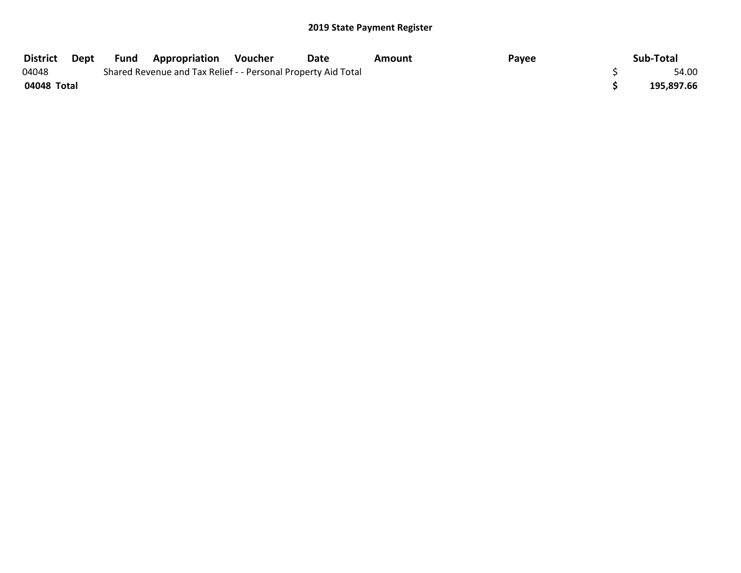| District    | Dept | Fund | <b>Appropriation</b>                                          | Voucher | <b>Date</b> | Amount | Payee | Sub-Total |            |
|-------------|------|------|---------------------------------------------------------------|---------|-------------|--------|-------|-----------|------------|
| 04048       |      |      | Shared Revenue and Tax Relief - - Personal Property Aid Total |         |             |        |       |           | 54.00      |
| 04048 Total |      |      |                                                               |         |             |        |       |           | 195,897.66 |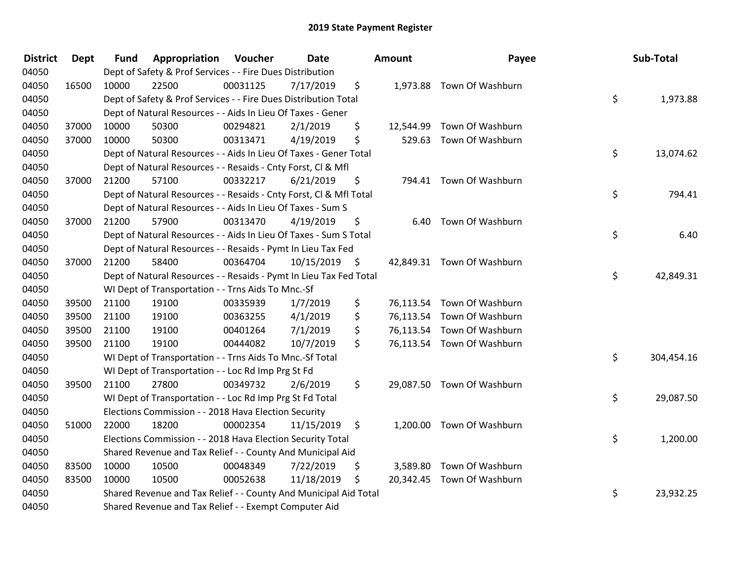| <b>District</b> | <b>Dept</b> | <b>Fund</b> | Appropriation                                                      | Voucher  | <b>Date</b> |      | <b>Amount</b> | Payee                      | Sub-Total        |
|-----------------|-------------|-------------|--------------------------------------------------------------------|----------|-------------|------|---------------|----------------------------|------------------|
| 04050           |             |             | Dept of Safety & Prof Services - - Fire Dues Distribution          |          |             |      |               |                            |                  |
| 04050           | 16500       | 10000       | 22500                                                              | 00031125 | 7/17/2019   | \$   |               | 1,973.88 Town Of Washburn  |                  |
| 04050           |             |             | Dept of Safety & Prof Services - - Fire Dues Distribution Total    |          |             |      |               |                            | \$<br>1,973.88   |
| 04050           |             |             | Dept of Natural Resources - - Aids In Lieu Of Taxes - Gener        |          |             |      |               |                            |                  |
| 04050           | 37000       | 10000       | 50300                                                              | 00294821 | 2/1/2019    | \$   | 12,544.99     | Town Of Washburn           |                  |
| 04050           | 37000       | 10000       | 50300                                                              | 00313471 | 4/19/2019   | \$   |               | 529.63 Town Of Washburn    |                  |
| 04050           |             |             | Dept of Natural Resources - - Aids In Lieu Of Taxes - Gener Total  |          |             |      |               |                            | \$<br>13,074.62  |
| 04050           |             |             | Dept of Natural Resources - - Resaids - Cnty Forst, Cl & Mfl       |          |             |      |               |                            |                  |
| 04050           | 37000       | 21200       | 57100                                                              | 00332217 | 6/21/2019   | \$   |               | 794.41 Town Of Washburn    |                  |
| 04050           |             |             | Dept of Natural Resources - - Resaids - Cnty Forst, Cl & Mfl Total |          |             |      |               |                            | \$<br>794.41     |
| 04050           |             |             | Dept of Natural Resources - - Aids In Lieu Of Taxes - Sum S        |          |             |      |               |                            |                  |
| 04050           | 37000       | 21200       | 57900                                                              | 00313470 | 4/19/2019   | \$   |               | 6.40 Town Of Washburn      |                  |
| 04050           |             |             | Dept of Natural Resources - - Aids In Lieu Of Taxes - Sum S Total  |          |             |      |               |                            | \$<br>6.40       |
| 04050           |             |             | Dept of Natural Resources - - Resaids - Pymt In Lieu Tax Fed       |          |             |      |               |                            |                  |
| 04050           | 37000       | 21200       | 58400                                                              | 00364704 | 10/15/2019  | - \$ |               | 42,849.31 Town Of Washburn |                  |
| 04050           |             |             | Dept of Natural Resources - - Resaids - Pymt In Lieu Tax Fed Total |          |             |      |               |                            | \$<br>42,849.31  |
| 04050           |             |             | WI Dept of Transportation - - Trns Aids To Mnc.-Sf                 |          |             |      |               |                            |                  |
| 04050           | 39500       | 21100       | 19100                                                              | 00335939 | 1/7/2019    | \$   |               | 76,113.54 Town Of Washburn |                  |
| 04050           | 39500       | 21100       | 19100                                                              | 00363255 | 4/1/2019    | \$   |               | 76,113.54 Town Of Washburn |                  |
| 04050           | 39500       | 21100       | 19100                                                              | 00401264 | 7/1/2019    | \$   |               | 76,113.54 Town Of Washburn |                  |
| 04050           | 39500       | 21100       | 19100                                                              | 00444082 | 10/7/2019   | \$   |               | 76,113.54 Town Of Washburn |                  |
| 04050           |             |             | WI Dept of Transportation - - Trns Aids To Mnc.-Sf Total           |          |             |      |               |                            | \$<br>304,454.16 |
| 04050           |             |             | WI Dept of Transportation - - Loc Rd Imp Prg St Fd                 |          |             |      |               |                            |                  |
| 04050           | 39500       | 21100       | 27800                                                              | 00349732 | 2/6/2019    | \$   |               | 29,087.50 Town Of Washburn |                  |
| 04050           |             |             | WI Dept of Transportation - - Loc Rd Imp Prg St Fd Total           |          |             |      |               |                            | \$<br>29,087.50  |
| 04050           |             |             | Elections Commission - - 2018 Hava Election Security               |          |             |      |               |                            |                  |
| 04050           | 51000       | 22000       | 18200                                                              | 00002354 | 11/15/2019  | \$   |               | 1,200.00 Town Of Washburn  |                  |
| 04050           |             |             | Elections Commission - - 2018 Hava Election Security Total         |          |             |      |               |                            | \$<br>1,200.00   |
| 04050           |             |             | Shared Revenue and Tax Relief - - County And Municipal Aid         |          |             |      |               |                            |                  |
| 04050           | 83500       | 10000       | 10500                                                              | 00048349 | 7/22/2019   | \$   |               | 3,589.80 Town Of Washburn  |                  |
| 04050           | 83500       | 10000       | 10500                                                              | 00052638 | 11/18/2019  | \$   |               | 20,342.45 Town Of Washburn |                  |
| 04050           |             |             | Shared Revenue and Tax Relief - - County And Municipal Aid Total   |          |             |      |               |                            | \$<br>23,932.25  |
| 04050           |             |             | Shared Revenue and Tax Relief - - Exempt Computer Aid              |          |             |      |               |                            |                  |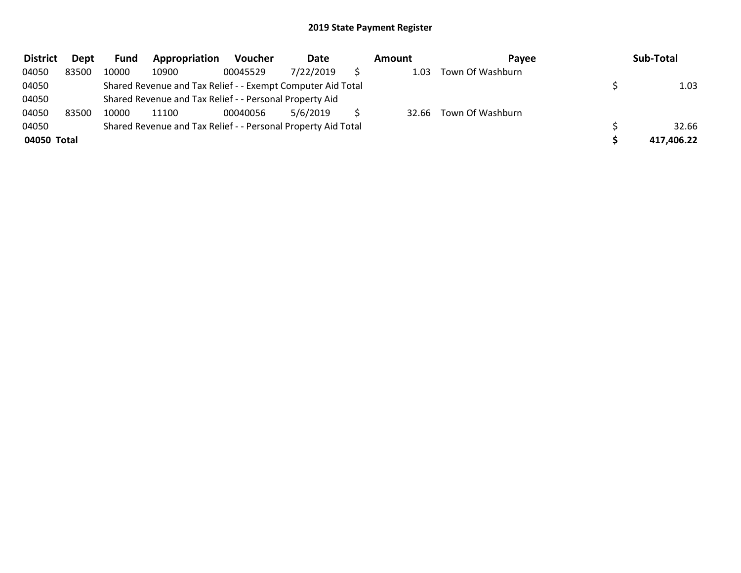| <b>District</b> | Dept  | Fund  | Appropriation                                                 | <b>Voucher</b> | Date      | Amount | Pavee                  | Sub-Total  |
|-----------------|-------|-------|---------------------------------------------------------------|----------------|-----------|--------|------------------------|------------|
| 04050           | 83500 | 10000 | 10900                                                         | 00045529       | 7/22/2019 | 1.03   | Town Of Washburn       |            |
| 04050           |       |       | Shared Revenue and Tax Relief - - Exempt Computer Aid Total   |                |           |        |                        | 1.03       |
| 04050           |       |       | Shared Revenue and Tax Relief - - Personal Property Aid       |                |           |        |                        |            |
| 04050           | 83500 | 10000 | 11100                                                         | 00040056       | 5/6/2019  |        | 32.66 Town Of Washburn |            |
| 04050           |       |       | Shared Revenue and Tax Relief - - Personal Property Aid Total |                |           |        |                        | 32.66      |
| 04050 Total     |       |       |                                                               |                |           |        |                        | 417,406.22 |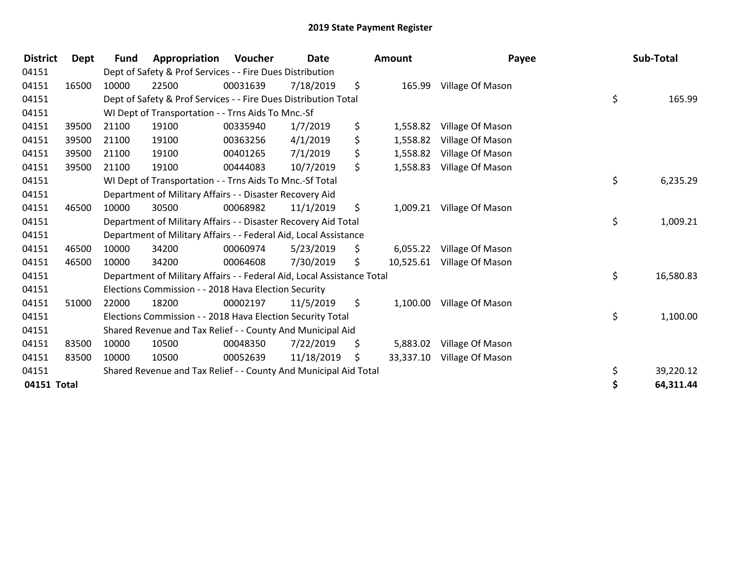| <b>District</b> | Dept  | <b>Fund</b> | Appropriation                                                          | <b>Voucher</b> | Date       |     | Amount    | Payee                   | Sub-Total       |
|-----------------|-------|-------------|------------------------------------------------------------------------|----------------|------------|-----|-----------|-------------------------|-----------------|
| 04151           |       |             | Dept of Safety & Prof Services - - Fire Dues Distribution              |                |            |     |           |                         |                 |
| 04151           | 16500 | 10000       | 22500                                                                  | 00031639       | 7/18/2019  | \$  |           | 165.99 Village Of Mason |                 |
| 04151           |       |             | Dept of Safety & Prof Services - - Fire Dues Distribution Total        |                |            |     |           |                         | \$<br>165.99    |
| 04151           |       |             | WI Dept of Transportation - - Trns Aids To Mnc.-Sf                     |                |            |     |           |                         |                 |
| 04151           | 39500 | 21100       | 19100                                                                  | 00335940       | 1/7/2019   | \$  | 1,558.82  | Village Of Mason        |                 |
| 04151           | 39500 | 21100       | 19100                                                                  | 00363256       | 4/1/2019   | \$  | 1,558.82  | Village Of Mason        |                 |
| 04151           | 39500 | 21100       | 19100                                                                  | 00401265       | 7/1/2019   | \$  | 1,558.82  | Village Of Mason        |                 |
| 04151           | 39500 | 21100       | 19100                                                                  | 00444083       | 10/7/2019  | \$  | 1,558.83  | Village Of Mason        |                 |
| 04151           |       |             | WI Dept of Transportation - - Trns Aids To Mnc.-Sf Total               |                |            |     |           |                         | \$<br>6,235.29  |
| 04151           |       |             | Department of Military Affairs - - Disaster Recovery Aid               |                |            |     |           |                         |                 |
| 04151           | 46500 | 10000       | 30500                                                                  | 00068982       | 11/1/2019  | \$  | 1,009.21  | Village Of Mason        |                 |
| 04151           |       |             | Department of Military Affairs - - Disaster Recovery Aid Total         |                |            |     |           |                         | \$<br>1,009.21  |
| 04151           |       |             | Department of Military Affairs - - Federal Aid, Local Assistance       |                |            |     |           |                         |                 |
| 04151           | 46500 | 10000       | 34200                                                                  | 00060974       | 5/23/2019  | \$  | 6,055.22  | Village Of Mason        |                 |
| 04151           | 46500 | 10000       | 34200                                                                  | 00064608       | 7/30/2019  | \$  | 10,525.61 | Village Of Mason        |                 |
| 04151           |       |             | Department of Military Affairs - - Federal Aid, Local Assistance Total |                |            |     |           |                         | \$<br>16,580.83 |
| 04151           |       |             | Elections Commission - - 2018 Hava Election Security                   |                |            |     |           |                         |                 |
| 04151           | 51000 | 22000       | 18200                                                                  | 00002197       | 11/5/2019  | \$. | 1,100.00  | Village Of Mason        |                 |
| 04151           |       |             | Elections Commission - - 2018 Hava Election Security Total             |                |            |     |           |                         | \$<br>1,100.00  |
| 04151           |       |             | Shared Revenue and Tax Relief - - County And Municipal Aid             |                |            |     |           |                         |                 |
| 04151           | 83500 | 10000       | 10500                                                                  | 00048350       | 7/22/2019  | \$  | 5,883.02  | Village Of Mason        |                 |
| 04151           | 83500 | 10000       | 10500                                                                  | 00052639       | 11/18/2019 | \$  | 33,337.10 | Village Of Mason        |                 |
| 04151           |       |             | Shared Revenue and Tax Relief - - County And Municipal Aid Total       |                |            |     |           |                         | \$<br>39,220.12 |
| 04151 Total     |       |             |                                                                        |                |            |     |           |                         | \$<br>64,311.44 |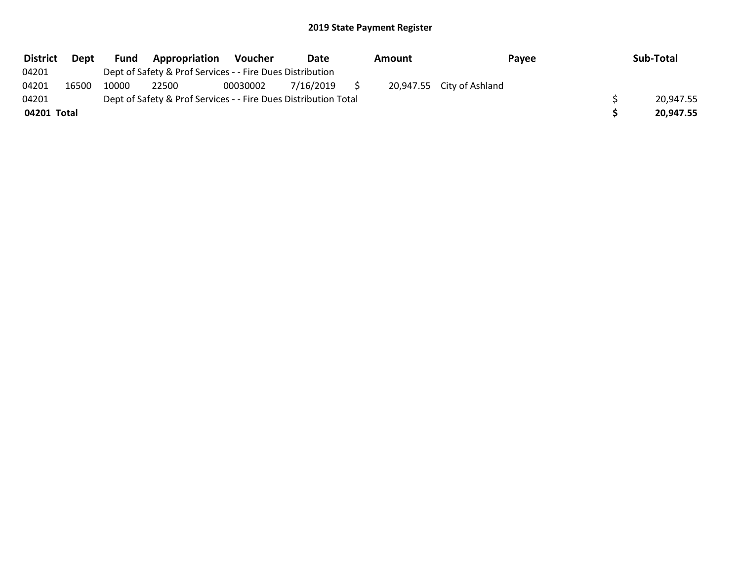| <b>District</b> | Dept  | Fund  | Appropriation                                                   | <b>Voucher</b> | Date      | Amount |                           | <b>Payee</b> | Sub-Total |
|-----------------|-------|-------|-----------------------------------------------------------------|----------------|-----------|--------|---------------------------|--------------|-----------|
| 04201           |       |       | Dept of Safety & Prof Services - - Fire Dues Distribution       |                |           |        |                           |              |           |
| 04201           | 16500 | 10000 | 22500                                                           | 00030002       | 7/16/2019 |        | 20,947.55 City of Ashland |              |           |
| 04201           |       |       | Dept of Safety & Prof Services - - Fire Dues Distribution Total |                |           |        |                           |              | 20.947.55 |
| 04201 Total     |       |       |                                                                 |                |           |        |                           |              | 20.947.55 |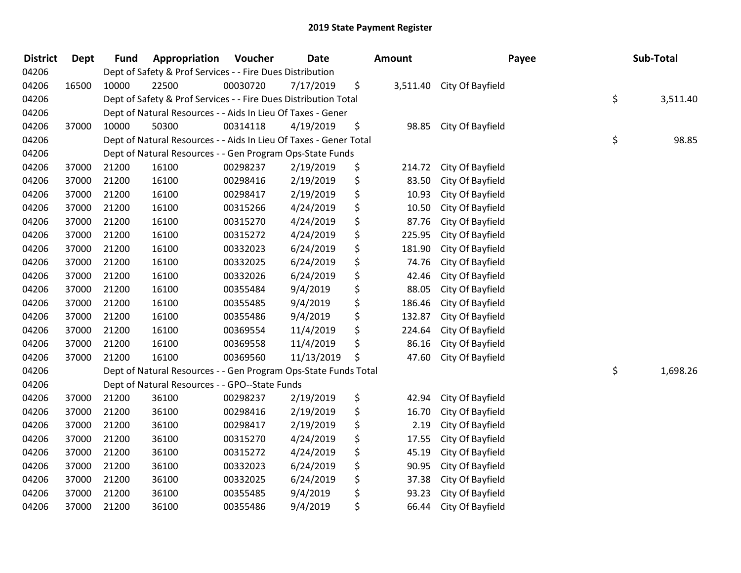| <b>District</b> | Dept  | <b>Fund</b> | Appropriation                                                     | Voucher  | <b>Date</b> | Amount         | Payee            | Sub-Total      |
|-----------------|-------|-------------|-------------------------------------------------------------------|----------|-------------|----------------|------------------|----------------|
| 04206           |       |             | Dept of Safety & Prof Services - - Fire Dues Distribution         |          |             |                |                  |                |
| 04206           | 16500 | 10000       | 22500                                                             | 00030720 | 7/17/2019   | \$<br>3,511.40 | City Of Bayfield |                |
| 04206           |       |             | Dept of Safety & Prof Services - - Fire Dues Distribution Total   |          |             |                |                  | \$<br>3,511.40 |
| 04206           |       |             | Dept of Natural Resources - - Aids In Lieu Of Taxes - Gener       |          |             |                |                  |                |
| 04206           | 37000 | 10000       | 50300                                                             | 00314118 | 4/19/2019   | \$<br>98.85    | City Of Bayfield |                |
| 04206           |       |             | Dept of Natural Resources - - Aids In Lieu Of Taxes - Gener Total |          |             |                |                  | \$<br>98.85    |
| 04206           |       |             | Dept of Natural Resources - - Gen Program Ops-State Funds         |          |             |                |                  |                |
| 04206           | 37000 | 21200       | 16100                                                             | 00298237 | 2/19/2019   | \$<br>214.72   | City Of Bayfield |                |
| 04206           | 37000 | 21200       | 16100                                                             | 00298416 | 2/19/2019   | \$<br>83.50    | City Of Bayfield |                |
| 04206           | 37000 | 21200       | 16100                                                             | 00298417 | 2/19/2019   | \$<br>10.93    | City Of Bayfield |                |
| 04206           | 37000 | 21200       | 16100                                                             | 00315266 | 4/24/2019   | \$<br>10.50    | City Of Bayfield |                |
| 04206           | 37000 | 21200       | 16100                                                             | 00315270 | 4/24/2019   | \$<br>87.76    | City Of Bayfield |                |
| 04206           | 37000 | 21200       | 16100                                                             | 00315272 | 4/24/2019   | \$<br>225.95   | City Of Bayfield |                |
| 04206           | 37000 | 21200       | 16100                                                             | 00332023 | 6/24/2019   | \$<br>181.90   | City Of Bayfield |                |
| 04206           | 37000 | 21200       | 16100                                                             | 00332025 | 6/24/2019   | \$<br>74.76    | City Of Bayfield |                |
| 04206           | 37000 | 21200       | 16100                                                             | 00332026 | 6/24/2019   | \$<br>42.46    | City Of Bayfield |                |
| 04206           | 37000 | 21200       | 16100                                                             | 00355484 | 9/4/2019    | \$<br>88.05    | City Of Bayfield |                |
| 04206           | 37000 | 21200       | 16100                                                             | 00355485 | 9/4/2019    | \$<br>186.46   | City Of Bayfield |                |
| 04206           | 37000 | 21200       | 16100                                                             | 00355486 | 9/4/2019    | \$<br>132.87   | City Of Bayfield |                |
| 04206           | 37000 | 21200       | 16100                                                             | 00369554 | 11/4/2019   | \$<br>224.64   | City Of Bayfield |                |
| 04206           | 37000 | 21200       | 16100                                                             | 00369558 | 11/4/2019   | \$<br>86.16    | City Of Bayfield |                |
| 04206           | 37000 | 21200       | 16100                                                             | 00369560 | 11/13/2019  | \$<br>47.60    | City Of Bayfield |                |
| 04206           |       |             | Dept of Natural Resources - - Gen Program Ops-State Funds Total   |          |             |                |                  | \$<br>1,698.26 |
| 04206           |       |             | Dept of Natural Resources - - GPO--State Funds                    |          |             |                |                  |                |
| 04206           | 37000 | 21200       | 36100                                                             | 00298237 | 2/19/2019   | \$<br>42.94    | City Of Bayfield |                |
| 04206           | 37000 | 21200       | 36100                                                             | 00298416 | 2/19/2019   | \$<br>16.70    | City Of Bayfield |                |
| 04206           | 37000 | 21200       | 36100                                                             | 00298417 | 2/19/2019   | \$<br>2.19     | City Of Bayfield |                |
| 04206           | 37000 | 21200       | 36100                                                             | 00315270 | 4/24/2019   | \$<br>17.55    | City Of Bayfield |                |
| 04206           | 37000 | 21200       | 36100                                                             | 00315272 | 4/24/2019   | \$<br>45.19    | City Of Bayfield |                |
| 04206           | 37000 | 21200       | 36100                                                             | 00332023 | 6/24/2019   | \$<br>90.95    | City Of Bayfield |                |
| 04206           | 37000 | 21200       | 36100                                                             | 00332025 | 6/24/2019   | \$<br>37.38    | City Of Bayfield |                |
| 04206           | 37000 | 21200       | 36100                                                             | 00355485 | 9/4/2019    | \$<br>93.23    | City Of Bayfield |                |
| 04206           | 37000 | 21200       | 36100                                                             | 00355486 | 9/4/2019    | \$<br>66.44    | City Of Bayfield |                |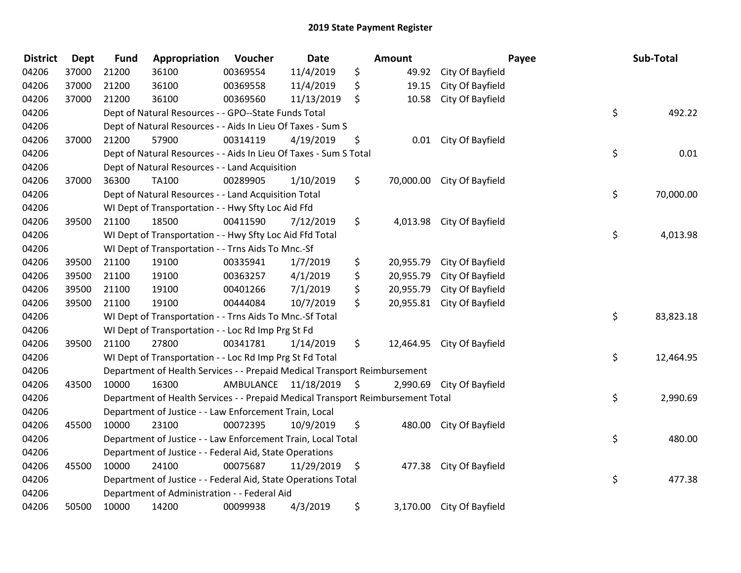| <b>District</b> | <b>Dept</b> | <b>Fund</b> | Appropriation                                                                   | Voucher   | Date       |      | <b>Amount</b> |                            | Payee | Sub-Total |
|-----------------|-------------|-------------|---------------------------------------------------------------------------------|-----------|------------|------|---------------|----------------------------|-------|-----------|
| 04206           | 37000       | 21200       | 36100                                                                           | 00369554  | 11/4/2019  | \$   | 49.92         | City Of Bayfield           |       |           |
| 04206           | 37000       | 21200       | 36100                                                                           | 00369558  | 11/4/2019  | \$   | 19.15         | City Of Bayfield           |       |           |
| 04206           | 37000       | 21200       | 36100                                                                           | 00369560  | 11/13/2019 | \$   | 10.58         | City Of Bayfield           |       |           |
| 04206           |             |             | Dept of Natural Resources - - GPO--State Funds Total                            |           |            |      |               |                            | \$    | 492.22    |
| 04206           |             |             | Dept of Natural Resources - - Aids In Lieu Of Taxes - Sum S                     |           |            |      |               |                            |       |           |
| 04206           | 37000       | 21200       | 57900                                                                           | 00314119  | 4/19/2019  | \$   | 0.01          | City Of Bayfield           |       |           |
| 04206           |             |             | Dept of Natural Resources - - Aids In Lieu Of Taxes - Sum S Total               |           |            |      |               |                            | \$    | 0.01      |
| 04206           |             |             | Dept of Natural Resources - - Land Acquisition                                  |           |            |      |               |                            |       |           |
| 04206           | 37000       | 36300       | TA100                                                                           | 00289905  | 1/10/2019  | \$   |               | 70,000.00 City Of Bayfield |       |           |
| 04206           |             |             | Dept of Natural Resources - - Land Acquisition Total                            |           |            |      |               |                            | \$    | 70,000.00 |
| 04206           |             |             | WI Dept of Transportation - - Hwy Sfty Loc Aid Ffd                              |           |            |      |               |                            |       |           |
| 04206           | 39500       | 21100       | 18500                                                                           | 00411590  | 7/12/2019  | \$   |               | 4,013.98 City Of Bayfield  |       |           |
| 04206           |             |             | WI Dept of Transportation - - Hwy Sfty Loc Aid Ffd Total                        |           |            |      |               |                            | \$    | 4,013.98  |
| 04206           |             |             | WI Dept of Transportation - - Trns Aids To Mnc.-Sf                              |           |            |      |               |                            |       |           |
| 04206           | 39500       | 21100       | 19100                                                                           | 00335941  | 1/7/2019   | \$   | 20,955.79     | City Of Bayfield           |       |           |
| 04206           | 39500       | 21100       | 19100                                                                           | 00363257  | 4/1/2019   | \$   | 20,955.79     | City Of Bayfield           |       |           |
| 04206           | 39500       | 21100       | 19100                                                                           | 00401266  | 7/1/2019   | \$   | 20,955.79     | City Of Bayfield           |       |           |
| 04206           | 39500       | 21100       | 19100                                                                           | 00444084  | 10/7/2019  | \$   |               | 20,955.81 City Of Bayfield |       |           |
| 04206           |             |             | WI Dept of Transportation - - Trns Aids To Mnc.-Sf Total                        |           |            |      |               |                            | \$    | 83,823.18 |
| 04206           |             |             | WI Dept of Transportation - - Loc Rd Imp Prg St Fd                              |           |            |      |               |                            |       |           |
| 04206           | 39500       | 21100       | 27800                                                                           | 00341781  | 1/14/2019  | \$   |               | 12,464.95 City Of Bayfield |       |           |
| 04206           |             |             | WI Dept of Transportation - - Loc Rd Imp Prg St Fd Total                        |           |            |      |               |                            | \$    | 12,464.95 |
| 04206           |             |             | Department of Health Services - - Prepaid Medical Transport Reimbursement       |           |            |      |               |                            |       |           |
| 04206           | 43500       | 10000       | 16300                                                                           | AMBULANCE | 11/18/2019 | - \$ | 2,990.69      | City Of Bayfield           |       |           |
| 04206           |             |             | Department of Health Services - - Prepaid Medical Transport Reimbursement Total |           |            |      |               |                            | \$    | 2,990.69  |
| 04206           |             |             | Department of Justice - - Law Enforcement Train, Local                          |           |            |      |               |                            |       |           |
| 04206           | 45500       | 10000       | 23100                                                                           | 00072395  | 10/9/2019  | \$   |               | 480.00 City Of Bayfield    |       |           |
| 04206           |             |             | Department of Justice - - Law Enforcement Train, Local Total                    |           |            |      |               |                            | \$    | 480.00    |
| 04206           |             |             | Department of Justice - - Federal Aid, State Operations                         |           |            |      |               |                            |       |           |
| 04206           | 45500       | 10000       | 24100                                                                           | 00075687  | 11/29/2019 | \$   | 477.38        | City Of Bayfield           |       |           |
| 04206           |             |             | Department of Justice - - Federal Aid, State Operations Total                   |           |            |      |               |                            | \$    | 477.38    |
| 04206           |             |             | Department of Administration - - Federal Aid                                    |           |            |      |               |                            |       |           |
| 04206           | 50500       | 10000       | 14200                                                                           | 00099938  | 4/3/2019   | \$   |               | 3,170.00 City Of Bayfield  |       |           |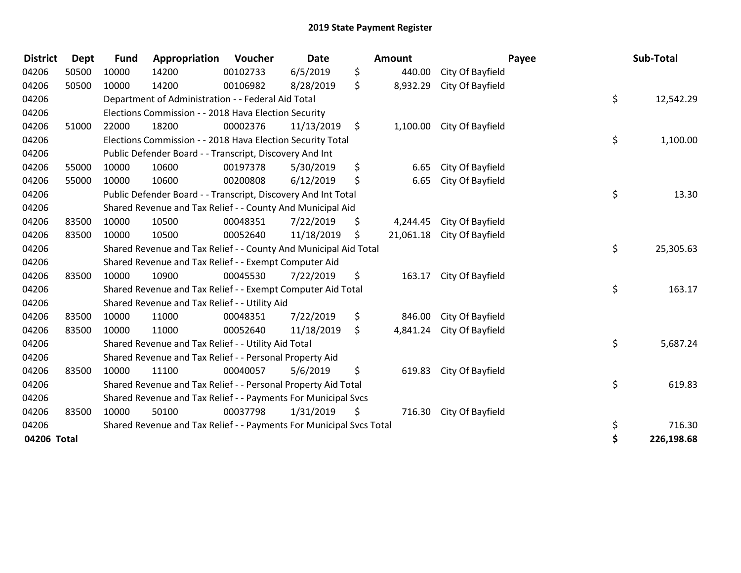| <b>District</b> | <b>Dept</b> | <b>Fund</b> | Appropriation                                                       | Voucher  | <b>Date</b> |         | <b>Amount</b> |                  | Payee | Sub-Total  |
|-----------------|-------------|-------------|---------------------------------------------------------------------|----------|-------------|---------|---------------|------------------|-------|------------|
| 04206           | 50500       | 10000       | 14200                                                               | 00102733 | 6/5/2019    | \$      | 440.00        | City Of Bayfield |       |            |
| 04206           | 50500       | 10000       | 14200                                                               | 00106982 | 8/28/2019   | \$      | 8,932.29      | City Of Bayfield |       |            |
| 04206           |             |             | Department of Administration - - Federal Aid Total                  |          |             |         |               |                  | \$    | 12,542.29  |
| 04206           |             |             | Elections Commission - - 2018 Hava Election Security                |          |             |         |               |                  |       |            |
| 04206           | 51000       | 22000       | 18200                                                               | 00002376 | 11/13/2019  | $\zeta$ | 1,100.00      | City Of Bayfield |       |            |
| 04206           |             |             | Elections Commission - - 2018 Hava Election Security Total          |          |             |         |               |                  | \$    | 1,100.00   |
| 04206           |             |             | Public Defender Board - - Transcript, Discovery And Int             |          |             |         |               |                  |       |            |
| 04206           | 55000       | 10000       | 10600                                                               | 00197378 | 5/30/2019   | \$      | 6.65          | City Of Bayfield |       |            |
| 04206           | 55000       | 10000       | 10600                                                               | 00200808 | 6/12/2019   | \$      | 6.65          | City Of Bayfield |       |            |
| 04206           |             |             | Public Defender Board - - Transcript, Discovery And Int Total       |          |             |         |               |                  | \$    | 13.30      |
| 04206           |             |             | Shared Revenue and Tax Relief - - County And Municipal Aid          |          |             |         |               |                  |       |            |
| 04206           | 83500       | 10000       | 10500                                                               | 00048351 | 7/22/2019   | \$      | 4,244.45      | City Of Bayfield |       |            |
| 04206           | 83500       | 10000       | 10500                                                               | 00052640 | 11/18/2019  | S       | 21,061.18     | City Of Bayfield |       |            |
| 04206           |             |             | Shared Revenue and Tax Relief - - County And Municipal Aid Total    |          |             |         |               |                  | \$    | 25,305.63  |
| 04206           |             |             | Shared Revenue and Tax Relief - - Exempt Computer Aid               |          |             |         |               |                  |       |            |
| 04206           | 83500       | 10000       | 10900                                                               | 00045530 | 7/22/2019   | \$.     | 163.17        | City Of Bayfield |       |            |
| 04206           |             |             | Shared Revenue and Tax Relief - - Exempt Computer Aid Total         |          |             |         |               |                  | \$    | 163.17     |
| 04206           |             |             | Shared Revenue and Tax Relief - - Utility Aid                       |          |             |         |               |                  |       |            |
| 04206           | 83500       | 10000       | 11000                                                               | 00048351 | 7/22/2019   | \$      | 846.00        | City Of Bayfield |       |            |
| 04206           | 83500       | 10000       | 11000                                                               | 00052640 | 11/18/2019  | \$      | 4,841.24      | City Of Bayfield |       |            |
| 04206           |             |             | Shared Revenue and Tax Relief - - Utility Aid Total                 |          |             |         |               |                  | \$    | 5,687.24   |
| 04206           |             |             | Shared Revenue and Tax Relief - - Personal Property Aid             |          |             |         |               |                  |       |            |
| 04206           | 83500       | 10000       | 11100                                                               | 00040057 | 5/6/2019    | \$      | 619.83        | City Of Bayfield |       |            |
| 04206           |             |             | Shared Revenue and Tax Relief - - Personal Property Aid Total       |          |             |         |               |                  | \$    | 619.83     |
| 04206           |             |             | Shared Revenue and Tax Relief - - Payments For Municipal Svcs       |          |             |         |               |                  |       |            |
| 04206           | 83500       | 10000       | 50100                                                               | 00037798 | 1/31/2019   | \$      | 716.30        | City Of Bayfield |       |            |
| 04206           |             |             | Shared Revenue and Tax Relief - - Payments For Municipal Svcs Total |          |             |         |               |                  | \$    | 716.30     |
| 04206 Total     |             |             |                                                                     |          |             |         |               |                  | \$    | 226,198.68 |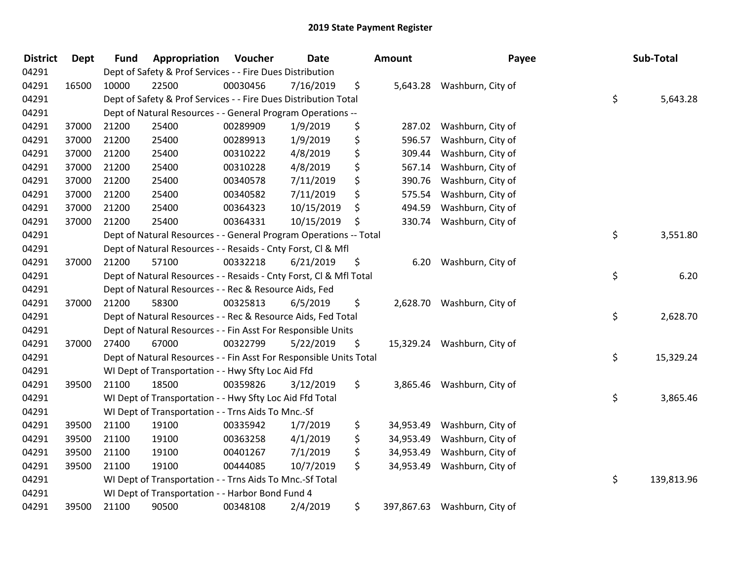| <b>District</b> | <b>Dept</b> | <b>Fund</b> | Appropriation                                                      | Voucher  | Date       | Amount          | Payee                        | Sub-Total        |
|-----------------|-------------|-------------|--------------------------------------------------------------------|----------|------------|-----------------|------------------------------|------------------|
| 04291           |             |             | Dept of Safety & Prof Services - - Fire Dues Distribution          |          |            |                 |                              |                  |
| 04291           | 16500       | 10000       | 22500                                                              | 00030456 | 7/16/2019  | \$              | 5,643.28 Washburn, City of   |                  |
| 04291           |             |             | Dept of Safety & Prof Services - - Fire Dues Distribution Total    |          |            |                 |                              | \$<br>5,643.28   |
| 04291           |             |             | Dept of Natural Resources - - General Program Operations --        |          |            |                 |                              |                  |
| 04291           | 37000       | 21200       | 25400                                                              | 00289909 | 1/9/2019   | \$<br>287.02    | Washburn, City of            |                  |
| 04291           | 37000       | 21200       | 25400                                                              | 00289913 | 1/9/2019   | \$<br>596.57    | Washburn, City of            |                  |
| 04291           | 37000       | 21200       | 25400                                                              | 00310222 | 4/8/2019   | \$<br>309.44    | Washburn, City of            |                  |
| 04291           | 37000       | 21200       | 25400                                                              | 00310228 | 4/8/2019   | \$<br>567.14    | Washburn, City of            |                  |
| 04291           | 37000       | 21200       | 25400                                                              | 00340578 | 7/11/2019  | \$<br>390.76    | Washburn, City of            |                  |
| 04291           | 37000       | 21200       | 25400                                                              | 00340582 | 7/11/2019  | \$<br>575.54    | Washburn, City of            |                  |
| 04291           | 37000       | 21200       | 25400                                                              | 00364323 | 10/15/2019 | \$<br>494.59    | Washburn, City of            |                  |
| 04291           | 37000       | 21200       | 25400                                                              | 00364331 | 10/15/2019 | \$<br>330.74    | Washburn, City of            |                  |
| 04291           |             |             | Dept of Natural Resources - - General Program Operations -- Total  |          |            |                 |                              | \$<br>3,551.80   |
| 04291           |             |             | Dept of Natural Resources - - Resaids - Cnty Forst, Cl & Mfl       |          |            |                 |                              |                  |
| 04291           | 37000       | 21200       | 57100                                                              | 00332218 | 6/21/2019  | \$<br>6.20      | Washburn, City of            |                  |
| 04291           |             |             | Dept of Natural Resources - - Resaids - Cnty Forst, Cl & Mfl Total |          |            |                 |                              | \$<br>6.20       |
| 04291           |             |             | Dept of Natural Resources - - Rec & Resource Aids, Fed             |          |            |                 |                              |                  |
| 04291           | 37000       | 21200       | 58300                                                              | 00325813 | 6/5/2019   | \$              | 2,628.70 Washburn, City of   |                  |
| 04291           |             |             | Dept of Natural Resources - - Rec & Resource Aids, Fed Total       |          |            |                 |                              | \$<br>2,628.70   |
| 04291           |             |             | Dept of Natural Resources - - Fin Asst For Responsible Units       |          |            |                 |                              |                  |
| 04291           | 37000       | 27400       | 67000                                                              | 00322799 | 5/22/2019  | \$              | 15,329.24 Washburn, City of  |                  |
| 04291           |             |             | Dept of Natural Resources - - Fin Asst For Responsible Units Total |          |            |                 |                              | \$<br>15,329.24  |
| 04291           |             |             | WI Dept of Transportation - - Hwy Sfty Loc Aid Ffd                 |          |            |                 |                              |                  |
| 04291           | 39500       | 21100       | 18500                                                              | 00359826 | 3/12/2019  | \$<br>3,865.46  | Washburn, City of            |                  |
| 04291           |             |             | WI Dept of Transportation - - Hwy Sfty Loc Aid Ffd Total           |          |            |                 |                              | \$<br>3,865.46   |
| 04291           |             |             | WI Dept of Transportation - - Trns Aids To Mnc.-Sf                 |          |            |                 |                              |                  |
| 04291           | 39500       | 21100       | 19100                                                              | 00335942 | 1/7/2019   | \$<br>34,953.49 | Washburn, City of            |                  |
| 04291           | 39500       | 21100       | 19100                                                              | 00363258 | 4/1/2019   | \$<br>34,953.49 | Washburn, City of            |                  |
| 04291           | 39500       | 21100       | 19100                                                              | 00401267 | 7/1/2019   | \$<br>34,953.49 | Washburn, City of            |                  |
| 04291           | 39500       | 21100       | 19100                                                              | 00444085 | 10/7/2019  | \$<br>34,953.49 | Washburn, City of            |                  |
| 04291           |             |             | WI Dept of Transportation - - Trns Aids To Mnc.-Sf Total           |          |            |                 |                              | \$<br>139,813.96 |
| 04291           |             |             | WI Dept of Transportation - - Harbor Bond Fund 4                   |          |            |                 |                              |                  |
| 04291           | 39500       | 21100       | 90500                                                              | 00348108 | 2/4/2019   | \$              | 397,867.63 Washburn, City of |                  |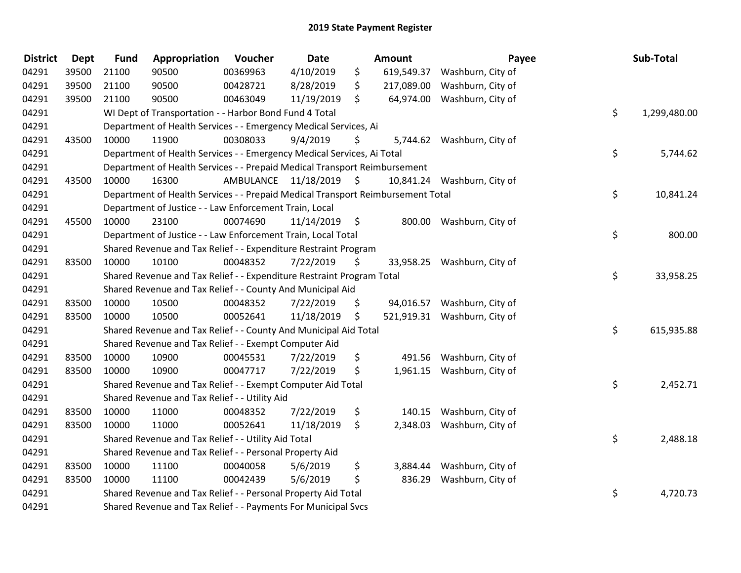| <b>District</b> | <b>Dept</b> | <b>Fund</b> | Appropriation                                                                   | Voucher              | Date       |                     | <b>Amount</b> | Payee                        | Sub-Total          |
|-----------------|-------------|-------------|---------------------------------------------------------------------------------|----------------------|------------|---------------------|---------------|------------------------------|--------------------|
| 04291           | 39500       | 21100       | 90500                                                                           | 00369963             | 4/10/2019  | \$                  | 619,549.37    | Washburn, City of            |                    |
| 04291           | 39500       | 21100       | 90500                                                                           | 00428721             | 8/28/2019  | \$                  | 217,089.00    | Washburn, City of            |                    |
| 04291           | 39500       | 21100       | 90500                                                                           | 00463049             | 11/19/2019 | \$                  |               | 64,974.00 Washburn, City of  |                    |
| 04291           |             |             | WI Dept of Transportation - - Harbor Bond Fund 4 Total                          |                      |            |                     |               |                              | \$<br>1,299,480.00 |
| 04291           |             |             | Department of Health Services - - Emergency Medical Services, Ai                |                      |            |                     |               |                              |                    |
| 04291           | 43500       | 10000       | 11900                                                                           | 00308033             | 9/4/2019   | \$                  |               | 5,744.62 Washburn, City of   |                    |
| 04291           |             |             | Department of Health Services - - Emergency Medical Services, Ai Total          |                      |            |                     |               |                              | \$<br>5,744.62     |
| 04291           |             |             | Department of Health Services - - Prepaid Medical Transport Reimbursement       |                      |            |                     |               |                              |                    |
| 04291           | 43500       | 10000       | 16300                                                                           | AMBULANCE 11/18/2019 |            | $\ddot{\mathsf{s}}$ |               | 10,841.24 Washburn, City of  |                    |
| 04291           |             |             | Department of Health Services - - Prepaid Medical Transport Reimbursement Total |                      |            |                     |               |                              | \$<br>10,841.24    |
| 04291           |             |             | Department of Justice - - Law Enforcement Train, Local                          |                      |            |                     |               |                              |                    |
| 04291           | 45500       | 10000       | 23100                                                                           | 00074690             | 11/14/2019 | $\ddot{\mathsf{s}}$ |               | 800.00 Washburn, City of     |                    |
| 04291           |             |             | Department of Justice - - Law Enforcement Train, Local Total                    |                      |            |                     |               |                              | \$<br>800.00       |
| 04291           |             |             | Shared Revenue and Tax Relief - - Expenditure Restraint Program                 |                      |            |                     |               |                              |                    |
| 04291           | 83500       | 10000       | 10100                                                                           | 00048352             | 7/22/2019  | \$                  |               | 33,958.25 Washburn, City of  |                    |
| 04291           |             |             | Shared Revenue and Tax Relief - - Expenditure Restraint Program Total           |                      |            |                     |               |                              | \$<br>33,958.25    |
| 04291           |             |             | Shared Revenue and Tax Relief - - County And Municipal Aid                      |                      |            |                     |               |                              |                    |
| 04291           | 83500       | 10000       | 10500                                                                           | 00048352             | 7/22/2019  | \$                  |               | 94,016.57 Washburn, City of  |                    |
| 04291           | 83500       | 10000       | 10500                                                                           | 00052641             | 11/18/2019 | \$                  |               | 521,919.31 Washburn, City of |                    |
| 04291           |             |             | Shared Revenue and Tax Relief - - County And Municipal Aid Total                |                      |            |                     |               |                              | \$<br>615,935.88   |
| 04291           |             |             | Shared Revenue and Tax Relief - - Exempt Computer Aid                           |                      |            |                     |               |                              |                    |
| 04291           | 83500       | 10000       | 10900                                                                           | 00045531             | 7/22/2019  | \$                  |               | 491.56 Washburn, City of     |                    |
| 04291           | 83500       | 10000       | 10900                                                                           | 00047717             | 7/22/2019  | \$                  |               | 1,961.15 Washburn, City of   |                    |
| 04291           |             |             | Shared Revenue and Tax Relief - - Exempt Computer Aid Total                     |                      |            |                     |               |                              | \$<br>2,452.71     |
| 04291           |             |             | Shared Revenue and Tax Relief - - Utility Aid                                   |                      |            |                     |               |                              |                    |
| 04291           | 83500       | 10000       | 11000                                                                           | 00048352             | 7/22/2019  | \$                  | 140.15        | Washburn, City of            |                    |
| 04291           | 83500       | 10000       | 11000                                                                           | 00052641             | 11/18/2019 | \$                  | 2,348.03      | Washburn, City of            |                    |
| 04291           |             |             | Shared Revenue and Tax Relief - - Utility Aid Total                             |                      |            |                     |               |                              | \$<br>2,488.18     |
| 04291           |             |             | Shared Revenue and Tax Relief - - Personal Property Aid                         |                      |            |                     |               |                              |                    |
| 04291           | 83500       | 10000       | 11100                                                                           | 00040058             | 5/6/2019   | \$                  | 3,884.44      | Washburn, City of            |                    |
| 04291           | 83500       | 10000       | 11100                                                                           | 00042439             | 5/6/2019   | \$                  | 836.29        | Washburn, City of            |                    |
| 04291           |             |             | Shared Revenue and Tax Relief - - Personal Property Aid Total                   |                      |            |                     |               |                              | \$<br>4,720.73     |
| 04291           |             |             | Shared Revenue and Tax Relief - - Payments For Municipal Svcs                   |                      |            |                     |               |                              |                    |